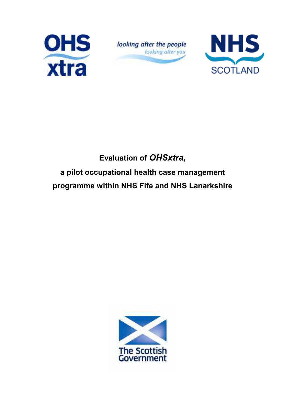

looking after the people looking after you



# Evaluation of OHSxtra, a pilot occupational health case management programme within NHS Fife and NHS Lanarkshire

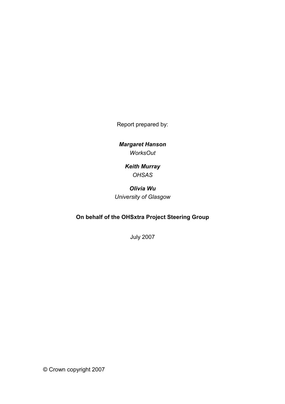Report prepared by:

Margaret Hanson **WorksOut** 

> Keith Murray **OHSAS**

Olivia Wu University of Glasgow

# On behalf of the OHSxtra Project Steering Group

July 2007

© Crown copyright 2007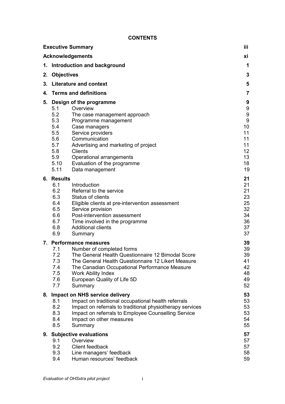#### **CONTENTS**

|    | <b>Executive Summary</b>                                                                                                                                                                                                                                                                                                                                           | iii                                                                                                         |
|----|--------------------------------------------------------------------------------------------------------------------------------------------------------------------------------------------------------------------------------------------------------------------------------------------------------------------------------------------------------------------|-------------------------------------------------------------------------------------------------------------|
|    | <b>Acknowledgements</b>                                                                                                                                                                                                                                                                                                                                            | хi                                                                                                          |
| 1. | Introduction and background                                                                                                                                                                                                                                                                                                                                        | 1                                                                                                           |
| 2. | <b>Objectives</b>                                                                                                                                                                                                                                                                                                                                                  | 3                                                                                                           |
| 3. | <b>Literature and context</b>                                                                                                                                                                                                                                                                                                                                      | 5                                                                                                           |
| 4. | <b>Terms and definitions</b>                                                                                                                                                                                                                                                                                                                                       | 7                                                                                                           |
| 5. | Design of the programme<br>5.1<br>Overview<br>5.2<br>The case management approach<br>5.3<br>Programme management<br>5.4<br>Case managers<br>Service providers<br>5.5<br>Communication<br>5.6<br>5.7<br>Advertising and marketing of project<br>5.8<br>Clients<br>5.9<br>Operational arrangements<br>Evaluation of the programme<br>5.10<br>5.11<br>Data management | 9<br>9<br>$\boldsymbol{9}$<br>$\boldsymbol{9}$<br>10<br>11<br>11<br>11<br>12 <sub>2</sub><br>13<br>18<br>19 |
|    | 6. Results<br>6.1<br>Introduction<br>6.2<br>Referral to the service<br>6.3<br><b>Status of clients</b><br>6.4<br>Eligible clients at pre-intervention assessment<br>6.5<br>Service provision<br>Post-intervention assessment<br>6.6<br>6.7<br>Time involved in the programme<br><b>Additional clients</b><br>6.8<br>6.9<br>Summary                                 | 21<br>21<br>21<br>23<br>25<br>32<br>34<br>36<br>37<br>37                                                    |
|    | 7. Performance measures<br>Number of completed forms<br>7.1<br>7.2<br>The General Health Questionnaire 12 Bimodal Score<br>7.3<br>The General Health Questionnaire 12 Likert Measure<br>7.4<br>The Canadian Occupational Performance Measure<br>7.5<br><b>Work Ability Index</b><br>7.6<br>European Quality of Life 5D<br>7.7<br>Summary                           | 39<br>39<br>39<br>41<br>42<br>48<br>49<br>52                                                                |
|    | 8. Impact on NHS service delivery<br>Impact on traditional occupational health referrals<br>8.1<br>8.2<br>Impact on referrals to traditional physiotherapy services<br>8.3<br>Impact on referrals to Employee Counselling Service<br>8.4<br>Impact on other measures<br>8.5<br>Summary                                                                             | 53<br>53<br>53<br>53<br>54<br>55                                                                            |
|    | 9. Subjective evaluations<br>9.1<br>Overview<br>9.2<br>Client feedback<br>9.3<br>Line managers' feedback<br>9.4<br>Human resources' feedback                                                                                                                                                                                                                       | 57<br>57<br>57<br>58<br>59                                                                                  |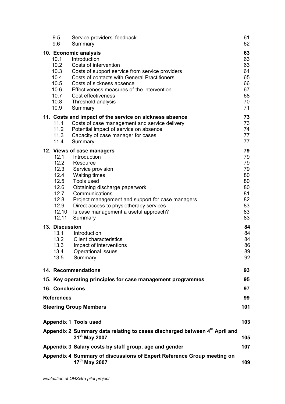| 9.5<br>9.6                                                                             | Service providers' feedback<br>Summary                                                                                                                                                                                                                                                                                  | 61<br>62                                                             |
|----------------------------------------------------------------------------------------|-------------------------------------------------------------------------------------------------------------------------------------------------------------------------------------------------------------------------------------------------------------------------------------------------------------------------|----------------------------------------------------------------------|
| 10.1<br>10.2<br>10.3<br>10.4<br>10.5<br>10.6<br>10.7<br>10.8<br>10.9                   | 10. Economic analysis<br>Introduction<br>Costs of intervention<br>Costs of support service from service providers<br><b>Costs of contacts with General Practitioners</b><br>Costs of sickness absence<br>Effectiveness measures of the intervention<br>Cost effectiveness<br>Threshold analysis<br>Summary              | 63<br>63<br>63<br>64<br>65<br>66<br>67<br>68<br>70<br>71             |
| 11.1<br>11.2<br>11.3<br>11.4                                                           | 11. Costs and impact of the service on sickness absence<br>Costs of case management and service delivery<br>Potential impact of service on absence<br>Capacity of case manager for cases<br>Summary                                                                                                                     | 73<br>73<br>74<br>77<br>77                                           |
| 12.1<br>12.2<br>12.3<br>12.4<br>12.5<br>12.6<br>12.7<br>12.8<br>12.9<br>12.10<br>12.11 | 12. Views of case managers<br>Introduction<br>Resource<br>Service provision<br><b>Waiting times</b><br>Tools used<br>Obtaining discharge paperwork<br>Communications<br>Project management and support for case managers<br>Direct access to physiotherapy services<br>Is case management a useful approach?<br>Summary | 79<br>79<br>79<br>79<br>80<br>80<br>80<br>81<br>82<br>83<br>83<br>83 |
| 13. Discussion<br>13.1<br>13.2<br>13.3<br>13.4<br>13.5                                 | Introduction<br><b>Client characteristics</b><br>Impact of interventions<br>Operational issues<br>Summary                                                                                                                                                                                                               | 84<br>84<br>84<br>86<br>89<br>92                                     |
|                                                                                        | 14. Recommendations                                                                                                                                                                                                                                                                                                     | 93                                                                   |
|                                                                                        | 15. Key operating principles for case management programmes                                                                                                                                                                                                                                                             | 95                                                                   |
| <b>16. Conclusions</b>                                                                 |                                                                                                                                                                                                                                                                                                                         | 97                                                                   |
| <b>References</b>                                                                      |                                                                                                                                                                                                                                                                                                                         | 99                                                                   |
|                                                                                        | <b>Steering Group Members</b>                                                                                                                                                                                                                                                                                           | 101                                                                  |
|                                                                                        | <b>Appendix 1 Tools used</b>                                                                                                                                                                                                                                                                                            | 103                                                                  |
|                                                                                        | Appendix 2 Summary data relating to cases discharged between 4 <sup>th</sup> April and<br>31 <sup>st</sup> May 2007                                                                                                                                                                                                     | 105                                                                  |
|                                                                                        | Appendix 3 Salary costs by staff group, age and gender                                                                                                                                                                                                                                                                  | 107                                                                  |
|                                                                                        | Appendix 4 Summary of discussions of Expert Reference Group meeting on<br>17 <sup>th</sup> May 2007                                                                                                                                                                                                                     | 109                                                                  |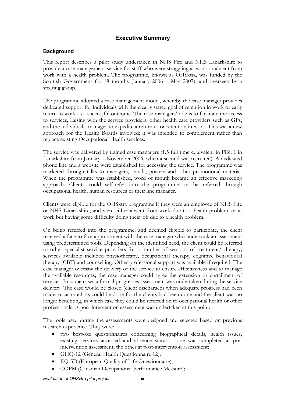# Executive Summary

#### **Background**

This report describes a pilot study undertaken in NHS Fife and NHS Lanarkshire to provide a case management service for staff who were struggling at work or absent from work with a health problem. The programme, known as OHSxtra, was funded by the Scottish Government for 18 months (January 2006 – May 2007), and overseen by a steering group.

The programme adopted a case management model, whereby the case manager provides dedicated support for individuals with the clearly stated goal of retention in work or early return to work as a successful outcome. The case managers' role is to facilitate the access to services, liaising with the service providers, other health care providers such as GPs, and the individual's manager to expedite a return to or retention in work. This was a new approach for the Health Boards involved; it was intended to complement rather than replace existing Occupational Health services.

The service was delivered by trained case managers (1.5 full time equivalent in Fife; 1 in Lanarkshire from January – November 2006, when a second was recruited). A dedicated phone line and a website were established for accessing the service. The programme was marketed through talks to managers, stands, posters and other promotional material. When the programme was established, word of mouth became an effective marketing approach. Clients could self-refer into the programme, or be referred through occupational health, human resources or their line manager.

Clients were eligible for the OHSxtra programme if they were an employee of NHS Fife or NHS Lanarkshire; and were either absent from work due to a health problem, or at work but having some difficulty doing their job due to a health problem.

On being referred into the programme, and deemed eligible to participate, the client received a face to face appointment with the case manager who undertook an assessment using predetermined tools. Depending on the identified need, the client could be referred to other specialist service providers for a number of sessions of treatment/ therapy; services available included physiotherapy, occupational therapy, cognitive behavioural therapy (CBT) and counselling. Other professional support was available if required. The case manager oversaw the delivery of the service to ensure effectiveness and to manage the available resources; the case manager could agree the extension or curtailment of services. In some cases a formal progresses assessment was undertaken during the service delivery. The case would be closed (client discharged) when adequate progress had been made, or as much as could be done for the clients had been done and the client was no longer benefiting, in which case they could be referred on to occupational health or other professionals. A post-intervention assessment was undertaken at this point.

The tools used during the assessments were designed and selected based on previous research experience. They were:

- two bespoke questionnaires concerning biographical details, health issues, existing services accessed and absence status – one was completed at preintervention assessment, the other at post-intervention assessment;
- GHQ-12 (General Health Questionnaire 12);
- EQ-5D (European Quality of Life Questionnaire);
- COPM (Canadian Occupational Performance Measure);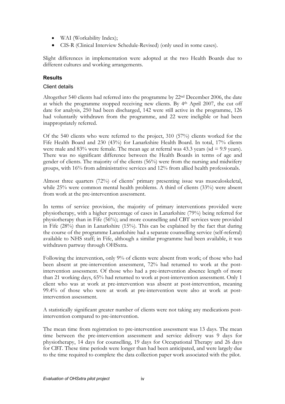- WAI (Workability Index);
- CIS-R (Clinical Interview Schedule-Revised) (only used in some cases).

Slight differences in implementation were adopted at the two Health Boards due to different cultures and working arrangements.

## Results

#### Client details

Altogether 540 clients had referred into the programme by 22nd December 2006, the date at which the programme stopped receiving new clients. By 4th April 2007, the cut off date for analysis, 250 had been discharged, 142 were still active in the programme, 126 had voluntarily withdrawn from the programme, and 22 were ineligible or had been inappropriately referred.

Of the 540 clients who were referred to the project, 310 (57%) clients worked for the Fife Health Board and 230 (43%) for Lanarkshire Health Board. In total, 17% clients were male and  $83\%$  were female. The mean age at referral was  $43.3$  years (sd = 9.9 years). There was no significant difference between the Health Boards in terms of age and gender of clients. The majority of the clients (56%) were from the nursing and midwifery groups, with 16% from administrative services and 12% from allied health professionals.

Almost three quarters (72%) of clients' primary presenting issue was musculoskeletal, while 25% were common mental health problems. A third of clients (33%) were absent from work at the pre-intervention assessment.

In terms of service provision, the majority of primary interventions provided were physiotherapy, with a higher percentage of cases in Lanarkshire (79%) being referred for physiotherapy than in Fife (56%); and more counselling and CBT services were provided in Fife (28%) than in Lanarkshire (15%). This can be explained by the fact that during the course of the programme Lanarkshire had a separate counselling service (self-referral) available to NHS staff; in Fife, although a similar programme had been available, it was withdrawn partway through OHSxtra.

Following the intervention, only 9% of clients were absent from work; of those who had been absent at pre-intervention assessment, 72% had returned to work at the postintervention assessment. Of those who had a pre-intervention absence length of more than 21 working days, 65% had returned to work at post-intervention assessment. Only 1 client who was at work at pre-intervention was absent at post-intervention, meaning 99.4% of those who were at work at pre-intervention were also at work at postintervention assessment.

A statistically significant greater number of clients were not taking any medications postintervention compared to pre-intervention.

The mean time from registration to pre-intervention assessment was 13 days. The mean time between the pre-intervention assessment and service delivery was 9 days for physiotherapy, 14 days for counselling, 19 days for Occupational Therapy and 26 days for CBT. These time periods were longer than had been anticipated, and were largely due to the time required to complete the data collection paper work associated with the pilot.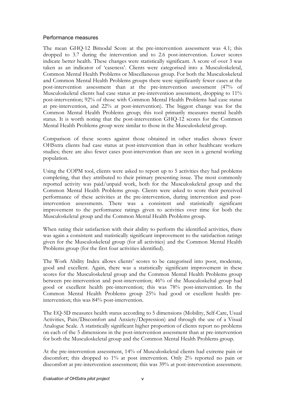#### Performance measures

The mean GHQ-12 Bimodal Score at the pre-intervention assessment was 4.1; this dropped to 3.7 during the intervention and to 2.6 post-intervention. Lower scores indicate better health. These changes were statistically significant. A score of over 3 was taken as an indicator of 'caseness'. Clients were categorised into a Musculoskeletal, Common Mental Health Problems or Miscellaneous group. For both the Musculoskeletal and Common Mental Health Problems groups there were significantly fewer cases at the post-intervention assessment than at the pre-intervention assessment (47% of Musculoskeletal clients had case status at pre-intervention assessment, dropping to 11% post-intervention; 92% of those with Common Mental Health Problems had case status at pre-intervention, and 22% at post-intervention). The biggest change was for the Common Mental Health Problems group; this tool primarily measures mental health status. It is worth noting that the post-intervention GHQ-12 scores for the Common Mental Health Problems group were similar to those in the Musculoskeletal group.

Comparison of these scores against those obtained in other studies shows fewer OHSxtra clients had case status at post-intervention than in other healthcare workers studies; there are also fewer cases post-intervention than are seen in a general working population.

Using the COPM tool, clients were asked to report up to 5 activities they had problems completing, that they attributed to their primary presenting issue. The most commonly reported activity was paid/unpaid work, both for the Musculoskeletal group and the Common Mental Health Problems group. Clients were asked to score their perceived performance of these activities at the pre-intervention, during intervention and postintervention assessments. There was a consistent and statistically significant improvement to the performance ratings given to activities over time for both the Musculoskeletal group and the Common Mental Health Problems group.

When rating their satisfaction with their ability to perform the identified activities, there was again a consistent and statistically significant improvement to the satisfaction ratings given for the Musculoskeletal group (for all activities) and the Common Mental Health Problems group (for the first four activities identified).

The Work Ability Index allows clients' scores to be categorised into poor, moderate, good and excellent. Again, there was a statistically significant improvement in these scores for the Musculoskeletal group and the Common Mental Health Problems group between pre-intervention and post-intervention; 46% of the Musculoskeltal group had good or excellent health pre-intervention; this was 78% post-intervention. In the Common Mental Health Problems group 25% had good or excellent health preintervention; this was 84% post-intervention.

The EQ-5D measures health status according to 5 dimensions (Mobility, Self-Care, Usual Activities, Pain/Discomfort and Anxiety/Depression) and through the use of a Visual Analogue Scale. A statistically significant higher proportion of clients report no problems on each of the 5 dimensions in the post-intervention assessment than at pre-intervention for both the Musculoskeletal group and the Common Mental Health Problems group.

At the pre-intervention assessment, 14% of Musculoskeletal clients had extreme pain or discomfort; this dropped to 1% at post intervention. Only 2% reported no pain or discomfort at pre-intervention assessment; this was 39% at post-intervention assessment.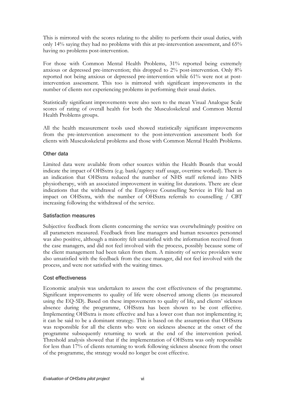This is mirrored with the scores relating to the ability to perform their usual duties, with only 14% saying they had no problems with this at pre-intervention assessment, and 65% having no problems post-intervention.

For those with Common Mental Health Problems, 31% reported being extremely anxious or depressed pre-intervention; this dropped to 2% post-intervention. Only 8% reported not being anxious or depressed pre-intervention while 61% were not at postintervention assessment. This too is mirrored with significant improvements in the number of clients not experiencing problems in performing their usual duties.

Statistically significant improvements were also seen to the mean Visual Analogue Scale scores of rating of overall health for both the Musculoskeletal and Common Mental Health Problems groups.

All the health measurement tools used showed statistically significant improvements from the pre-intervention assessment to the post-intervention assessment both for clients with Musculoskeletal problems and those with Common Mental Health Problems.

#### Other data

Limited data were available from other sources within the Health Boards that would indicate the impact of OHSxtra (e.g. bank/agency staff usage, overtime worked). There is an indication that OHSxtra reduced the number of NHS staff referred into NHS physiotherapy, with an associated improvement in waiting list durations. There are clear indications that the withdrawal of the Employee Counselling Service in Fife had an impact on OHSxtra, with the number of OHSxtra referrals to counselling / CBT increasing following the withdrawal of the service.

#### Satisfaction measures

Subjective feedback from clients concerning the service was overwhelmingly positive on all parameters measured. Feedback from line managers and human resources personnel was also positive, although a minority felt unsatisfied with the information received from the case managers, and did not feel involved with the process, possibly because some of the client management had been taken from them. A minority of service providers were also unsatisfied with the feedback from the case manager, did not feel involved with the process, and were not satisfied with the waiting times.

#### Cost effectiveness

Economic analysis was undertaken to assess the cost effectiveness of the programme. Significant improvements to quality of life were observed among clients (as measured using the EQ-5D). Based on these improvements to quality of life, and clients' sickness absence during the programme, OHSxtra has been shown to be cost effective. Implementing OHSxtra is more effective and has a lower cost than not implementing it; it can be said to be a dominant strategy. This is based on the assumption that OHSxtra was responsible for all the clients who were on sickness absence at the onset of the programme subsequently returning to work at the end of the intervention period. Threshold analysis showed that if the implementation of OHSxtra was only responsible for less than 17% of clients returning to work following sickness absence from the onset of the programme, the strategy would no longer be cost effective.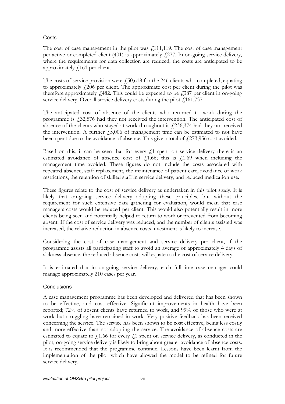## **Costs**

The cost of case management in the pilot was  $f<sub>1</sub>111,119$ . The cost of case management per active or completed client (401) is approximately  $f(277)$ . In on-going service delivery, where the requirements for data collection are reduced, the costs are anticipated to be approximately £161 per client.

The costs of service provision were  $\mu$  50,618 for the 246 clients who completed, equating to approximately  $\angle$ 206 per client. The approximate cost per client during the pilot was therefore approximately  $f<sub>1</sub>482$ . This could be expected to be  $f<sub>1</sub>387$  per client in on-going service delivery. Overall service delivery costs during the pilot  $f$ 161,737.

The anticipated cost of absence of the clients who returned to work during the programme is £32,576 had they not received the intervention. The anticipated cost of absence of the clients who stayed at work throughout is  $f(236,374)$  had they not received the intervention. A further  $\dot{f}$  5,006 of management time can be estimated to not have been spent due to the avoidance of absence. This give a total of  $\frac{273,956}{273,956}$  cost avoided.

Based on this, it can be seen that for every  $f<sub>1</sub>$  spent on service delivery there is an estimated avoidance of absence cost of  $f(1.66;$  this is  $f(1.69)$  when including the management time avoided. These figures do not include the costs associated with repeated absence, staff replacement, the maintenance of patient care, avoidance of work restrictions, the retention of skilled staff in service delivery, and reduced medication use.

These figures relate to the cost of service delivery as undertaken in this pilot study. It is likely that on-going service delivery adopting these principles, but without the requirement for such extensive data gathering for evaluation, would mean that case managers costs would be reduced per client. This would also potentially result in more clients being seen and potentially helped to return to work or prevented from becoming absent. If the cost of service delivery was reduced, and the number of clients assisted was increased, the relative reduction in absence costs investment is likely to increase.

Considering the cost of case management and service delivery per client, if the programme assists all participating staff to avoid an average of approximately 4 days of sickness absence, the reduced absence costs will equate to the cost of service delivery.

It is estimated that in on-going service delivery, each full-time case manager could manage approximately 210 cases per year.

#### **Conclusions**

A case management programme has been developed and delivered that has been shown to be effective, and cost effective. Significant improvements in health have been reported; 72% of absent clients have returned to work, and 99% of those who were at work but struggling have remained in work. Very positive feedback has been received concerning the service. The service has been shown to be cost effective, being less costly and more effective than not adopting the service. The avoidance of absence costs are estimated to equate to  $f<sub>1.66</sub>$  for every  $f<sub>1</sub>$  spent on service delivery, as conducted in the pilot; on-going service delivery is likely to bring about greater avoidance of absence costs. It is recommended that the programme continue. Lessons have been learnt from the implementation of the pilot which have allowed the model to be refined for future service delivery.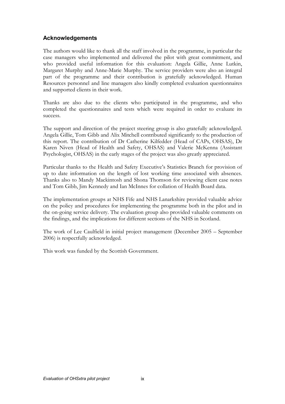## Acknowledgements

The authors would like to thank all the staff involved in the programme, in particular the case managers who implemented and delivered the pilot with great commitment, and who provided useful information for this evaluation: Angela Gillie, Anne Lutkin, Margaret Murphy and Anne-Marie Murphy. The service providers were also an integral part of the programme and their contribution is gratefully acknowledged. Human Resources personnel and line managers also kindly completed evaluation questionnaires and supported clients in their work.

Thanks are also due to the clients who participated in the programme, and who completed the questionnaires and tests which were required in order to evaluate its success.

The support and direction of the project steering group is also gratefully acknowledged. Angela Gillie, Tom Gibb and Alix Mitchell contributed significantly to the production of this report. The contribution of Dr Catherine Kilfedder (Head of CAPs, OHSAS), Dr Karen Niven (Head of Health and Safety, OHSAS) and Valerie McKenna (Assistant Psychologist, OHSAS) in the early stages of the project was also greatly appreciated.

Particular thanks to the Health and Safety Executive's Statistics Branch for provision of up to date information on the length of lost working time associated with absences. Thanks also to Mandy Mackintosh and Shona Thomson for reviewing client case notes and Tom Gibb, Jim Kennedy and Ian McInnes for collation of Health Board data.

The implementation groups at NHS Fife and NHS Lanarkshire provided valuable advice on the policy and procedures for implementing the programme both in the pilot and in the on-going service delivery. The evaluation group also provided valuable comments on the findings, and the implications for different sections of the NHS in Scotland.

The work of Lee Caulfield in initial project management (December 2005 – September 2006) is respectfully acknowledged.

This work was funded by the Scottish Government.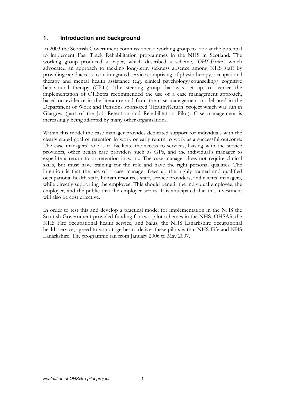## 1. Introduction and background

In 2003 the Scottish Government commissioned a working group to look at the potential to implement Fast Track Rehabilitation programmes in the NHS in Scotland. The working group produced a paper, which described a scheme, 'OHS-Extra', which advocated an approach to tackling long-term sickness absence among NHS staff by providing rapid access to an integrated service comprising of physiotherapy, occupational therapy and mental health assistance (e.g. clinical psychology/counselling/ cognitive behavioural therapy (CBT)). The steering group that was set up to oversee the implementation of OHSxtra recommended the use of a case management approach, based on evidence in the literature and from the case management model used in the Department of Work and Pensions sponsored 'HealthyReturn' project which was run in Glasgow (part of the Job Retention and Rehabilitation Pilot). Case management is increasingly being adopted by many other organisations.

Within this model the case manager provides dedicated support for individuals with the clearly stated goal of retention in work or early return to work as a successful outcome. The case managers' role is to facilitate the access to services, liaising with the service providers, other health care providers such as GPs, and the individual's manager to expedite a return to or retention in work. The case manager does not require clinical skills, but must have training for the role and have the right personal qualities. The intention is that the use of a case manager frees up the highly trained and qualified occupational health staff, human resources staff, service providers, and clients' managers, while directly supporting the employee. This should benefit the individual employee, the employer, and the public that the employer serves. It is anticipated that this investment will also be cost effective.

In order to test this and develop a practical model for implementation in the NHS the Scottish Government provided funding for two pilot schemes in the NHS. OHSAS, the NHS Fife occupational health service, and Salus, the NHS Lanarkshire occupational health service, agreed to work together to deliver these pilots within NHS Fife and NHS Lanarkshire. The programme ran from January 2006 to May 2007.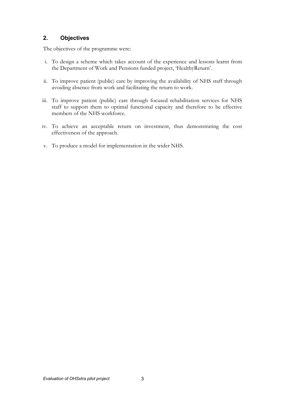# 2. Objectives

The objectives of the programme were:

- i. To design a scheme which takes account of the experience and lessons learnt from the Department of Work and Pensions funded project, 'HealthyReturn'.
- ii. To improve patient (public) care by improving the availability of NHS staff through avoiding absence from work and facilitating the return to work.
- iii. To improve patient (public) care through focused rehabilitation services for NHS staff to support them to optimal functional capacity and therefore to be effective members of the NHS workforce.
- iv. To achieve an acceptable return on investment, thus demonstrating the cost effectiveness of the approach.
- v. To produce a model for implementation in the wider NHS.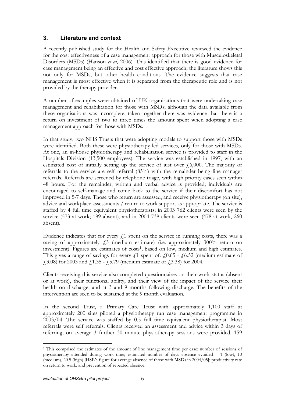# 3. Literature and context

A recently published study for the Health and Safety Executive reviewed the evidence for the cost effectiveness of a case management approach for those with Musculoskeletal Disorders (MSDs) (Hanson et al, 2006). This identified that there is good evidence for case management being an effective and cost effective approach; the literature shows this not only for MSDs, but other health conditions. The evidence suggests that case management is most effective when it is separated from the therapeutic role and is not provided by the therapy provider.

A number of examples were obtained of UK organisations that were undertaking case management and rehabilitation for those with MSDs; although the data available from these organisations was incomplete, taken together there was evidence that there is a return on investment of two to three times the amount spent when adopting a case management approach for those with MSDs.

In that study, two NHS Trusts that were adopting models to support those with MSDs were identified. Both these were physiotherapy led services, only for those with MSDs. At one, an in-house physiotherapy and rehabilitation service is provided to staff in the Hospitals Division (13,500 employees). The service was established in 1997, with an estimated cost of initially setting up the service of just over  $f(6,000)$ . The majority of referrals to the service are self referral (85%) with the remainder being line manager referrals. Referrals are screened by telephone triage, with high priority cases seen within 48 hours. For the remainder, written and verbal advice is provided; individuals are encouraged to self-manage and come back to the service if their discomfort has not improved in 5-7 days. Those who return are assessed, and receive physiotherapy (on site), advice and workplace assessments / return to work support as appropriate. The service is staffed by 4 full time equivalent physiotherapists; in 2003 762 clients were seen by the service (573 at work; 189 absent), and in 2004 738 clients were seen (478 at work, 260 absent).

Evidence indicates that for every  $f<sub>1</sub>$  spent on the service in running costs, there was a saving of approximately  $\ddot{\text{A}}$  (medium estimate) (i.e. approximately 300% return on investment). Figures are estimates of costs<sup>1</sup>, based on low, medium and high estimates. This gives a range of savings for every  $\ell$ 1 spent of:  $\ell$ 0.65 -  $\ell$ 6.52 (medium estimate of  $(2.3.08)$  for 2003 and  $(1.35 - (5.79)$  (medium estimate of  $(2.3.38)$  for 2004.

Clients receiving this service also completed questionnaires on their work status (absent or at work), their functional ability, and their view of the impact of the service their health on discharge, and at 3 and 9 months following discharge. The benefits of the intervention are seen to be sustained at the 9 month evaluation.

In the second Trust, a Primary Care Trust with approximately 1,100 staff at approximately 200 sites piloted a physiotherapy run case management programme in 2003/04. The service was staffed by 0.5 full time equivalent physiotherapist. Most referrals were self referrals. Clients received an assessment and advice within 3 days of referring; on average 3 further 30 minute physiotherapy sessions were provided. 159

 $\overline{a}$ <sup>1</sup> This comprised the estimates of the amount of line management time per case; number of sessions of physiotherapy attended during work time; estimated number of days absence avoided – 1 (low), 10 (medium), 20.5 (high) [HSE's figure for average absence of those with MSDs in 2004/05]; productivity rate on return to work; and prevention of repeated absence.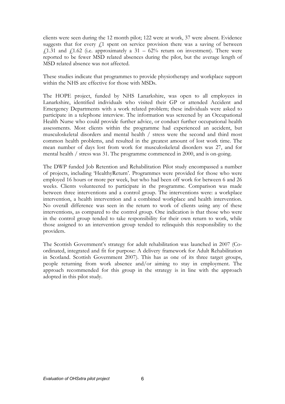clients were seen during the 12 month pilot; 122 were at work, 37 were absent. Evidence suggests that for every  $f<sub>i</sub>$  spent on service provision there was a saving of between £1.31 and £1.62 (i.e. approximately a 31 – 62% return on investment). There were reported to be fewer MSD related absences during the pilot, but the average length of MSD related absence was not affected.

These studies indicate that programmes to provide physiotherapy and workplace support within the NHS are effective for those with MSDs.

The HOPE project, funded by NHS Lanarkshire, was open to all employees in Lanarkshire, identified individuals who visited their GP or attended Accident and Emergency Departments with a work related problem; these individuals were asked to participate in a telephone interview. The information was screened by an Occupational Health Nurse who could provide further advice, or conduct further occupational health assessments. Most clients within the programme had experienced an accident, but musculoskeletal disorders and mental health / stress were the second and third most common health problems, and resulted in the greatest amount of lost work time. The mean number of days lost from work for musculoskeletal disorders was 27, and for mental health / stress was 31. The programme commenced in 2000, and is on-going.

The DWP funded Job Retention and Rehabilitation Pilot study encompassed a number of projects, including 'HealthyReturn'. Programmes were provided for those who were employed 16 hours or more per week, but who had been off work for between 6 and 26 weeks. Clients volunteered to participate in the programme. Comparison was made between three interventions and a control group. The interventions were: a workplace intervention, a health intervention and a combined workplace and health intervention. No overall difference was seen in the return to work of clients using any of these interventions, as compared to the control group. One indication is that those who were in the control group tended to take responsibility for their own return to work, while those assigned to an intervention group tended to relinquish this responsibility to the providers.

The Scottish Government's strategy for adult rehabilitation was launched in 2007 (Coordinated, integrated and fit for purpose: A delivery framework for Adult Rehabilitation in Scotland. Scottish Government 2007). This has as one of its three target groups, people returning from work absence and/or aiming to stay in employment. The approach recommended for this group in the strategy is in line with the approach adopted in this pilot study.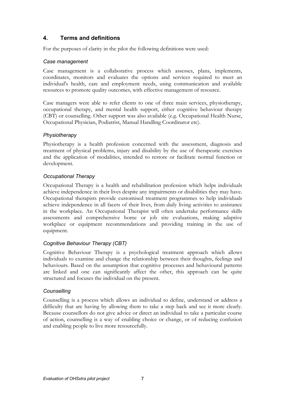# 4. Terms and definitions

For the purposes of clarity in the pilot the following definitions were used:

## Case management

Case management is a collaborative process which assesses, plans, implements, coordinates, monitors and evaluates the options and services required to meet an individual's health, care and employment needs, using communication and available resources to promote quality outcomes, with effective management of resource.

Case managers were able to refer clients to one of three main services, physiotherapy, occupational therapy, and mental health support, either cognitive behaviour therapy (CBT) or counselling. Other support was also available (e.g. Occupational Health Nurse, Occupational Physician, Podiatrist, Manual Handling Coordinator etc).

## **Physiotherapy**

Physiotherapy is a health profession concerned with the assessment, diagnosis and treatment of physical problems, injury and disability by the use of therapeutic exercises and the application of modalities, intended to restore or facilitate normal function or development.

## Occupational Therapy

Occupational Therapy is a health and rehabilitation profession which helps individuals achieve independence in their lives despite any impairments or disabilities they may have. Occupational therapists provide customised treatment programmes to help individuals achieve independence in all facets of their lives, from daily living activities to assistance in the workplace. An Occupational Therapist will often undertake performance skills assessments and comprehensive home or job site evaluations, making adaptive workplace or equipment recommendations and providing training in the use of equipment.

## Cognitive Behaviour Therapy (CBT)

Cognitive Behaviour Therapy is a psychological treatment approach which allows individuals to examine and change the relationship between their thoughts, feelings and behaviours. Based on the assumption that cognitive processes and behavioural patterns are linked and one can significantly affect the other, this approach can be quite structured and focuses the individual on the present.

#### **Counselling**

Counselling is a process which allows an individual to define, understand or address a difficulty that are having by allowing them to take a step back and see it more clearly. Because counsellors do not give advice or direct an individual to take a particular course of action, counselling is a way of enabling choice or change, or of reducing confusion and enabling people to live more resourcefully.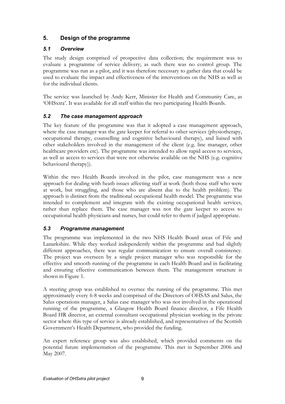# 5. Design of the programme

## 5.1 Overview

The study design comprised of prospective data collection; the requirement was to evaluate a programme of service delivery; as such there was no control group. The programme was run as a pilot, and it was therefore necessary to gather data that could be used to evaluate the impact and effectiveness of the interventions on the NHS as well as for the individual clients.

The service was launched by Andy Kerr, Minister for Health and Community Care, as 'OHSxtra'. It was available for all staff within the two participating Health Boards.

## 5.2 The case management approach

The key feature of the programme was that it adopted a case management approach, where the case manager was the gate keeper for referral to other services (physiotherapy, occupational therapy, counselling and cognitive behavioural therapy), and liaised with other stakeholders involved in the management of the client (e.g. line manager, other healthcare providers etc). The programme was intended to allow rapid access to services, as well as access to services that were not otherwise available on the NHS (e.g. cognitive behavioural therapy)).

Within the two Health Boards involved in the pilot, case management was a new approach for dealing with heath issues affecting staff at work (both those staff who were at work, but struggling, and those who are absent due to the health problem). The approach is distinct from the traditional occupational health model. The programme was intended to complement and integrate with the existing occupational health services, rather than replace them. The case manager was not the gate keeper to access to occupational health physicians and nurses, but could refer to them if judged appropriate.

## 5.3 Programme management

The programme was implemented in the two NHS Health Board areas of Fife and Lanarkshire. While they worked independently within the programme and had slightly different approaches, there was regular communication to ensure overall consistency. The project was overseen by a single project manager who was responsible for the effective and smooth running of the programme in each Health Board and in facilitating and ensuring effective communication between them. The management structure is shown in Figure 1.

A steering group was established to oversee the running of the programme. This met approximately every 6-8 weeks and comprised of the Directors of OHSAS and Salus, the Salus operations manager, a Salus case manager who was not involved in the operational running of the programme, a Glasgow Health Board finance director, a Fife Health Board HR director, an external consultant occupational physician working in the private sector where this type of service is already established, and representatives of the Scottish Government's Health Department, who provided the funding.

An expert reference group was also established, which provided comments on the potential future implementation of the programme. This met in September 2006 and May 2007.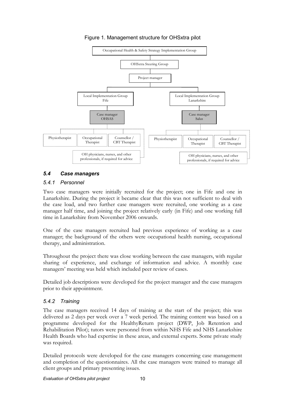

Figure 1. Management structure for OHSxtra pilot

## 5.4 Case managers

## 5.4.1 Personnel

Two case managers were initially recruited for the project; one in Fife and one in Lanarkshire. During the project it became clear that this was not sufficient to deal with the case load, and two further case managers were recruited, one working as a case manager half time, and joining the project relatively early (in Fife) and one working full time in Lanarkshire from November 2006 onwards.

One of the case managers recruited had previous experience of working as a case manager; the background of the others were occupational health nursing, occupational therapy, and administration.

Throughout the project there was close working between the case managers, with regular sharing of experience, and exchange of information and advice. A monthly case managers' meeting was held which included peer review of cases.

Detailed job descriptions were developed for the project manager and the case managers prior to their appointment.

## 5.4.2 Training

The case managers received 14 days of training at the start of the project; this was delivered as 2 days per week over a 7 week period. The training content was based on a programme developed for the HealthyReturn project (DWP, Job Retention and Rehabilitation Pilot); tutors were personnel from within NHS Fife and NHS Lanarkshire Health Boards who had expertise in these areas, and external experts. Some private study was required.

Detailed protocols were developed for the case managers concerning case management and completion of the questionnaires. All the case managers were trained to manage all client groups and primary presenting issues.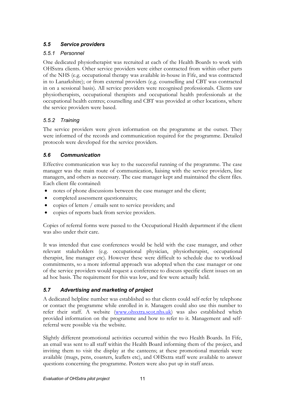# 5.5 Service providers

# 5.5.1 Personnel

One dedicated physiotherapist was recruited at each of the Health Boards to work with OHSxtra clients. Other service providers were either contracted from within other parts of the NHS (e.g. occupational therapy was available in-house in Fife, and was contracted in to Lanarkshire); or from external providers (e.g. counselling and CBT was contracted in on a sessional basis). All service providers were recognised professionals. Clients saw physiotherapists, occupational therapists and occupational health professionals at the occupational health centres; counselling and CBT was provided at other locations, where the service providers were based.

## 5.5.2 Training

The service providers were given information on the programme at the outset. They were informed of the records and communication required for the programme. Detailed protocols were developed for the service providers.

## 5.6 Communication

Effective communication was key to the successful running of the programme. The case manager was the main route of communication, liaising with the service providers, line managers, and others as necessary. The case manager kept and maintained the client files. Each client file contained:

- notes of phone discussions between the case manager and the client;
- completed assessment questionnaires;
- copies of letters / emails sent to service providers; and
- copies of reports back from service providers.

Copies of referral forms were passed to the Occupational Health department if the client was also under their care.

It was intended that case conferences would be held with the case manager, and other relevant stakeholders (e.g. occupational physician, physiotherapist, occupational therapist, line manager etc). However these were difficult to schedule due to workload commitments, so a more informal approach was adopted when the case manager or one of the service providers would request a conference to discuss specific client issues on an ad hoc basis. The requirement for this was low, and few were actually held.

# 5.7 Advertising and marketing of project

A dedicated helpline number was established so that clients could self-refer by telephone or contact the programme while enrolled in it. Managers could also use this number to refer their staff. A website (www.ohsxtra.scot.nhs.uk) was also established which provided information on the programme and how to refer to it. Management and selfreferral were possible via the website.

Slightly different promotional activities occurred within the two Health Boards. In Fife, an email was sent to all staff within the Health Board informing them of the project, and inviting them to visit the display at the canteens; at these promotional materials were available (mugs, pens, coasters, leaflets etc), and OHSxtra staff were available to answer questions concerning the programme. Posters were also put up in staff areas.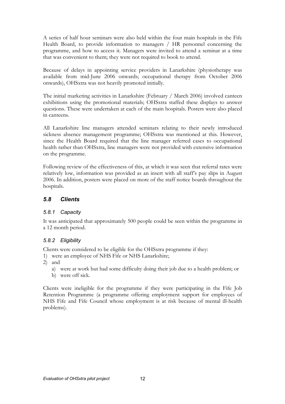A series of half hour seminars were also held within the four main hospitals in the Fife Health Board, to provide information to managers / HR personnel concerning the programme, and how to access it. Managers were invited to attend a seminar at a time that was convenient to them; they were not required to book to attend.

Because of delays in appointing service providers in Lanarkshire (physiotherapy was available from mid-June 2006 onwards; occupational therapy from October 2006 onwards), OHSxtra was not heavily promoted initially.

The initial marketing activities in Lanarkshire (February / March 2006) involved canteen exhibitions using the promotional materials; OHSxtra staffed these displays to answer questions. These were undertaken at each of the main hospitals. Posters were also placed in canteens.

All Lanarkshire line managers attended seminars relating to their newly introduced sickness absence management programme; OHSxtra was mentioned at this. However, since the Health Board required that the line manager referred cases to occupational health rather than OHSxtra, line managers were not provided with extensive information on the programme.

Following review of the effectiveness of this, at which it was seen that referral rates were relatively low, information was provided as an insert with all staff's pay slips in August 2006. In addition, posters were placed on more of the staff notice boards throughout the hospitals.

# 5.8 Clients

## 5.8.1 Capacity

It was anticipated that approximately 500 people could be seen within the programme in a 12 month period.

## 5.8.2 Eligibility

Clients were considered to be eligible for the OHSxtra programme if they:

- 1) were an employee of NHS Fife or NHS Lanarkshire;
- 2) and
	- a) were at work but had some difficulty doing their job due to a health problem; or
	- b) were off sick.

Clients were ineligible for the programme if they were participating in the Fife Job Retention Programme (a programme offering employment support for employees of NHS Fife and Fife Council whose employment is at risk because of mental ill-health problems).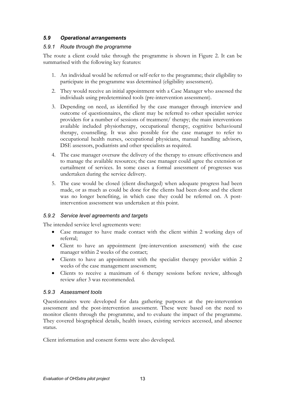## 5.9 Operational arrangements

## 5.9.1 Route through the programme

The route a client could take through the programme is shown in Figure 2. It can be summarised with the following key features:

- 1. An individual would be referred or self-refer to the programme; their eligibility to participate in the programme was determined (eligibility assessment).
- 2. They would receive an initial appointment with a Case Manager who assessed the individuals using predetermined tools (pre-intervention assessment).
- 3. Depending on need, as identified by the case manager through interview and outcome of questionnaires, the client may be referred to other specialist service providers for a number of sessions of treatment/ therapy; the main interventions available included physiotherapy, occupational therapy, cognitive behavioural therapy, counselling. It was also possible for the case manager to refer to occupational health nurses, occupational physicians, manual handling advisors, DSE assessors, podiatrists and other specialists as required.
- 4. The case manager oversaw the delivery of the therapy to ensure effectiveness and to manage the available resources; the case manager could agree the extension or curtailment of services. In some cases a formal assessment of progresses was undertaken during the service delivery.
- 5. The case would be closed (client discharged) when adequate progress had been made, or as much as could be done for the clients had been done and the client was no longer benefiting, in which case they could be referred on. A postintervention assessment was undertaken at this point.

#### 5.9.2 Service level agreements and targets

The intended service level agreements were:

- Case manager to have made contact with the client within 2 working days of referral;
- Client to have an appointment (pre-intervention assessment) with the case manager within 2 weeks of the contact;
- Clients to have an appointment with the specialist therapy provider within 2 weeks of the case management assessment;
- Clients to receive a maximum of 6 therapy sessions before review, although review after 3 was recommended.

#### 5.9.3 Assessment tools

Questionnaires were developed for data gathering purposes at the pre-intervention assessment and the post-intervention assessment. These were based on the need to monitor clients through the programme, and to evaluate the impact of the programme. They covered biographical details, health issues, existing services accessed, and absence status.

Client information and consent forms were also developed.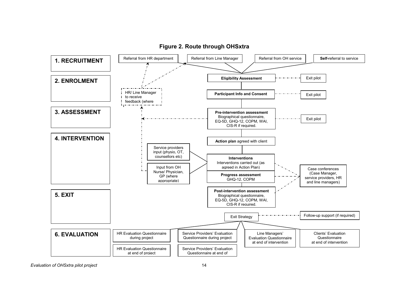

#### Figure 2. Route through OHSxtra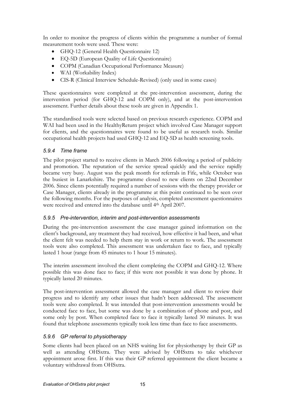In order to monitor the progress of clients within the programme a number of formal measurement tools were used. These were:

- GHQ-12 (General Health Questionnaire 12)
- EQ-5D (European Quality of Life Questionnaire)
- COPM (Canadian Occupational Performance Measure)
- WAI (Workability Index)
- CIS-R (Clinical Interview Schedule-Revised) (only used in some cases)

These questionnaires were completed at the pre-intervention assessment, during the intervention period (for GHQ-12 and COPM only), and at the post-intervention assessment. Further details about these tools are given in Appendix 1.

The standardised tools were selected based on previous research experience. COPM and WAI had been used in the HealthyReturn project which involved Case Manager support for clients, and the questionnaires were found to be useful as research tools. Similar occupational health projects had used GHQ-12 and EQ-5D as health screening tools.

## 5.9.4 Time frame

The pilot project started to receive clients in March 2006 following a period of publicity and promotion. The reputation of the service spread quickly and the service rapidly became very busy. August was the peak month for referrals in Fife, while October was the busiest in Lanarkshire. The programme closed to new clients on 22nd December 2006. Since clients potentially required a number of sessions with the therapy provider or Case Manager, clients already in the programme at this point continued to be seen over the following months. For the purposes of analysis, completed assessment questionnaires were received and entered into the database until 4th April 2007.

## 5.9.5 Pre-intervention, interim and post-intervention assessments

During the pre-intervention assessment the case manager gained information on the client's background, any treatment they had received, how effective it had been, and what the client felt was needed to help them stay in work or return to work. The assessment tools were also completed. This assessment was undertaken face to face, and typically lasted 1 hour (range from 45 minutes to 1 hour 15 minutes).

The interim assessment involved the client completing the COPM and GHQ-12. Where possible this was done face to face; if this were not possible it was done by phone. It typically lasted 20 minutes.

The post-intervention assessment allowed the case manager and client to review their progress and to identify any other issues that hadn't been addressed. The assessment tools were also completed. It was intended that post-intervention assessments would be conducted face to face, but some was done by a combination of phone and post, and some only by post. When completed face to face it typically lasted 30 minutes. It was found that telephone assessments typically took less time than face to face assessments.

## 5.9.6 GP referral to physiotherapy

Some clients had been placed on an NHS waiting list for physiotherapy by their GP as well as attending OHSxtra. They were advised by OHSxtra to take whichever appointment arose first. If this was their GP referred appointment the client became a voluntary withdrawal from OHSxtra.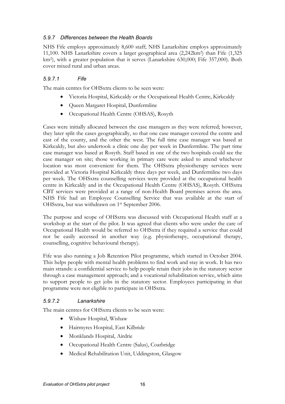## 5.9.7 Differences between the Health Boards

NHS Fife employs approximately 8,600 staff; NHS Lanarkshire employs approximately 11,100. NHS Lanarkshire covers a larger geographical area (2,242km<sup>2</sup> ) than Fife (1,325 km<sup>2</sup> ), with a greater population that it serves (Lanarkshire 630,000; Fife 357,000). Both cover mixed rural and urban areas.

## 5.9.7.1 Fife

The main centres for OHSxtra clients to be seen were:

- Victoria Hospital, Kirkcaldy or the Occupational Health Centre, Kirkcaldy
- Queen Margaret Hospital, Dunfermline
- Occupational Health Centre (OHSAS), Rosyth

Cases were initially allocated between the case managers as they were referred; however, they later split the cases geographically, so that one case manager covered the centre and east of the county, and the other the west. The full time case manager was based at Kirkcaldy, but also undertook a clinic one day per week in Dunfermline. The part time case manager was based at Rosyth. Staff based in one of the two hospitals could see the case manager on site; those working in primary care were asked to attend whichever location was most convenient for them. The OHSxtra physiotherapy services were provided at Victoria Hospital Kirkcaldy three days per week, and Dunfermline two days per week. The OHSxtra counselling services were provided at the occupational health centre in Kirkcaldy and in the Occupational Health Centre (OHSAS), Rosyth. OHSxtra CBT services were provided at a range of non-Health Board premises across the area. NHS Fife had an Employee Counselling Service that was available at the start of OHSxtra, but was withdrawn on 1st September 2006.

The purpose and scope of OHSxtra was discussed with Occupational Health staff at a workshop at the start of the pilot. It was agreed that clients who were under the care of Occupational Health would be referred to OHSxtra if they required a service that could not be easily accessed in another way (e.g. physiotherapy, occupational therapy, counselling, cognitive behavioural therapy).

Fife was also running a Job Retention Pilot programme, which started in October 2004. This helps people with mental health problems to find work and stay in work. It has two main strands: a confidential service to help people retain their jobs in the statutory sector through a case management approach; and a vocational rehabilitation service, which aims to support people to get jobs in the statutory sector. Employees participating in that programme were not eligible to participate in OHSxtra.

## 5.9.7.2 Lanarkshire

The main centres for OHSxtra clients to be seen were:

- Wishaw Hospital, Wishaw
- Hairmyres Hospital, East Kilbride
- Monklands Hospital, Airdrie
- Occupational Health Centre (Salus), Coatbridge
- Medical Rehabilitation Unit, Uddingston, Glasgow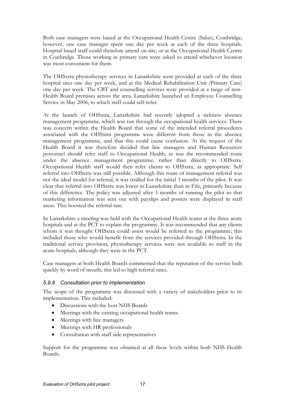Both case managers were based at the Occupational Health Centre (Salus), Coatbridge; however, one case manager spent one day per week at each of the three hospitals. Hospital based staff could therefore attend on site, or at the Occupational Health Centre in Coatbridge. Those working in primary care were asked to attend whichever location was most convenient for them.

The OHSxtra physiotherapy services in Lanarkshire were provided at each of the three hospital sites one day per week, and at the Medical Rehabilitation Unit (Primary Care) one day per week. The CBT and counselling services were provided at a range of non-Health Board premises across the area. Lanarkshire launched an Employee Counselling Service in May 2006, to which staff could self-refer.

At the launch of OHSxtra, Lanarkshire had recently adopted a sickness absence management programme, which was run through the occupational health services. There was concern within the Health Board that some of the intended referral procedures associated with the OHSxtra programme were different from those in the absence management programme, and that this could cause confusion. At the request of the Health Board it was therefore decided that line managers and Human Resources personnel should refer staff to Occupational Health, as was the recommended route under the absence management programme, rather than directly to OHSxtra. Occupational Health staff would then refer clients to OHSxtra, as appropriate. Self referral into OHSxtra was still possible. Although this route of management referral was not the ideal model for referral, it was trialled for the initial 3 months of the pilot. It was clear that referral into OHSxtra was lower in Lanarkshire than in Fife, primarily because of this difference. The policy was adjusted after 3 months of running the pilot so that marketing information was sent out with payslips and posters were displayed in staff areas. This boosted the referral rate.

In Lanarkshire a meeting was held with the Occupational Health teams at the three acute hospitals and at the PCT to explain the programme. It was recommended that any clients whom it was thought OHSxtra could assist would be referred to the programme; this included those who would benefit from the services provided through OHSxtra. In the traditional service provision, physiotherapy services were not available to staff in the acute hospitals, although they were in the PCT.

Case managers at both Health Boards commented that the reputation of the service built quickly by word of mouth; this led to high referral rates.

#### 5.9.8 Consultation prior to implementation

The scope of the programme was discussed with a variety of stakeholders prior to its implementation. This included:

- Discussions with the host NHS Boards
- Meetings with the existing occupational health teams.
- Meetings with line managers
- Meetings with HR professionals
- Consultation with staff side representatives

Support for the programme was obtained at all these levels within both NHS Health Boards.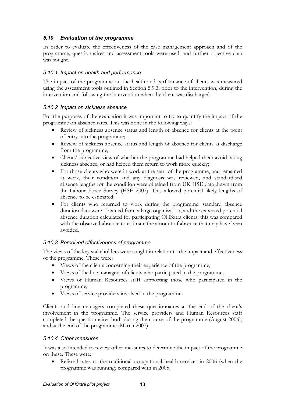## 5.10 Evaluation of the programme

In order to evaluate the effectiveness of the case management approach and of the programme, questionnaires and assessment tools were used, and further objective data was sought.

## 5.10.1 Impact on health and performance

The impact of the programme on the health and performance of clients was measured using the assessment tools outlined in Section 5.9.3, prior to the intervention, during the intervention and following the intervention when the client was discharged.

## 5.10.2 Impact on sickness absence

For the purposes of the evaluation it was important to try to quantify the impact of the programme on absence rates. This was done in the following ways:

- Review of sickness absence status and length of absence for clients at the point of entry into the programme;
- Review of sickness absence status and length of absence for clients at discharge from the programme;
- Clients' subjective view of whether the programme had helped them avoid taking sickness absence, or had helped them return to work more quickly;
- For those clients who were in work at the start of the programme, and remained at work, their condition and any diagnosis was reviewed, and standardised absence lengths for the condition were obtained from UK HSE data drawn from the Labour Force Survey (HSE 2007). This allowed potential likely lengths of absence to be estimated.
- For clients who returned to work during the programme, standard absence duration data were obtained from a large organisation, and the expected potential absence duration calculated for participating OHSxtra clients; this was compared with the observed absence to estimate the amount of absence that may have been avoided.

## 5.10.3 Perceived effectiveness of programme

The views of the key stakeholders were sought in relation to the impact and effectiveness of the programme. These were:

- Views of the clients concerning their experience of the programme:
- Views of the line managers of clients who participated in the programme;
- Views of Human Resources staff supporting those who participated in the programme;
- Views of service providers involved in the programme.

Clients and line managers completed these questionnaires at the end of the client's involvement in the programme. The service providers and Human Resources staff completed the questionnaires both during the course of the programme (August 2006), and at the end of the programme (March 2007).

## 5.10.4 Other measures

It was also intended to review other measures to determine the impact of the programme on these. These were:

Referral rates to the traditional occupational health services in 2006 (when the programme was running) compared with in 2005.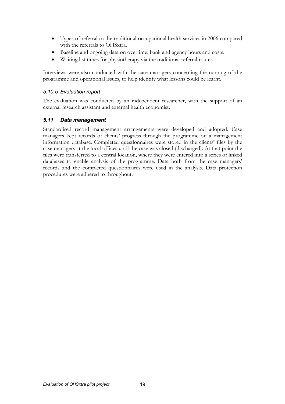- Types of referral to the traditional occupational health services in 2006 compared with the referrals to OHSxtra.
- Baseline and ongoing data on overtime, bank and agency hours and costs.
- Waiting list times for physiotherapy via the traditional referral routes.

Interviews were also conducted with the case managers concerning the running of the programme and operational issues, to help identify what lessons could be learnt.

#### 5.10.5 Evaluation report

The evaluation was conducted by an independent researcher, with the support of an external research assistant and external health economist.

## 5.11 Data management

Standardised record management arrangements were developed and adopted. Case managers kept records of clients' progress through the programme on a management information database. Completed questionnaires were stored in the clients' files by the case managers at the local offices until the case was closed (discharged). At that point the files were transferred to a central location, where they were entered into a series of linked databases to enable analysis of the programme. Data both from the case managers' records and the completed questionnaires were used in the analysis. Data protection procedures were adhered to throughout.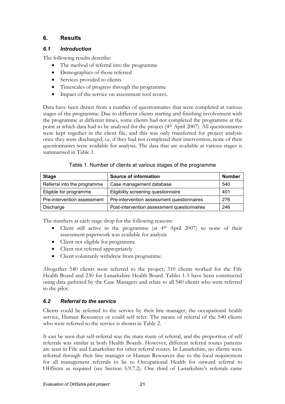# 6. Results

## 6.1 Introduction

The following results describe:

- The method of referral into the programme
- Demographics of those referred
- Services provided to clients
- Timescales of progress through the programme
- Impact of the service on assessment tool scores.

Data have been drawn from a number of questionnaires that were completed at various stages of the programme. Due to different clients starting and finishing involvement with the programme at different times, some clients had not completed the programme at the point at which data had to be analysed for the project (4th April 2007). All questionnaires were kept together in the client file, and this was only transferred for project analysis once they were discharged; i.e. if they had not completed their intervention, none of their questionnaires were available for analysis. The data that are available at various stages is summarised in Table 1.

| Table 1. Number of clients at various stages of the programme |  |
|---------------------------------------------------------------|--|
|---------------------------------------------------------------|--|

| <b>Stage</b>                | <b>Source of information</b>                | <b>Number</b> |
|-----------------------------|---------------------------------------------|---------------|
| Referral into the programme | Case management database                    | 540           |
| Eligible for programme      | Eligibility screening questionnaire         | 401           |
| Pre-intervention assessment | Pre-intervention assessment questionnaires  | 276           |
| Discharge                   | Post-intervention assessment questionnaires | 246           |

The numbers at each stage drop for the following reasons:

- Client still active in the programme (at 4<sup>th</sup> April 2007) so none of their assessment paperwork was available for analysis
- Client not eligible for programme
- Client not referred appropriately
- Client voluntarily withdrew from programme.

Altogether 540 clients were referred to the project; 310 clients worked for the Fife Health Board and 230 for Lanarkshire Health Board. Tables 1-3 have been constructed using data gathered by the Case Managers and relate to all 540 clients who were referred to the pilot.

# 6.2 Referral to the service

Clients could be referred to the service by their line manager, the occupational health service, Human Resources or could self refer. The means of referral of the 540 clients who were referred to the service is shown in Table 2.

It can be seen that self-referral was the main route of referral, and the proportion of self referrals was similar at both Health Boards. However, different referral routes patterns are seen in Fife and Lanarkshire for other referral routes. In Lanarkshire, no clients were referred through their line manager or Human Resources due to the local requirement for all management referrals to be to Occupational Health for onward referral to OHSxtra as required (see Section 5.9.7.2). One third of Lanarkshire's referrals came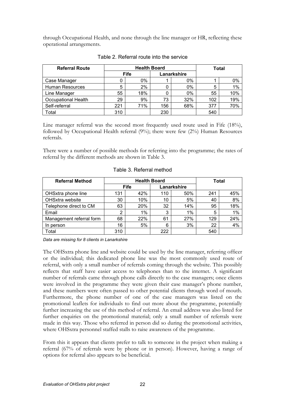through Occupational Health, and none through the line manager or HR, reflecting these operational arrangements.

| <b>Referral Route</b>      | <b>Health Board</b> |       | <b>Total</b> |       |     |     |
|----------------------------|---------------------|-------|--------------|-------|-----|-----|
|                            | Fife                |       | Lanarkshire  |       |     |     |
| Case Manager               |                     | $0\%$ |              | $0\%$ |     | 0%  |
| <b>Human Resources</b>     | 5                   | 2%    |              | $0\%$ | 5   | 1%  |
| Line Manager               | 55                  | 18%   |              | 0%    | 55  | 10% |
| <b>Occupational Health</b> | 29                  | 9%    | 73           | 32%   | 102 | 19% |
| Self-referral              | 221                 | 71%   | 156          | 68%   | 377 | 70% |
| Total                      | 310                 |       | 230          |       | 540 |     |

Table 2. Referral route into the service

Line manager referral was the second most frequently used route used in Fife (18%), followed by Occupational Health referral (9%); there were few (2%) Human Resources referrals.

There were a number of possible methods for referring into the programme; the rates of referral by the different methods are shown in Table 3.

| <b>Referral Method</b>   | <b>Health Board</b> |            |             | <b>Total</b> |     |     |
|--------------------------|---------------------|------------|-------------|--------------|-----|-----|
|                          | <b>Fife</b>         |            | Lanarkshire |              |     |     |
| OHSxtra phone line       | 131                 | 42%        | 110         | 50%          | 241 | 45% |
| OHSxtra website          | 30                  | 10%        | 10          | 5%           | 40  | 8%  |
| Telephone direct to CM   | 63                  | <b>20%</b> | 32          | 14%          | 95  | 18% |
| Email                    | っ                   | 1%         | 3           | $1\%$        | 5   | 1%  |
| Management referral form | 68                  | 22%        | 61          | 27%          | 129 | 24% |
| In person                | 16                  | 5%         | 6           | 3%           | 22  | 4%  |
| Total                    | 310                 |            | 222         |              | 540 |     |

Table 3. Referral method

Data are missing for 8 clients in Lanarkshire

The OHSxtra phone line and website could be used by the line manager, referring officer or the individual; this dedicated phone line was the most commonly used route of referral, with only a small number of referrals coming through the website. This possibly reflects that staff have easier access to telephones than to the internet. A significant number of referrals came through phone calls directly to the case managers; once clients were involved in the programme they were given their case manager's phone number, and these numbers were often passed to other potential clients through word of mouth. Furthermore, the phone number of one of the case managers was listed on the promotional leaflets for individuals to find out more about the programme, potentially further increasing the use of this method of referral. An email address was also listed for further enquiries on the promotional material; only a small number of referrals were made in this way. Those who referred in person did so during the promotional activities, where OHSxtra personnel staffed stalls to raise awareness of the programme.

From this it appears that clients prefer to talk to someone in the project when making a referral (67% of referrals were by phone or in person). However, having a range of options for referral also appears to be beneficial.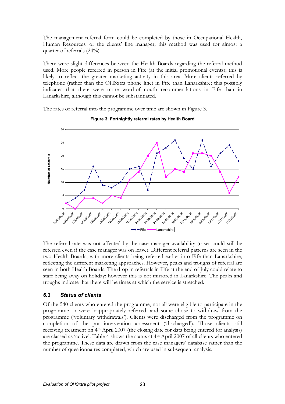The management referral form could be completed by those in Occupational Health, Human Resources, or the clients' line manager; this method was used for almost a quarter of referrals (24%).

There were slight differences between the Health Boards regarding the referral method used. More people referred in person in Fife (at the initial promotional events); this is likely to reflect the greater marketing activity in this area. More clients referred by telephone (rather than the OHSxtra phone line) in Fife than Lanarkshire; this possibly indicates that there were more word-of-mouth recommendations in Fife than in Lanarkshire, although this cannot be substantiated.

The rates of referral into the programme over time are shown in Figure 3.



#### Figure 3: Fortnightly referral rates by Health Board

The referral rate was not affected by the case manager availability (cases could still be referred even if the case manager was on leave). Different referral patterns are seen in the two Health Boards, with more clients being referred earlier into Fife than Lanarkshire, reflecting the different marketing approaches. However, peaks and troughs of referral are seen in both Health Boards. The drop in referrals in Fife at the end of July could relate to staff being away on holiday; however this is not mirrored in Lanarkshire. The peaks and troughs indicate that there will be times at which the service is stretched.

## 6.3 Status of clients

Of the 540 clients who entered the programme, not all were eligible to participate in the programme or were inappropriately referred, and some chose to withdraw from the programme ('voluntary withdrawals'). Clients were discharged from the programme on completion of the post-intervention assessment ('discharged'). Those clients still receiving treatment on 4th April 2007 (the closing date for data being entered for analysis) are classed as 'active'. Table 4 shows the status at 4th April 2007 of all clients who entered the programme. These data are drawn from the case managers' database rather than the number of questionnaires completed, which are used in subsequent analysis.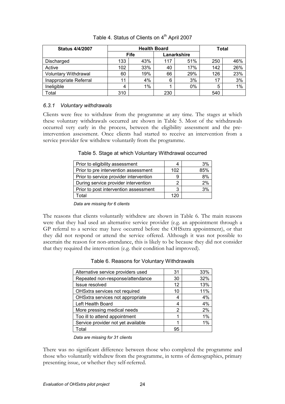| <b>Status 4/4/2007</b>      | <b>Health Board</b> |     |             | <b>Total</b> |     |     |
|-----------------------------|---------------------|-----|-------------|--------------|-----|-----|
|                             | <b>Fife</b>         |     | Lanarkshire |              |     |     |
| Discharged                  | 133                 | 43% | 117         | 51%          | 250 | 46% |
| Active                      | 102                 | 33% | 40          | 17%          | 142 | 26% |
| <b>Voluntary Withdrawal</b> | 60                  | 19% | 66          | 29%          | 126 | 23% |
| Inappropriate Referral      | 11                  | 4%  | 6           | 3%           | 17  | 3%  |
| Ineligible                  | 4                   | 1%  |             | $0\%$        | 5   | 1%  |
| Total                       | 310                 |     | 230         |              | 540 |     |

Table 4. Status of Clients on 4<sup>th</sup> April 2007

## 6.3.1 Voluntary withdrawals

Clients were free to withdraw from the programme at any time. The stages at which these voluntary withdrawals occurred are shown in Table 5. Most of the withdrawals occurred very early in the process, between the eligibility assessment and the preintervention assessment. Once clients had started to receive an intervention from a service provider few withdrew voluntarily from the programme.

Table 5. Stage at which Voluntary Withdrawal occurred

| Prior to eligibility assessment        | 4   | 3%  |
|----------------------------------------|-----|-----|
| Prior to pre intervention assessment   | 102 | 85% |
| Prior to service provider intervention | 9   | 8%  |
| During service provider intervention   | っ   | 2%  |
| Prior to post intervention assessment  | 3   | 3%  |
| <b>Total</b>                           | 120 |     |

Data are missing for 6 clients

The reasons that clients voluntarily withdrew are shown in Table 6. The main reasons were that they had used an alternative service provider (e.g. an appointment through a GP referral to a service may have occurred before the OHSxtra appointment), or that they did not respond or attend the service offered. Although it was not possible to ascertain the reason for non-attendance, this is likely to be because they did not consider that they required the intervention (e.g. their condition had improved).

|  | Table 6. Reasons for Voluntary Withdrawals |
|--|--------------------------------------------|
|  |                                            |

| Alternative service providers used | 31 | 33%   |
|------------------------------------|----|-------|
| Repeated non-response/attendance   | 30 | 32%   |
| Issue resolved                     | 12 | 13%   |
| OHSxtra services not required      | 10 | 11%   |
| OHSxtra services not appropriate   |    | 4%    |
| Left Health Board                  | 4  | 4%    |
| More pressing medical needs        | 2  | 2%    |
| Too ill to attend appointment      |    | $1\%$ |
| Service provider not yet available |    | $1\%$ |
| Total                              | 95 |       |

#### Data are missing for 31 clients

There was no significant difference between those who completed the programme and those who voluntarily withdrew from the programme, in terms of demographics, primary presenting issue, or whether they self-referred.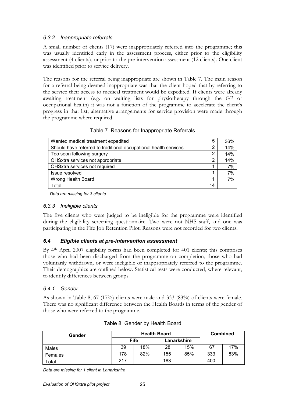## 6.3.2 Inappropriate referrals

A small number of clients (17) were inappropriately referred into the programme; this was usually identified early in the assessment process, either prior to the eligibility assessment (4 clients), or prior to the pre-intervention assessment (12 clients). One client was identified prior to service delivery.

The reasons for the referral being inappropriate are shown in Table 7. The main reason for a referral being deemed inappropriate was that the client hoped that by referring to the service their access to medical treatment would be expedited. If clients were already awaiting treatment (e.g. on waiting lists for physiotherapy through the GP or occupational health) it was not a function of the programme to accelerate the client's progress in that list; alternative arrangements for service provision were made through the programme where required.

| Wanted medical treatment expedited                               | 5  | 36% |
|------------------------------------------------------------------|----|-----|
| Should have referred to traditional occupational health services |    | 14% |
| Too soon following surgery                                       | າ  | 14% |
| OHSxtra services not appropriate                                 | ⌒  | 14% |
| OHSxtra services not required                                    |    | 7%  |
| Issue resolved                                                   |    | 7%  |
| Wrong Health Board                                               |    | 7%  |
| Total                                                            | 14 |     |

Table 7. Reasons for Inappropriate Referrals

Data are missing for 3 clients

#### 6.3.3 Ineligible clients

The five clients who were judged to be ineligible for the programme were identified during the eligibility screening questionnaire. Two were not NHS staff, and one was participating in the Fife Job Retention Pilot. Reasons were not recorded for two clients.

## 6.4 Eligible clients at pre-intervention assessment

By 4th April 2007 eligibility forms had been completed for 401 clients; this comprises those who had been discharged from the programme on completion, those who had voluntarily withdrawn, or were ineligible or inappropriately referred to the programme. Their demographics are outlined below. Statistical tests were conducted, where relevant, to identify differences between groups.

#### 6.4.1 Gender

As shown in Table 8, 67 (17%) clients were male and 333 (83%) of clients were female. There was no significant difference between the Health Boards in terms of the gender of those who were referred to the programme.

| Gender  |                            | <b>Health Board</b> | <b>Combined</b> |     |     |     |
|---------|----------------------------|---------------------|-----------------|-----|-----|-----|
|         | <b>Fife</b><br>Lanarkshire |                     |                 |     |     |     |
| Males   | 39                         | 18%                 | 28              | 15% | 67  | 17% |
| Females | 178                        | 82%                 | 155             | 85% | 333 | 83% |
| Total   | 217                        |                     | 183             |     | 400 |     |

|  |  | Table 8. Gender by Health Board |
|--|--|---------------------------------|
|--|--|---------------------------------|

Data are missing for 1 client in Lanarkshire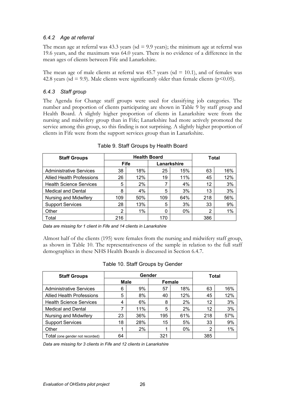### 6.4.2 Age at referral

The mean age at referral was  $43.3$  years (sd = 9.9 years); the minimum age at referral was 19.6 years, and the maximum was 64.0 years. There is no evidence of a difference in the mean ages of clients between Fife and Lanarkshire.

The mean age of male clients at referral was 45.7 years (sd  $= 10.1$ ), and of females was 42.8 years (sd = 9.9). Male clients were significantly older than female clients ( $p$ <0.05).

### 6.4.3 Staff group

The Agenda for Change staff groups were used for classifying job categories. The number and proportion of clients participating are shown in Table 9 by staff group and Health Board. A slightly higher proportion of clients in Lanarkshire were from the nursing and midwifery group than in Fife; Lanarkshire had more actively promoted the service among this group, so this finding is not surprising. A slightly higher proportion of clients in Fife were from the support services group than in Lanarkshire.

| <b>Staff Groups</b>              |                            | <b>Health Board</b> | Total |       |                |     |
|----------------------------------|----------------------------|---------------------|-------|-------|----------------|-----|
|                                  | <b>Fife</b><br>Lanarkshire |                     |       |       |                |     |
| <b>Administrative Services</b>   | 38                         | 18%                 | 25    | 15%   | 63             | 16% |
| <b>Allied Health Professions</b> | 26                         | 12%                 | 19    | 11%   | 45             | 12% |
| <b>Health Science Services</b>   | 5                          | 2%                  |       | 4%    | 12             | 3%  |
| <b>Medical and Dental</b>        | 8                          | 4%                  | 5     | 3%    | 13             | 3%  |
| Nursing and Midwifery            | 109                        | 50%                 | 109   | 64%   | 218            | 56% |
| <b>Support Services</b>          | 28                         | 13%                 | 5     | 3%    | 33             | 9%  |
| Other                            | 2                          | 1%                  | 0     | $0\%$ | $\overline{2}$ | 1%  |
| Total                            | 216                        |                     | 170   |       | 386            |     |

Table 9. Staff Groups by Health Board

Data are missing for 1 client in Fife and 14 clients in Lanarkshire

Almost half of the clients (195) were females from the nursing and midwifery staff group, as shown in Table 10. The representativeness of the sample in relation to the full staff demographics in these NHS Health Boards is discussed in Section 6.4.7.

| <b>Staff Groups</b>              |                              | Gender | Total |       |                |     |
|----------------------------------|------------------------------|--------|-------|-------|----------------|-----|
|                                  | <b>Male</b><br><b>Female</b> |        |       |       |                |     |
| <b>Administrative Services</b>   | 6                            | 9%     | 57    | 18%   | 63             | 16% |
| <b>Allied Health Professions</b> | 5                            | 8%     | 40    | 12%   | 45             | 12% |
| <b>Health Science Services</b>   | 4                            | 6%     | 8     | 2%    | 12             | 3%  |
| <b>Medical and Dental</b>        |                              | 11%    | 5     | 2%    | 12             | 3%  |
| Nursing and Midwifery            | 23                           | 36%    | 195   | 61%   | 218            | 57% |
| <b>Support Services</b>          | 18                           | 28%    | 15    | 5%    | 33             | 9%  |
| Other                            |                              | 2%     |       | $0\%$ | $\overline{2}$ | 1%  |
| Total (one gender not recorded)  | 64                           |        | 321   |       | 385            |     |

| Table 10. Staff Groups by Gender |  |  |  |  |
|----------------------------------|--|--|--|--|
|----------------------------------|--|--|--|--|

Data are missing for 3 clients in Fife and 12 clients in Lanarkshire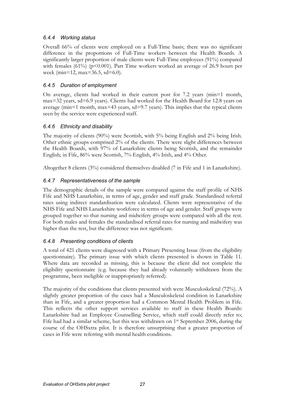## 6.4.4 Working status

Overall 66% of clients were employed on a Full-Time basis; there was no significant difference in the proportions of Full-Time workers between the Health Boards. A significantly larger proportion of male clients were Full-Time employees (91%) compared with females (61%) ( $p<0.001$ ). Part Time workers worked an average of 26.9 hours per week (min=12, max=36.5, sd=6.0).

# 6.4.5 Duration of employment

On average, clients had worked in their current post for 7.2 years (min=1 month, max=32 years, sd=6.9 years). Clients had worked for the Health Board for 12.8 years on average ( $min=1$  month,  $max=43$  years,  $sd=9.7$  years). This implies that the typical clients seen by the service were experienced staff.

# 6.4.6 Ethnicity and disability

The majority of clients (90%) were Scottish, with 5% being English and 2% being Irish. Other ethnic groups comprised 2% of the clients. There were slight differences between the Health Boards, with 97% of Lanarkshire clients being Scottish, and the remainder English; in Fife, 86% were Scottish, 7% English, 4% Irish, and 4% Other.

Altogether 8 clients (3%) considered themselves disabled (7 in Fife and 1 in Lanarkshire).

# 6.4.7 Representativeness of the sample

The demographic details of the sample were compared against the staff profile of NHS Fife and NHS Lanarkshire, in terms of age, gender and staff grade. Standardised referral rates using indirect standardisation were calculated. Clients were representative of the NHS Fife and NHS Lanarkshire workforce in terms of age and gender. Staff groups were grouped together so that nursing and midwifery groups were compared with all the rest. For both males and females the standardised referral rates for nursing and midwifery was higher than the rest, but the difference was not significant.

# 6.4.8 Presenting conditions of clients

A total of 421 clients were diagnosed with a Primary Presenting Issue (from the eligibility questionnaire). The primary issue with which clients presented is shown in Table 11. Where data are recorded as missing, this is because the client did not complete the eligibility questionnaire (e.g. because they had already voluntarily withdrawn from the programme, been ineligible or inappropriately referred).

The majority of the conditions that clients presented with were Musculoskeletal (72%). A slightly greater proportion of the cases had a Musculoskeletal condition in Lanarkshire than in Fife, and a greater proportion had a Common Mental Health Problem in Fife. This reflects the other support services available to staff in these Health Boards: Lanarkshire had an Employee Counselling Service, which staff could directly refer to; Fife had had a similar scheme, but this was withdrawn on 1st September 2006, during the course of the OHSxtra pilot. It is therefore unsurprising that a greater proportion of cases in Fife were referring with mental health conditions.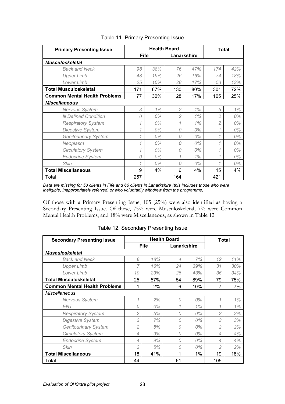| <b>Primary Presenting Issue</b>      | <b>Health Board</b> |     |                |             | Total          |     |
|--------------------------------------|---------------------|-----|----------------|-------------|----------------|-----|
|                                      | <b>Fife</b>         |     |                | Lanarkshire |                |     |
| <b>Musculoskeletal</b>               |                     |     |                |             |                |     |
| <b>Back and Neck</b>                 | 98                  | 38% | 76             | 47%         | 174            | 42% |
| <b>Upper Limb</b>                    | 48                  | 19% | 26             | 16%         | 74             | 18% |
| Lower Limb                           | 25                  | 10% | 28             | 17%         | 53             | 13% |
| <b>Total Musculoskeletal</b>         | 171                 | 67% | 130            | 80%         | 301            | 72% |
| <b>Common Mental Health Problems</b> | 77                  | 30% | 28             | 17%         | 105            | 25% |
| <b>Miscellaneous</b>                 |                     |     |                |             |                |     |
| Nervous System                       | 3                   | 1%  | $\overline{2}$ | 1%          | 5              | 1%  |
| <b>III Defined Condition</b>         | 0                   | 0%  | $\overline{2}$ | 1%          | $\overline{2}$ | 0%  |
| <b>Respiratory System</b>            | 1                   | 0%  | 1              | 1%          | $\overline{c}$ | 0%  |
| <b>Digestive System</b>              | 1                   | 0%  | 0              | 0%          | 1              | 0%  |
| <b>Genitourinary System</b>          | 1                   | 0%  | 0              | 0%          | 1              | 0%  |
| Neoplasm                             | 1                   | 0%  | 0              | 0%          | 1              | 0%  |
| <b>Circulatory System</b>            | 1                   | 0%  | 0              | 0%          | 1              | 0%  |
| <b>Endocrine System</b>              | 0                   | 0%  | 1              | 1%          | 1              | 0%  |
| <b>Skin</b>                          | 1                   | 0%  | 0              | 0%          | 1              | 0%  |
| <b>Total Miscellaneous</b>           | 9                   | 4%  | 6              | 4%          | 15             | 4%  |
| Total                                | 257                 |     | 164            |             | 421            |     |

#### Table 11. Primary Presenting Issue

Data are missing for 53 clients in Fife and 66 clients in Lanarkshire (this includes those who were ineligible, inappropriately referred, or who voluntarily withdrew from the programme).

Of those with a Primary Presenting Issue, 105 (25%) were also identified as having a Secondary Presenting Issue. Of these, 75% were Musculoskeletal, 7% were Common Mental Health Problems, and 18% were Miscellaneous, as shown in Table 12.

| <b>Secondary Presenting Issue</b>    | <b>Health Board</b> |     |    |             |                | Total |  |
|--------------------------------------|---------------------|-----|----|-------------|----------------|-------|--|
|                                      | <b>Fife</b>         |     |    | Lanarkshire |                |       |  |
| <b>Musculoskeletal</b>               |                     |     |    |             |                |       |  |
| <b>Back and Neck</b>                 | 8                   | 18% | 4  | 7%          | 12             | 11%   |  |
| <b>Upper Limb</b>                    | 7                   | 16% | 24 | 39%         | 31             | 30%   |  |
| Lower Limb                           | 10                  | 23% | 26 | 43%         | 36             | 34%   |  |
| <b>Total Musculoskeletal</b>         | 25                  | 57% | 54 | 89%         | 79             | 75%   |  |
| <b>Common Mental Health Problems</b> | 1                   | 2%  | 6  | 10%         | 7              | 7%    |  |
| <b>Miscellaneous</b>                 |                     |     |    |             |                |       |  |
| Nervous System                       | 1                   | 2%  | 0  | 0%          | 1              | 1%    |  |
| <b>ENT</b>                           | 0                   | 0%  | 1  | 1%          | 1              | 1%    |  |
| <b>Respiratory System</b>            | 2                   | 5%  | 0  | 0%          | $\overline{2}$ | 2%    |  |
| <b>Digestive System</b>              | 3                   | 7%  | 0  | 0%          | 3              | 3%    |  |
| <b>Genitourinary System</b>          | 2                   | 5%  | 0  | 0%          | $\overline{2}$ | 2%    |  |
| <b>Circulatory System</b>            | 4                   | 9%  | 0  | 0%          | 4              | 4%    |  |
| <b>Endocrine System</b>              | 4                   | 9%  | 0  | 0%          | 4              | 4%    |  |
| <b>Skin</b>                          | 2                   | 5%  | 0  | 0%          | 2              | 2%    |  |
| <b>Total Miscellaneous</b>           | 18                  | 41% |    | 1%          | 19             | 18%   |  |
| Total                                | 44                  |     | 61 |             | 105            |       |  |

Table 12. Secondary Presenting Issue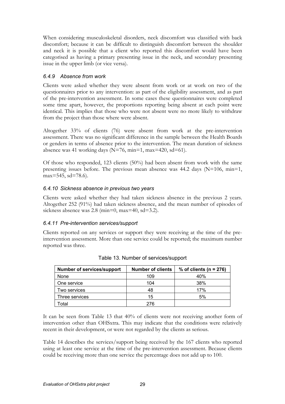When considering musculoskeletal disorders, neck discomfort was classified with back discomfort; because it can be difficult to distinguish discomfort between the shoulder and neck it is possible that a client who reported this discomfort would have been categorised as having a primary presenting issue in the neck, and secondary presenting issue in the upper limb (or vice versa).

### 6.4.9 Absence from work

Clients were asked whether they were absent from work or at work on two of the questionnaires prior to any intervention: as part of the eligibility assessment, and as part of the pre-intervention assessment. In some cases these questionnaires were completed some time apart, however, the proportions reporting being absent at each point were identical. This implies that those who were not absent were no more likely to withdraw from the project than those where were absent.

Altogether 33% of clients (76) were absent from work at the pre-intervention assessment. There was no significant difference in the sample between the Health Boards or genders in terms of absence prior to the intervention. The mean duration of sickness absence was 41 working days ( $N=76$ , min=1, max=420, sd=61).

Of those who responded, 123 clients (50%) had been absent from work with the same presenting issues before. The previous mean absence was 44.2 days (N=106, min=1, max=545, sd=78.6).

### 6.4.10 Sickness absence in previous two years

Clients were asked whether they had taken sickness absence in the previous 2 years. Altogether 252 (91%) had taken sickness absence, and the mean number of episodes of sickness absence was 2.8 (min=0, max=40, sd=3.2).

#### 6.4.11 Pre-intervention services/support

Clients reported on any services or support they were receiving at the time of the preintervention assessment. More than one service could be reported; the maximum number reported was three.

| <b>Number of services/support</b> | <b>Number of clients</b> | % of clients ( $n = 276$ ) |
|-----------------------------------|--------------------------|----------------------------|
| None                              | 109                      | 40%                        |
| One service                       | 104                      | 38%                        |
| Two services                      | 48                       | 17%                        |
| Three services                    | 15                       | 5%                         |
| Total                             | 276                      |                            |

|  | Table 13. Number of services/support |
|--|--------------------------------------|
|--|--------------------------------------|

It can be seen from Table 13 that 40% of clients were not receiving another form of intervention other than OHSxtra. This may indicate that the conditions were relatively recent in their development, or were not regarded by the clients as serious.

Table 14 describes the services/support being received by the 167 clients who reported using at least one service at the time of the pre-intervention assessment. Because clients could be receiving more than one service the percentage does not add up to 100.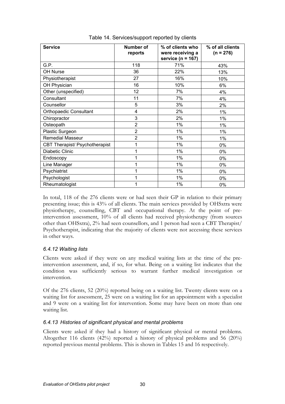| <b>Service</b>                 | Number of<br>reports | % of clients who<br>were receiving a<br>service ( $n = 167$ ) | % of all clients<br>$(n = 276)$ |
|--------------------------------|----------------------|---------------------------------------------------------------|---------------------------------|
| G.P.                           | 118                  | 71%                                                           | 43%                             |
| OH Nurse                       | 36                   | 22%                                                           | 13%                             |
| Physiotherapist                | 27                   | 16%                                                           | 10%                             |
| OH Physician                   | 16                   | 10%                                                           | 6%                              |
| Other (unspecified)            | 12                   | 7%                                                            | 4%                              |
| Consultant                     | 11                   | 7%                                                            | 4%                              |
| Counsellor                     | 5                    | 3%                                                            | 2%                              |
| <b>Orthopaedic Consultant</b>  | 4                    | 2%                                                            | 1%                              |
| Chiropractor                   | 3                    | 2%                                                            | 1%                              |
| Osteopath                      | $\overline{2}$       | $1\%$                                                         | 1%                              |
| Plastic Surgeon                | $\overline{2}$       | $1\%$                                                         | 1%                              |
| <b>Remedial Masseur</b>        | $\overline{2}$       | $1\%$                                                         | 1%                              |
| CBT Therapist/ Psychotherapist | 1                    | $1\%$                                                         | 0%                              |
| Diabetic Clinic                | 1                    | 1%                                                            | 0%                              |
| Endoscopy                      | 1                    | $1\%$                                                         | 0%                              |
| Line Manager                   | 1                    | $1\%$                                                         | 0%                              |
| Psychiatrist                   | 1                    | 1%                                                            | 0%                              |
| Psychologist                   | 1                    | $1\%$                                                         | 0%                              |
| Rheumatologist                 |                      | $1\%$                                                         | 0%                              |

Table 14. Services/support reported by clients

In total, 118 of the 276 clients were or had seen their GP in relation to their primary presenting issue; this is 43% of all clients. The main services provided by OHSxtra were physiotherapy, counselling, CBT and occupational therapy. At the point of preintervention assessment, 10% of all clients had received physiotherapy (from sources other than OHSxtra), 2% had seen counsellors, and 1 person had seen a CBT Therapist/ Psychotherapist, indicating that the majority of clients were not accessing these services in other ways.

## 6.4.12 Waiting lists

Clients were asked if they were on any medical waiting lists at the time of the preintervention assessment, and, if so, for what. Being on a waiting list indicates that the condition was sufficiently serious to warrant further medical investigation or intervention.

Of the 276 clients, 52 (20%) reported being on a waiting list. Twenty clients were on a waiting list for assessment, 25 were on a waiting list for an appointment with a specialist and 9 were on a waiting list for intervention. Some may have been on more than one waiting list.

#### 6.4.13 Histories of significant physical and mental problems

Clients were asked if they had a history of significant physical or mental problems. Altogether 116 clients (42%) reported a history of physical problems and 56 (20%) reported previous mental problems. This is shown in Tables 15 and 16 respectively.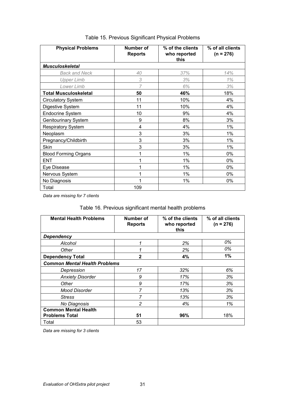| <b>Physical Problems</b>     | Number of<br><b>Reports</b> | % of the clients<br>who reported<br>this | % of all clients<br>$(n = 276)$ |
|------------------------------|-----------------------------|------------------------------------------|---------------------------------|
| <b>Musculoskeletal</b>       |                             |                                          |                                 |
| <b>Back and Neck</b>         | 40                          | 37%                                      | 14%                             |
| <b>Upper Limb</b>            | 3                           | 3%                                       | 1%                              |
| Lower Limb                   | 7                           | 6%                                       | 3%                              |
| <b>Total Musculoskeletal</b> | 50                          | 46%                                      | 18%                             |
| <b>Circulatory System</b>    | 11                          | 10%                                      | 4%                              |
| Digestive System             | 11                          | 10%                                      | 4%                              |
| <b>Endocrine System</b>      | 10                          | 9%                                       | 4%                              |
| <b>Genitourinary System</b>  | 9                           | 8%                                       | 3%                              |
| <b>Respiratory System</b>    | 4                           | 4%                                       | 1%                              |
| Neoplasm                     | 3                           | 3%                                       | 1%                              |
| Pregnancy/Childbirth         | 3                           | 3%                                       | $1\%$                           |
| <b>Skin</b>                  | 3                           | 3%                                       | 1%                              |
| <b>Blood Forming Organs</b>  | 1                           | $1\%$                                    | 0%                              |
| <b>ENT</b>                   | 1                           | $1\%$                                    | $0\%$                           |
| Eye Disease                  | 1                           | $1\%$                                    | $0\%$                           |
| Nervous System               | 1                           | $1\%$                                    | 0%                              |
| No Diagnosis                 | 1                           | 1%                                       | 0%                              |
| Total                        | 109                         |                                          |                                 |

# Table 15. Previous Significant Physical Problems

Data are missing for 7 clients

# Table 16. Previous significant mental health problems

| <b>Mental Health Problems</b>                        | Number of<br><b>Reports</b> | % of the clients<br>who reported<br>this | % of all clients<br>$(n = 276)$ |
|------------------------------------------------------|-----------------------------|------------------------------------------|---------------------------------|
| Dependency                                           |                             |                                          |                                 |
| Alcohol                                              | 1                           | 2%                                       | 0%                              |
| Other                                                | 1                           | 2%                                       | 0%                              |
| <b>Dependency Total</b>                              | $\mathbf{2}$                | 4%                                       | 1%                              |
| <b>Common Mental Health Problems</b>                 |                             |                                          |                                 |
| Depression                                           | 17                          | 32%                                      | 6%                              |
| <b>Anxiety Disorder</b>                              | 9                           | 17%                                      | 3%                              |
| Other                                                | 9                           | 17%                                      | 3%                              |
| <b>Mood Disorder</b>                                 | 7                           | 13%                                      | 3%                              |
| <b>Stress</b>                                        | 7                           | 13%                                      | 3%                              |
| No Diagnosis                                         | $\overline{c}$              | 4%                                       | 1%                              |
| <b>Common Mental Health</b><br><b>Problems Total</b> | 51                          | 96%                                      | 18%                             |
| Total                                                | 53                          |                                          |                                 |

Data are missing for 3 clients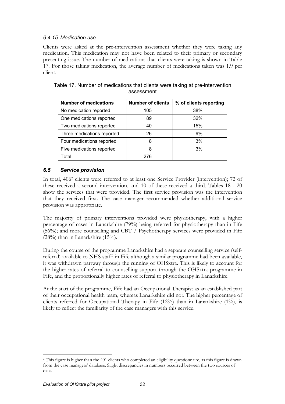### 6.4.15 Medication use

Clients were asked at the pre-intervention assessment whether they were taking any medication. This medication may not have been related to their primary or secondary presenting issue. The number of medications that clients were taking is shown in Table 17. For those taking medication, the average number of medications taken was 1.9 per client.

| <b>Number of medications</b> | <b>Number of clients</b> | % of clients reporting |
|------------------------------|--------------------------|------------------------|
| No medication reported       | 105                      | 38%                    |
| One medications reported     | 89                       | 32%                    |
| Two medications reported     | 40                       | 15%                    |
| Three medications reported   | 26                       | 9%                     |
| Four medications reported    | 8                        | 3%                     |
| Five medications reported    | 8                        | 3%                     |
| Total                        | 276                      |                        |

### Table 17. Number of medications that clients were taking at pre-intervention assessment

## 6.5 Service provision

In total, 406<sup>2</sup> clients were referred to at least one Service Provider (intervention); 72 of these received a second intervention, and 10 of these received a third. Tables 18 - 20 show the services that were provided. The first service provision was the intervention that they received first. The case manager recommended whether additional service provision was appropriate.

The majority of primary interventions provided were physiotherapy, with a higher percentage of cases in Lanarkshire (79%) being referred for physiotherapy than in Fife (56%); and more counselling and CBT / Psychotherapy services were provided in Fife  $(28%)$  than in Lanarkshire  $(15%)$ .

During the course of the programme Lanarkshire had a separate counselling service (selfreferral) available to NHS staff; in Fife although a similar programme had been available, it was withdrawn partway through the running of OHSxtra. This is likely to account for the higher rates of referral to counselling support through the OHSxtra programme in Fife, and the proportionally higher rates of referral to physiotherapy in Lanarkshire.

At the start of the programme, Fife had an Occupational Therapist as an established part of their occupational health team, whereas Lanarkshire did not. The higher percentage of clients referred for Occupational Therapy in Fife (12%) than in Lanarkshire (1%), is likely to reflect the familiarity of the case managers with this service.

 $\overline{a}$ 2 This figure is higher than the 401 clients who completed an eligibility questionnaire, as this figure is drawn from the case managers' database. Slight discrepancies in numbers occurred between the two sources of data.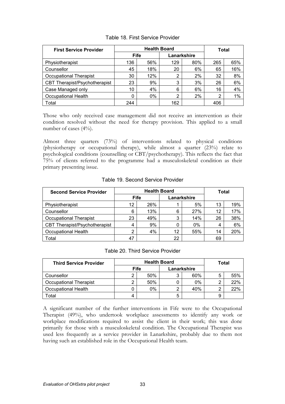| <b>First Service Provider</b> |             | <b>Health Board</b> | Total |             |     |     |
|-------------------------------|-------------|---------------------|-------|-------------|-----|-----|
|                               | <b>Fife</b> |                     |       | Lanarkshire |     |     |
| Physiotherapist               | 136         | 56%                 | 129   | 80%         | 265 | 65% |
| Counsellor                    | 45          | 18%                 | 20    | 6%          | 65  | 16% |
| <b>Occupational Therapist</b> | 30          | 12%                 | 2     | 2%          | 32  | 8%  |
| CBT Therapist/Psychotherapist | 23          | 9%                  | 3     | 3%          | 26  | 6%  |
| Case Managed only             | 10          | 4%                  | 6     | 6%          | 16  | 4%  |
| <b>Occupational Health</b>    | 0           | $0\%$               | 2     | 2%          | 2   | 1%  |
| Total                         | 244         |                     | 162   |             | 406 |     |

#### Table 18. First Service Provider

Those who only received case management did not receive an intervention as their condition resolved without the need for therapy provision. This applied to a small number of cases (4%).

Almost three quarters (73%) of interventions related to physical conditions (physiotherapy or occupational therapy), while almost a quarter (23%) relate to psychological conditions (counselling or CBT/psychotherapy). This reflects the fact that 75% of clients referred to the programme had a musculoskeletal condition as their primary presenting issue.

| <b>Second Service Provider</b> |             | <b>Health Board</b> | Total       |       |    |     |
|--------------------------------|-------------|---------------------|-------------|-------|----|-----|
|                                | <b>Fife</b> |                     | Lanarkshire |       |    |     |
| Physiotherapist                | 12          | 26%                 |             | 5%    | 13 | 19% |
| Counsellor                     | 6           | 13%                 | 6           | 27%   | 12 | 17% |
| <b>Occupational Therapist</b>  | 23          | 49%                 | 3           | 14%   | 26 | 38% |
| CBT Therapist/Psychotherapist  | 4           | 9%                  | 0           | $0\%$ | 4  | 6%  |
| <b>Occupational Health</b>     | ົ           | 4%                  | 12          | 55%   | 14 | 20% |
| Total                          | 47          |                     | 22          |       | 69 |     |

#### Table 19. Second Service Provider

| Table 20. Third Service Provider |  |
|----------------------------------|--|
|                                  |  |

| <b>Third Service Provider</b> | <b>Health Board</b> |     |   |             | Total |     |
|-------------------------------|---------------------|-----|---|-------------|-------|-----|
|                               | <b>Fife</b>         |     |   | Lanarkshire |       |     |
| Counsellor                    |                     | 50% | 3 | 60%         | 5     | 55% |
| Occupational Therapist        |                     | 50% |   | 0%          | ⌒     | 22% |
| Occupational Health           |                     | 0%  | 2 | 40%         | ⌒     | 22% |
| <b>c</b> otal                 |                     |     | 5 |             | 9     |     |

A significant number of the further interventions in Fife were to the Occupational Therapist (49%), who undertook workplace assessments to identify any work or workplace modifications required to assist the client in their work; this was done primarily for those with a musculoskeletal condition. The Occupational Therapist was used less frequently as a service provider in Lanarkshire, probably due to them not having such an established role in the Occupational Health team.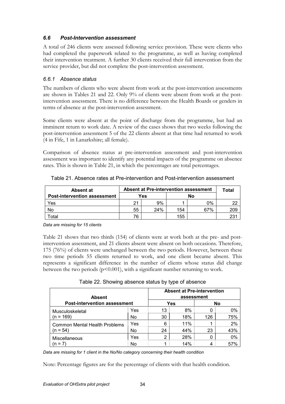### 6.6 Post-Intervention assessment

A total of 246 clients were assessed following service provision. These were clients who had completed the paperwork related to the programme, as well as having completed their intervention treatment. A further 30 clients received their full intervention from the service provider, but did not complete the post-intervention assessment.

### 6.6.1 Absence status

The numbers of clients who were absent from work at the post-intervention assessments are shown in Tables 21 and 22. Only 9% of clients were absent from work at the postintervention assessment. There is no difference between the Health Boards or genders in terms of absence at the post-intervention assessment.

Some clients were absent at the point of discharge from the programme, but had an imminent return to work date. A review of the cases shows that two weeks following the post-intervention assessment 5 of the 22 clients absent at that time had returned to work (4 in Fife, 1 in Lanarkshire; all female).

Comparison of absence status at pre-intervention assessment and post-intervention assessment was important to identify any potential impacts of the programme on absence rates. This is shown in Table 21, in which the percentages are total percentages.

| Absent at                           | <b>Absent at Pre-intervention assessment</b> |     |     | Total |     |
|-------------------------------------|----------------------------------------------|-----|-----|-------|-----|
| <b>Post-intervention assessment</b> | Yes                                          |     | No  |       |     |
| Yes                                 | つイ                                           | 9%  |     | 0%    |     |
| No                                  | 55                                           | 24% | 154 | 67%   | 209 |
| <sup>-</sup> otal                   | 76                                           |     | 155 |       | 231 |

Table 21. Absence rates at Pre-intervention and Post-intervention assessment

Data are missing for 15 clients

Table 21 shows that two thirds (154) of clients were at work both at the pre- and postintervention assessment, and 21 clients absent were absent on both occasions. Therefore, 175 (76%) of clients were unchanged between the two periods. However, between these two time periods 55 clients returned to work, and one client became absent. This represents a significant difference in the number of clients whose status did change between the two periods  $(p<0.001)$ , with a significant number returning to work.

Table 22. Showing absence status by type of absence

| <b>Absent</b><br><b>Post-intervention assessment</b> |     | <b>Absent at Pre-intervention</b><br>assessment |     |     |     |  |
|------------------------------------------------------|-----|-------------------------------------------------|-----|-----|-----|--|
|                                                      |     |                                                 | Yes |     | Nο  |  |
| Musculoskeletal                                      | Yes | 13                                              | 8%  |     | በ%  |  |
| $(n = 169)$                                          | No  | 30                                              | 18% | 126 | 75% |  |
| <b>Common Mental Health Problems</b><br>$(n = 54)$   | Yes |                                                 | 11% |     | 2%  |  |
|                                                      | No  | 24                                              | 44% | 23  | 43% |  |
| Miscellaneous                                        | Yes | ົ                                               | 28% |     | በ%  |  |
| $=$                                                  | No  |                                                 | 14% |     |     |  |

Data are missing for 1 client in the No/No category concerning their health condition

Note: Percentage figures are for the percentage of clients with that health condition.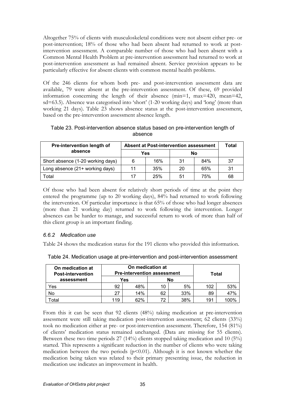Altogether 75% of clients with musculoskeletal conditions were not absent either pre- or post-intervention; 18% of those who had been absent had returned to work at postintervention assessment. A comparable number of those who had been absent with a Common Mental Health Problem at pre-intervention assessment had returned to work at post-intervention assessment as had remained absent. Service provision appears to be particularly effective for absent clients with common mental health problems.

Of the 246 clients for whom both pre- and post-intervention assessment data are available, 79 were absent at the pre-intervention assessment. Of these, 69 provided information concerning the length of their absence (min=1, max=420, mean=42, sd=63.5). Absence was categorised into 'short' (1-20 working days) and 'long' (more than working 21 days). Table 23 shows absence status at the post-intervention assessment, based on the pre-intervention assessment absence length.

| Table 23. Post-intervention absence status based on pre-intervention length of |
|--------------------------------------------------------------------------------|
| absence                                                                        |

| <b>Pre-intervention length of</b> | <b>Absent at Post-intervention assessment</b> |     |    |     | Total |
|-----------------------------------|-----------------------------------------------|-----|----|-----|-------|
| absence                           |                                               | Yes | No |     |       |
| Short absence (1-20 working days) | 6                                             | 16% | 31 | 84% | 37    |
| Long absence (21+ working days)   | 11                                            | 35% | 20 | 65% | 31    |
| ⊺otal                             | 17                                            | 25% | 51 | 75% | 68    |

Of those who had been absent for relatively short periods of time at the point they entered the programme (up to 20 working days), 84% had returned to work following the intervention. Of particular importance is that 65% of those who had longer absences (more than 21 working day) returned to work following the intervention. Longer absences can be harder to manage, and successful return to work of more than half of this client group is an important finding.

#### 6.6.2 Medication use

Table 24 shows the medication status for the 191 clients who provided this information.

| On medication at<br><b>Post-intervention</b> |     | On medication at<br><b>Pre-intervention assessment</b><br>Total |    |     |     |      |  |
|----------------------------------------------|-----|-----------------------------------------------------------------|----|-----|-----|------|--|
| assessment                                   | Yes |                                                                 |    | No  |     |      |  |
| Yes                                          | 92  | 48%                                                             | 10 | 5%  | 102 | 53%  |  |
| No                                           | 27  | 14%                                                             | 62 | 33% | 89  | 47%  |  |
| <b>c</b> otal                                | 119 | 62%                                                             | 72 | 38% | 191 | 100% |  |

Table 24. Medication usage at pre-intervention and post-intervention assessment

From this it can be seen that 92 clients (48%) taking medication at pre-intervention assessment were still taking medication post-intervention assessment; 62 clients (33%) took no medication either at pre- or post-intervention assessment. Therefore, 154 (81%) of clients' medication status remained unchanged. (Data are missing for 55 clients). Between these two time periods 27 (14%) clients stopped taking medication and 10 (5%) started. This represents a significant reduction in the number of clients who were taking medication between the two periods ( $p<0.01$ ). Although it is not known whether the medication being taken was related to their primary presenting issue, the reduction in medication use indicates an improvement in health.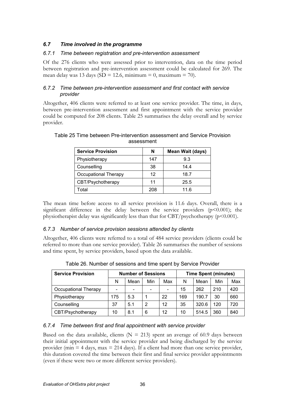## 6.7 Time involved in the programme

### 6.7.1 Time between registration and pre-intervention assessment

Of the 276 clients who were assessed prior to intervention, data on the time period between registration and pre-intervention assessment could be calculated for 269. The mean delay was 13 days (SD = 12.6, minimum = 0, maximum = 70).

### 6.7.2 Time between pre-intervention assessment and first contact with service provider

Altogether, 406 clients were referred to at least one service provider. The time, in days, between pre-intervention assessment and first appointment with the service provider could be computed for 208 clients. Table 25 summarises the delay overall and by service provider.

| <b>Service Provision</b> | N   | Mean Wait (days) |
|--------------------------|-----|------------------|
| Physiotherapy            | 147 | 9.3              |
| Counselling              | 38  | 14.4             |
| Occupational Therapy     | 12  | 18.7             |
| CBT/Psychotherapy        | 11  | 25.5             |
| Total                    | 208 | 11.6             |

#### Table 25 Time between Pre-intervention assessment and Service Provision assessment

The mean time before access to all service provision is 11.6 days. Overall, there is a significant difference in the delay between the service providers  $(p<0.001)$ ; the physiotherapist delay was significantly less than that for  $CBT/$  psychotherapy ( $p<0.001$ ).

## 6.7.3 Number of service provision sessions attended by clients

Altogether, 406 clients were referred to a total of 484 service providers (clients could be referred to more than one service provider). Table 26 summarises the number of sessions and time spent, by service providers, based upon the data available.

| <b>Service Provision</b> |     | <b>Number of Sessions</b> |                              | <b>Time Spent (minutes)</b> |     |       |     |     |  |  |
|--------------------------|-----|---------------------------|------------------------------|-----------------------------|-----|-------|-----|-----|--|--|
|                          | N   | Mean                      | Min                          | Max                         | N   | Mean  | Min | Max |  |  |
| Occupational Therapy     | -   | $\overline{\phantom{0}}$  | $\qquad \qquad \blacksquare$ |                             | 15  | 262   | 210 | 420 |  |  |
| Physiotherapy            | 175 | 5.3                       |                              | 22                          | 169 | 190.7 | 30  | 660 |  |  |
| Counselling              | 37  | 5.1                       | 2                            | 12                          | 35  | 320.6 | 120 | 720 |  |  |
| CBT/Psychotherapy        | 10  | 8.1                       | 6                            | $12 \overline{ }$           | 10  | 514.5 | 360 | 840 |  |  |

Table 26. Number of sessions and time spent by Service Provider

## 6.7.4 Time between first and final appointment with service provider

Based on the data available, clients ( $N = 213$ ) spent an average of 60.9 days between their initial appointment with the service provider and being discharged by the service provider (min  $=$  4 days, max  $=$  214 days). If a client had more than one service provider, this duration covered the time between their first and final service provider appointments (even if these were two or more different service providers).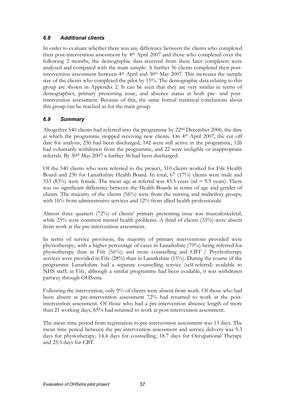## 6.8 Additional clients

In order to evaluate whether there was any difference between the clients who completed their post-intervention assessment by 4th April 2007 and those who completed over the following 2 months, the demographic data received from these later completers were analysed and compared with the main sample. A further 36 clients completed their postintervention assessment between 4<sup>th</sup> April and 30<sup>th</sup> May 2007. This increases the sample size of the clients who completed the pilot by 15%. The demographic data relating to this group are shown in Appendix 2. It can be seen that they are very similar in terms of demographics, primary presenting issue, and absence status at both pre- and postintervention assessment. Because of this, the same formal statistical conclusions about this group can be reached as for the main group.

# 6.9 Summary

Altogether 540 clients had referred into the programme by 22nd December 2006, the date at which the programme stopped receiving new clients. On 4th April 2007, the cut off date for analysis, 250 had been discharged, 142 were still active in the programme, 126 had voluntarily withdrawn from the programme, and 22 were ineligible or inappropriate referrals. By 30<sup>th</sup> May 2007 a further 36 had been discharged.

Of the 540 clients who were referred to the project, 310 clients worked for Fife Health Board and 230 for Lanarkshire Health Board. In total, 67 (17%) clients were male and 333 (83%) were female. The mean age at referral was 43.3 years (sd  $= 9.9$  years). There was no significant difference between the Health Boards in terms of age and gender of clients. The majority of the clients (56%) were from the nursing and midwifery groups, with 16% from administrative services and 12% from allied health professionals.

Almost three quarters (72%) of clients' primary presenting issue was musculoskeletal, while 25% were common mental health problems. A third of clients (33%) were absent from work at the pre-intervention assessment.

In terms of service provision, the majority of primary interventions provided were physiotherapy, with a higher percentage of cases in Lanarkshire (79%) being referred for physiotherapy than in Fife  $(56\%)$ ; and more counselling and CBT / Psychotherapy services were provided in Fife (28%) than in Lanarkshire (15%). During the course of the programme Lanarkshire had a separate counselling service (self-referral) available to NHS staff; in Fife, although a similar programme had been available, it was withdrawn partway through OHSxtra.

Following the intervention, only 9% of clients were absent from work. Of those who had been absent at pre-intervention assessment 72% had returned to work at the postintervention assessment. Of those who had a pre-intervention absence length of more than 21 working days, 65% had returned to work at post-intervention assessment.

The mean time period from registration to pre-intervention assessment was 13 days. The mean time period between the pre-intervention assessment and service delivery was 9.3 days for physiotherapy, 14.4 days for counselling, 18.7 days for Occupational Therapy and 25.5 days for CBT.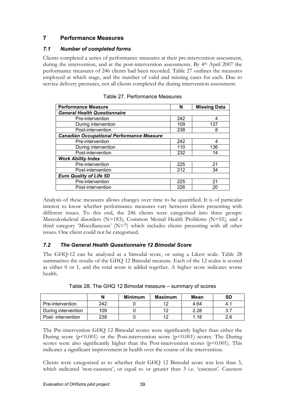# 7 Performance Measures

## 7.1 Number of completed forms

Clients completed a series of performance measures at their pre-intervention assessment, during the intervention, and at the post-intervention assessments. By 4<sup>th</sup> April 2007 the performance measures of 246 clients had been recorded. Table 27 outlines the measures employed at which stage, and the number of valid and missing cases for each. Due to service delivery pressures, not all clients completed the during intervention assessment.

| <b>Performance Measure</b>                       | N   | <b>Missing Data</b> |
|--------------------------------------------------|-----|---------------------|
| <b>General Health Questionnaire</b>              |     |                     |
| Pre-intervention                                 | 242 | 4                   |
| During intervention                              | 109 | 137                 |
| Post-intervention                                | 238 | 8                   |
| <b>Canadian Occupational Performance Measure</b> |     |                     |
| Pre-intervention                                 | 242 | 4                   |
| During intervention                              | 110 | 136                 |
| Post-intervention                                | 232 | 14                  |
| <b>Work Ability Index</b>                        |     |                     |
| Pre-intervention                                 | 225 | 21                  |
| Post-intervention                                | 212 | 34                  |
| <b>Euro Quality of Life 5D</b>                   |     |                     |
| Pre-intervention                                 | 225 | 21                  |
| Post-intervention                                | 226 | 20                  |

|  | Table 27. Performance Measures |  |
|--|--------------------------------|--|
|--|--------------------------------|--|

Analysis of these measures allows changes over time to be quantified. It is of particular interest to know whether performance measures vary between clients presenting with different issues. To this end, the 246 clients were categorised into three groups: Musculoskeletal disorders (N=183), Common Mental Health Problems (N=55), and a third category 'Miscellaneous' (N=7) which includes clients presenting with all other issues. One client could not be categorised.

# 7.2 The General Health Questionnaire 12 Bimodal Score

The GHQ-12 can be analysed as a bimodal score, or using a Likert scale. Table 28 summarises the results of the GHQ 12 Bimodal measure. Each of the 12 scales is scored as either 0 or 1, and the total score is added together. A higher score indicates worse health.

|                     |     | <b>Minimum</b> | <b>Maximum</b> | Mean | SD  |
|---------------------|-----|----------------|----------------|------|-----|
| Pre-intervention    | 242 |                | 12             | 4.64 | 4.  |
| During intervention | 109 |                | 12             | 2.28 | 27  |
| Post- intervention  | 238 |                | 12             | 1.18 | 2.6 |

Table 28. The GHQ 12 Bimodal measure – summary of scores

The Pre-intervention GHQ 12 Bimodal scores were significantly higher than either the During score ( $p<0.001$ ) or the Post-intervention score ( $p<0.001$ ) scores. The During scores were also significantly higher than the Post-intervention scores ( $p$ <0.001). This indicates a significant improvement in health over the course of the intervention.

Clients were categorised as to whether their GHQ 12 Bimodal score was less than 3, which indicated 'non-caseness', or equal to or greater than 3 i.e. 'caseness'. Caseness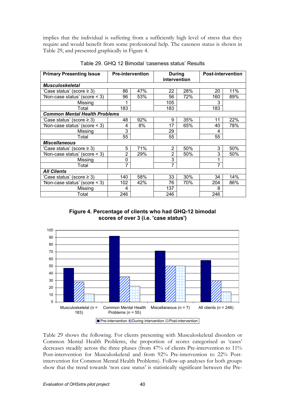implies that the individual is suffering from a sufficiently high level of stress that they require and would benefit from some professional help. The caseness status is shown in Table 29, and presented graphically in Figure 4.

| <b>Primary Presenting Issue</b>      |                | <b>Pre-intervention</b> | <b>During</b><br>intervention |     | <b>Post-intervention</b> |     |  |
|--------------------------------------|----------------|-------------------------|-------------------------------|-----|--------------------------|-----|--|
| <b>Musculoskeletal</b>               |                |                         |                               |     |                          |     |  |
| 'Case status' (score ≥ 3)            | 86             | 47%                     | 22                            | 28% | 20                       | 11% |  |
| 'Non-case status' (score < 3)        | 96             | 53%                     | 56                            | 72% | 160                      | 89% |  |
| Missing                              |                |                         | 105                           |     | 3                        |     |  |
| Total                                | 183            |                         | 183                           |     | 183                      |     |  |
| <b>Common Mental Health Problems</b> |                |                         |                               |     |                          |     |  |
| 'Case status' (score ≥ 3)            | 48             | 92%                     | 9                             | 35% | 11                       | 22% |  |
| 'Non-case status' (score < 3)        | 4              | 8%                      | 17                            | 65% | 40                       | 78% |  |
| Missing                              | 3              |                         | 29                            |     | 4                        |     |  |
| Total                                | 55             |                         | 55                            |     | 55                       |     |  |
| <b>Miscellaneous</b>                 |                |                         |                               |     |                          |     |  |
| 'Case status' (score ≥ 3)            | 5              | 71%                     | 2                             | 50% | 3                        | 50% |  |
| 'Non-case status' (score < 3)        | $\overline{2}$ | 29%                     | 2                             | 50% | 3                        | 50% |  |
| Missing                              | 0              |                         | 3                             |     |                          |     |  |
| Total                                | $\overline{7}$ |                         | $\overline{7}$                |     | $\overline{7}$           |     |  |
| <b>All Clients</b>                   |                |                         |                               |     |                          |     |  |
| Case status' (score $\geq$ 3)        | 140            | 58%                     | 33                            | 30% | 34                       | 14% |  |
| 'Non-case status' (score < 3)        | 102            | 42%                     | 76                            | 70% | 204                      | 86% |  |
| Missing                              | 4              |                         | 137                           |     | 8                        |     |  |
| Total                                | 246            |                         | 246                           |     | 246                      |     |  |

Table 29. GHQ 12 Bimodal 'caseness status' Results





**Pre-intervention DDuring intervention BPost-intervention** 

Table 29 shows the following. For clients presenting with Musculoskeletal disorders or Common Mental Health Problems, the proportion of scores categorised as 'cases' decreases steadily across the three phases (from 47% of clients Pre-intervention to 11% Post-intervention for Musculoskeletal and from 92% Pre-intervention to 22% Postintervention for Common Mental Health Problems). Follow-up analyses for both groups show that the trend towards 'non case status' is statistically significant between the Pre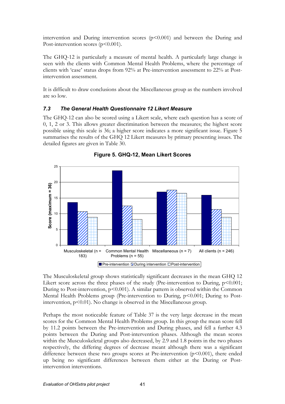intervention and During intervention scores  $(p<0.001)$  and between the During and Post-intervention scores (p<0.001).

The GHQ-12 is particularly a measure of mental health. A particularly large change is seen with the clients with Common Mental Health Problems, where the percentage of clients with 'case' status drops from 92% at Pre-intervention assessment to 22% at Postintervention assessment.

It is difficult to draw conclusions about the Miscellaneous group as the numbers involved are so low.

### 7.3 The General Health Questionnaire 12 Likert Measure

The GHQ-12 can also be scored using a Likert scale, where each question has a score of 0, 1, 2 or 3. This allows greater discrimination between the measures; the highest score possible using this scale is 36; a higher score indicates a more significant issue. Figure 5 summarises the results of the GHQ 12 Likert measures by primary presenting issues. The detailed figures are given in Table 30.





The Musculoskeletal group shows statistically significant decreases in the mean GHQ 12 Likert score across the three phases of the study (Pre-intervention to During,  $p<0.001$ ; During to Post-intervention,  $p<0.001$ ). A similar pattern is observed within the Common Mental Health Problems group (Pre-intervention to During,  $p<0.001$ ; During to Postintervention, p<0.01). No change is observed in the Miscellaneous group.

Perhaps the most noticeable feature of Table 37 is the very large decrease in the mean scores for the Common Mental Health Problems group. In this group the mean score fell by 11.2 points between the Pre-intervention and During phases, and fell a further 4.3 points between the During and Post-intervention phases. Although the mean scores within the Musculoskeletal groups also decreased, by 2.9 and 1.8 points in the two phases respectively, the differing degrees of decrease meant although there was a significant difference between these two groups scores at Pre-intervention  $(p<0.001)$ , there ended up being no significant differences between them either at the During or Postintervention interventions.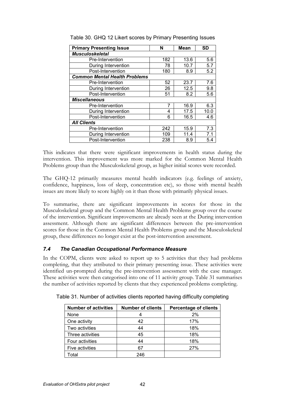| <b>Primary Presenting Issue</b>      | N   | Mean | <b>SD</b> |
|--------------------------------------|-----|------|-----------|
| <b>Musculoskeletal</b>               |     |      |           |
| Pre-Intervention                     | 182 | 13.6 | 5.6       |
| During Intervention                  | 78  | 10.7 | 5.7       |
| Post-Intervention                    | 180 | 8.9  | 5.2       |
| <b>Common Mental Health Problems</b> |     |      |           |
| Pre-Intervention                     | 52  | 23.7 | 7.6       |
| During Intervention                  | 26  | 12.5 | 9.8       |
| Post-Intervention                    | 51  | 8.2  | 5.6       |
| <b>Miscellaneous</b>                 |     |      |           |
| Pre-Intervention                     | 7   | 16.9 | 6.3       |
| During Intervention                  | 4   | 17.5 | 10.0      |
| Post-Intervention                    | 6   | 16.5 | 4.6       |
| <b>All Clients</b>                   |     |      |           |
| Pre-Intervention                     | 242 | 15.9 | 7.3       |
| During Intervention                  | 109 | 11.4 | 7.1       |
| Post-Intervention                    | 238 | 8.9  | 5.4       |

Table 30. GHQ 12 Likert scores by Primary Presenting Issues

This indicates that there were significant improvements in health status during the intervention. This improvement was more marked for the Common Mental Health Problems group than the Musculoskeletal group, as higher initial scores were recorded.

The GHQ-12 primarily measures mental health indicators (e.g. feelings of anxiety, confidence, happiness, loss of sleep, concentration etc), so those with mental health issues are more likely to score highly on it than those with primarily physical issues.

To summarise, there are significant improvements in scores for those in the Musculoskeletal group and the Common Mental Health Problems group over the course of the intervention. Significant improvements are already seen at the During intervention assessment. Although there are significant differences between the pre-intervention scores for those in the Common Mental Health Problems group and the Musculoskeletal group, these differences no longer exist at the post-intervention assessment.

## 7.4 The Canadian Occupational Performance Measure

In the COPM, clients were asked to report up to 5 activities that they had problems completing, that they attributed to their primary presenting issue. These activities were identified un-prompted during the pre-intervention assessment with the case manager. These activities were then categorised into one of 11 activity group. Table 31 summarises the number of activities reported by clients that they experienced problems completing.

| <b>Number of activities</b> | <b>Number of clients</b> | <b>Percentage of clients</b> |
|-----------------------------|--------------------------|------------------------------|
| None                        |                          | 2%                           |
| One activity                | 42                       | 17%                          |
| Two activities              | 44                       | 18%                          |
| Three activities            | 45                       | 18%                          |
| Four activities             | 44                       | 18%                          |
| Five activities             | 67                       | 27%                          |
| otal                        | 246                      |                              |

Table 31. Number of activities clients reported having difficulty completing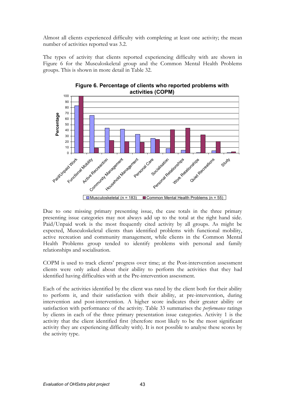Almost all clients experienced difficulty with completing at least one activity; the mean number of activities reported was 3.2.

The types of activity that clients reported experiencing difficulty with are shown in Figure 6 for the Musculoskeletal group and the Common Mental Health Problems groups. This is shown in more detail in Table 32.



Figure 6. Percentage of clients who reported problems with activities (COPM)

Due to one missing primary presenting issue, the case totals in the three primary presenting issue categories may not always add up to the total at the right hand side. Paid/Unpaid work is the most frequently cited activity by all groups. As might be expected, Musculoskeletal clients than identified problems with functional mobility, active recreation and community management, while clients in the Common Mental Health Problems group tended to identify problems with personal and family relationships and socialisation.

COPM is used to track clients' progress over time; at the Post-intervention assessment clients were only asked about their ability to perform the activities that they had identified having difficulties with at the Pre-intervention assessment.

Each of the activities identified by the client was rated by the client both for their ability to perform it, and their satisfaction with their ability, at pre-intervention, during intervention and post-intervention. A higher score indicates their greater ability or satisfaction with performance of the activity. Table 33 summarises the *performance* ratings by clients in each of the three primary presentation issue categories. Activity 1 is the activity that the client identified first (therefore most likely to be the most significant activity they are experiencing difficulty with). It is not possible to analyse these scores by the activity type.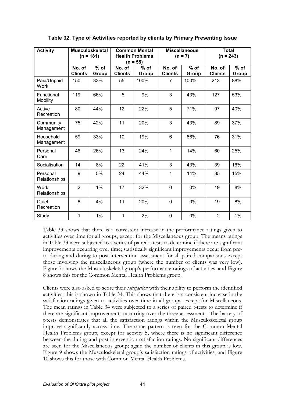| <b>Activity</b>               | <b>Musculoskeletal</b><br>$(n = 181)$ |                 |                          | <b>Common Mental</b><br><b>Health Problems</b><br>$(n = 55)$ |                          | <b>Miscellaneous</b><br>$(n = 7)$ | <b>Total</b><br>$(n = 243)$ |                 |  |
|-------------------------------|---------------------------------------|-----------------|--------------------------|--------------------------------------------------------------|--------------------------|-----------------------------------|-----------------------------|-----------------|--|
|                               | No. of<br><b>Clients</b>              | $%$ of<br>Group | No. of<br><b>Clients</b> | $%$ of<br>Group                                              | No. of<br><b>Clients</b> | $%$ of<br>Group                   | No. of<br><b>Clients</b>    | $%$ of<br>Group |  |
| Paid/Unpaid<br>Work           | 150                                   | 83%             | 55                       | 100%                                                         | 7                        | 100%                              | 213                         | 88%             |  |
| <b>Functional</b><br>Mobility | 119                                   | 66%             | 5                        | 9%                                                           | 3                        | 43%                               | 127                         | 53%             |  |
| Active<br>Recreation          | 80                                    | 44%             | 12                       | 22%                                                          | 5                        | 71%                               | 97                          | 40%             |  |
| Community<br>Management       | 75                                    | 42%             | 11                       | 20%                                                          | 3                        | 43%                               | 89                          | 37%             |  |
| Household<br>Management       | 59                                    | 33%             | 10                       | 19%                                                          | $6\phantom{1}$           | 86%                               | 76                          | 31%             |  |
| Personal<br>Care              | 46                                    | 26%             | 13                       | 24%                                                          | 1                        | 14%                               | 60                          | 25%             |  |
| Socialisation                 | 14                                    | 8%              | 22                       | 41%                                                          | 3                        | 43%                               | 39                          | 16%             |  |
| Personal<br>Relationships     | 9                                     | 5%              | 24                       | 44%                                                          | 1                        | 14%                               | 35                          | 15%             |  |
| Work<br>Relationships         | $\overline{2}$                        | 1%              | 17                       | 32%                                                          | $\mathbf 0$              | $0\%$                             | 19                          | 8%              |  |
| Quiet<br>Recreation           | 8                                     | 4%              | 11                       | 20%                                                          | $\mathbf 0$              | $0\%$                             | 19                          | 8%              |  |
| Study                         | 1                                     | 1%              | 1                        | 2%                                                           | $\overline{0}$           | 0%                                | $\overline{2}$              | 1%              |  |

Table 32. Type of Activities reported by clients by Primary Presenting Issue

Table 33 shows that there is a consistent increase in the performance ratings given to activities over time for all groups, except for the Miscellaneous group. The means ratings in Table 33 were subjected to a series of paired t-tests to determine if there are significant improvements occurring over time; statistically significant improvements occur from preto during and during to post-intervention assessment for all paired comparisons except those involving the miscellaneous group (where the number of clients was very low). Figure 7 shows the Musculoskeletal group's performance ratings of activities, and Figure 8 shows this for the Common Mental Health Problems group.

Clients were also asked to score their satisfaction with their ability to perform the identified activities; this is shown in Table 34. This shows that there is a consistent increase in the satisfaction ratings given to activities over time in all groups, except for Miscellaneous. The mean ratings in Table 34 were subjected to a series of paired t-tests to determine if there are significant improvements occurring over the three assessments. The battery of t-tests demonstrates that all the satisfaction ratings within the Musculoskeletal group improve significantly across time. The same pattern is seen for the Common Mental Health Problems group, except for activity 5, where there is no significant difference between the during and post-intervention satisfaction ratings. No significant differences are seen for the Miscellaneous group; again the number of clients in this group is low. Figure 9 shows the Musculoskeletal group's satisfaction ratings of activities, and Figure 10 shows this for those with Common Mental Health Problems.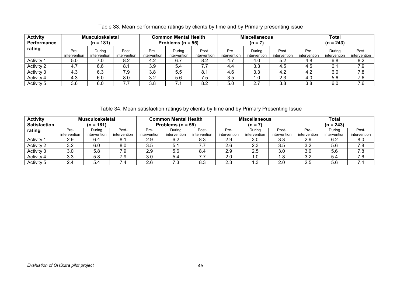| <b>Activity</b><br>Performance |                      | <b>Musculoskeletal</b><br>$(n = 181)$ |                       | <b>Common Mental Health</b><br>Problems ( $n = 55$ ) |                        |                       |                      | <b>Miscellaneous</b><br>$(n = 7)$ |                       | <b>Total</b><br>$(n = 243)$ |                        |                       |  |
|--------------------------------|----------------------|---------------------------------------|-----------------------|------------------------------------------------------|------------------------|-----------------------|----------------------|-----------------------------------|-----------------------|-----------------------------|------------------------|-----------------------|--|
| rating                         | Pre-<br>intervention | Durina<br>intervention                | Post-<br>intervention | Pre-<br>intervention                                 | Durina<br>intervention | Post-<br>intervention | Pre-<br>intervention | Durina<br>intervention            | Post-<br>intervention | Pre-<br>intervention        | Durina<br>intervention | Post-<br>intervention |  |
| Activity <sup>-</sup>          | 5.0                  | 7.0                                   | 8.2                   | 4.2                                                  | 6.7                    | 8.2                   | 4.7                  | 4.0                               | 5.2                   | 4.8                         | 6.8                    | 8.2                   |  |
| <b>Activity 2</b>              | 4.7                  | 6.6                                   | 8.1                   | 3.9                                                  | 5.4                    | 7.7                   | 4.4                  | 3.3                               | 4.5                   | 4.5                         | 6.1                    | 7.9                   |  |
| Activity 3                     | 4.3                  | 6.3                                   | 7.9                   | 3.8                                                  | 5.5                    | 8.1                   | 4.6                  | 3.3                               | 4.2                   | 4.2                         | 6.0                    | 7.8                   |  |
| Activity 4                     | 4.3                  | 6.0                                   | 8.0                   | 3.2                                                  | 5.6                    | 7.5                   | 3.5                  | 1.0                               | 2.3                   | 4.0                         | 5.6                    | 7.6                   |  |
| Activity 5                     | 3.6                  | 6.0                                   |                       | 3.8                                                  |                        | 8.2                   | 5.0                  | 2.7                               | 3.8                   | 3.8                         | 6.0                    | 7.6                   |  |

## Table 33. Mean performance ratings by clients by time and by Primary presenting issue

Table 34. Mean satisfaction ratings by clients by time and by Primary Presenting Issue

| <b>Activity</b>     |              | <b>Musculoskeletal</b> |              |              | <b>Common Mental Health</b> |              |              | <b>Miscellaneous</b> |              |              | <b>Total</b> |              |  |  |
|---------------------|--------------|------------------------|--------------|--------------|-----------------------------|--------------|--------------|----------------------|--------------|--------------|--------------|--------------|--|--|
| <b>Satisfaction</b> |              | $(n = 181)$            |              |              | Problems ( $n = 55$ )       |              |              | $(n = 7)$            |              | $(n = 243)$  |              |              |  |  |
| rating              | Pre-         | Durina                 | Post-        | Pre-         | Durina                      | Post-        | Pre-         | Durina               | Post-        |              | Durina       | Post-        |  |  |
|                     | intervention | intervention           | intervention | intervention | intervention                | intervention | intervention | intervention         | intervention | intervention | intervention | intervention |  |  |
| Activity            | 2.9          | 6.4                    | о.           | 2.9          | 6.2                         | 8.3          | 2.9          | 3.0                  | 3.3          | 2.9          | 6.2          | 8.0          |  |  |
| <b>Activity 2</b>   | 3.2          | 6.0                    | 8.0          | 3.5          | 5.1                         |              | 2.6          | 2.3                  | ົ<br>-3.5    | 3.2          | 5.6          | 7.8          |  |  |
| <b>Activity 3</b>   | 3.0          | 5.8                    | 7.9          | 2.9          | 5.6                         | 8.4          | 2.9          | 2.5                  | 3.0          | 3.0          | 5.6          | 7.8          |  |  |
| Activity 4          | 3.3          | 5.8                    | 7.9          | 3.0          | 5.4                         | 7.7          | 2.0          | 1.0                  | .8           | 3.2          | 5.4          | 7.6          |  |  |
| Activity 5          | 2.4          | 5.4                    | 7.4          | 2.6          | 7.3                         | 8.3          | 2.3          | 1.3                  | 2.0          | 2.5          | 5.6          | 7.4          |  |  |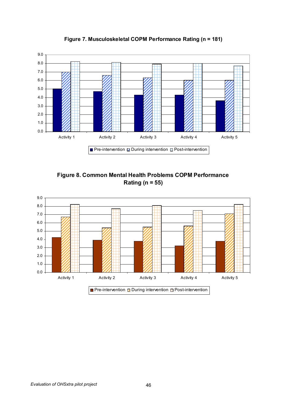

Figure 7. Musculoskeletal COPM Performance Rating (n = 181)

Figure 8. Common Mental Health Problems COPM Performance Rating ( $n = 55$ )

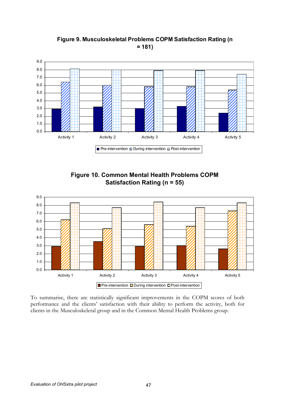

Figure 9. Musculoskeletal Problems COPM Satisfaction Rating (n  $= 181$ 





To summarise, there are statistically significant improvements in the COPM scores of both performance and the clients' satisfaction with their ability to perform the activity, both for clients in the Musculoskeletal group and in the Common Mental Health Problems group.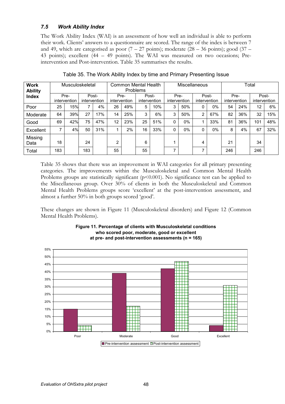## 7.5 Work Ability Index

The Work Ability Index (WAI) is an assessment of how well an individual is able to perform their work. Clients' answers to a questionnaire are scored. The range of the index is between 7 and 49, which are categorised as poor  $(7 - 27 \text{ points})$ ; moderate  $(28 - 36 \text{ points})$ ; good  $(37 -$ 43 points); excellent (44 – 49 points). The WAI was measured on two occasions; Preintervention and Post-intervention. Table 35 summarises the results.

| <b>Work</b><br><b>Ability</b> |     |                      | Musculoskeletal |                       |                      |     | Common Mental Health<br><b>Problems</b> |     |                      |       | <b>Miscellaneous</b> |       | Total                |     |                       |     |
|-------------------------------|-----|----------------------|-----------------|-----------------------|----------------------|-----|-----------------------------------------|-----|----------------------|-------|----------------------|-------|----------------------|-----|-----------------------|-----|
| <b>Index</b>                  |     | Pre-<br>intervention |                 | Post-<br>intervention | Pre-<br>intervention |     | Post-<br>intervention                   |     | Pre-<br>intervention |       | intervention         | Post- | Pre-<br>intervention |     | Post-<br>intervention |     |
| Poor                          | 25  | 15%                  |                 | 4%                    | 26                   | 49% | 5                                       | 10% | 3                    | 50%   | 0                    | $0\%$ | 54                   | 24% | $12 \overline{ }$     | 6%  |
| Moderate                      | 64  | 39%                  | 27              | 17%                   | 14                   | 25% | 3                                       | 6%  | 3                    | 50%   | 2                    | 67%   | 82                   | 36% | 32                    | 15% |
| Good                          | 69  | 42%                  | 75              | 47%                   | 12                   | 23% | 25                                      | 51% | 0                    | $0\%$ | и                    | 33%   | 81                   | 36% | 101                   | 48% |
| Excellent                     | ⇁   | 4%                   | 50              | 31%                   |                      | 2%  | 16                                      | 33% | 0                    | $0\%$ | 0                    | $0\%$ | 8                    | 4%  | 67                    | 32% |
| Missing<br>Data               | 18  |                      | 24              |                       | C                    |     | 6                                       |     |                      |       | 4                    |       | 21                   |     | 34                    |     |
| Total                         | 183 |                      | 183             |                       | 55                   |     | 55                                      |     | ⇁                    |       | ⇁                    |       | 246                  |     | 246                   |     |

Table 35. The Work Ability Index by time and Primary Presenting Issue

Table 35 shows that there was an improvement in WAI categories for all primary presenting categories. The improvements within the Musculoskeletal and Common Mental Health Problems groups are statistically significant (p<0.001). No significance test can be applied to the Miscellaneous group. Over 30% of clients in both the Musculoskeletal and Common Mental Health Problems groups score 'excellent' at the post-intervention assessment, and almost a further 50% in both groups scored 'good'.

These changes are shown in Figure 11 (Musculoskeletal disorders) and Figure 12 (Common Mental Health Problems).



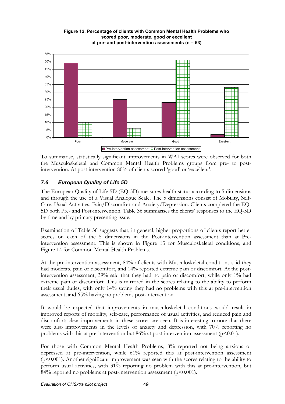

Figure 12. Percentage of clients with Common Mental Health Problems who scored poor, moderate, good or excellent at pre- and post-intervention assessments ( $n = 53$ )

To summarise, statistically significant improvements in WAI scores were observed for both the Musculoskeletal and Common Mental Health Problems groups from pre- to postintervention. At post intervention 80% of clients scored 'good' or 'excellent'.

# 7.6 European Quality of Life 5D

The European Quality of Life 5D (EQ-5D) measures health status according to 5 dimensions and through the use of a Visual Analogue Scale. The 5 dimensions consist of Mobility, Self-Care, Usual Activities, Pain/Discomfort and Anxiety/Depression. Clients completed the EQ-5D both Pre- and Post-intervention. Table 36 summarises the clients' responses to the EQ-5D by time and by primary presenting issue.

Examination of Table 36 suggests that, in general, higher proportions of clients report better scores on each of the 5 dimensions in the Post-intervention assessment than at Preintervention assessment. This is shown in Figure 13 for Musculoskeletal conditions, and Figure 14 for Common Mental Health Problems.

At the pre-intervention assessment, 84% of clients with Musculoskeletal conditions said they had moderate pain or discomfort, and 14% reported extreme pain or discomfort. At the postintervention assessment, 39% said that they had no pain or discomfort, while only 1% had extreme pain or discomfort. This is mirrored in the scores relating to the ability to perform their usual duties, with only 14% saying they had no problems with this at pre-intervention assessment, and 65% having no problems post-intervention.

It would be expected that improvements in musculoskeletal conditions would result in improved reports of mobility, self-care, performance of usual activities, and reduced pain and discomfort; clear improvements in these scores are seen. It is interesting to note that there were also improvements in the levels of anxiety and depression, with 70% reporting no problems with this at pre-intervention but  $86\%$  at post-intervention assessment (p<0.01).

For those with Common Mental Health Problems, 8% reported not being anxious or depressed at pre-intervention, while 61% reported this at post-intervention assessment  $(p<0.001)$ . Another significant improvement was seen with the scores relating to the ability to perform usual activities, with 31% reporting no problem with this at pre-intervention, but 84% reported no problems at post-intervention assessment ( $p$ <0.001).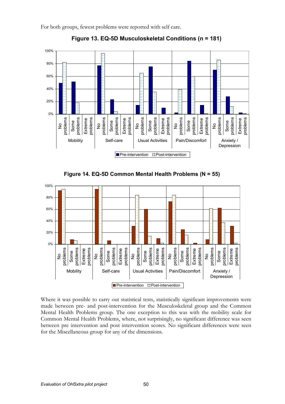For both groups, fewest problems were reported with self care.



Figure 13. EQ-5D Musculoskeletal Conditions (n = 181)





Where it was possible to carry out statistical tests, statistically significant improvements were made between pre- and post-intervention for the Musculoskeletal group and the Common Mental Health Problems group. The one exception to this was with the mobility scale for Common Mental Health Problems, where, not surprisingly, no significant difference was seen between pre intervention and post intervention scores. No significant differences were seen for the Miscellaneous group for any of the dimensions.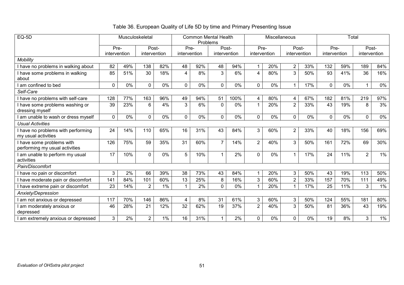# Table 36. European Quality of Life 5D by time and Primary Presenting Issue

| $EQ-5D$                                                   | Musculoskeletal |       |                |       |              | <b>Common Mental Health</b><br>Problems |                |       |                | Miscellaneous |                |       | Total        |     |                |       |
|-----------------------------------------------------------|-----------------|-------|----------------|-------|--------------|-----------------------------------------|----------------|-------|----------------|---------------|----------------|-------|--------------|-----|----------------|-------|
|                                                           | Pre-            |       | Post-          |       | Pre-         |                                         | Post-          |       | Pre-           |               | Post-          |       | Pre-         |     |                | Post- |
|                                                           | intervention    |       | intervention   |       | intervention |                                         | intervention   |       | intervention   |               | intervention   |       | intervention |     | intervention   |       |
| Mobility                                                  |                 |       |                |       |              |                                         |                |       |                |               |                |       |              |     |                |       |
| have no problems in walking about                         | 82              | 49%   | 138            | 82%   | 48           | 92%                                     | 48             | 94%   | 1              | 20%           | $\overline{2}$ | 33%   | 132          | 59% | 189            | 84%   |
| have some problems in walking<br>about                    | 85              | 51%   | 30             | 18%   | 4            | 8%                                      | 3              | 6%    | 4              | 80%           | 3              | 50%   | 93           | 41% | 36             | 16%   |
| am confined to bed                                        | $\mathbf 0$     | $0\%$ | $\mathbf 0$    | 0%    | 0            | 0%                                      | 0              | 0%    | $\mathbf 0$    | 0%            | -1             | 17%   | $\mathbf 0$  | 0%  | $\mathbf{1}$   | 0%    |
| Self-Care                                                 |                 |       |                |       |              |                                         |                |       |                |               |                |       |              |     |                |       |
| have no problems with self-care                           | 128             | 77%   | 163            | 96%   | 49           | 94%                                     | 51             | 100%  | 4              | 80%           | 4              | 67%   | 182          | 81% | 219            | 97%   |
| have some problems washing or<br>dressing myself          | 39              | 23%   | 6              | 4%    | 3            | 6%                                      | $\Omega$       | 0%    | $\overline{1}$ | 20%           | $\overline{2}$ | 33%   | 43           | 19% | 8              | 3%    |
| am unable to wash or dress myself                         | $\mathbf 0$     | $0\%$ | 0              | 0%    | $\mathbf 0$  | 0%                                      | $\overline{0}$ | $0\%$ | $\mathbf 0$    | 0%            | $\mathbf 0$    | $0\%$ | $\mathbf 0$  | 0%  | 0              | 0%    |
| <b>Usual Activities</b>                                   |                 |       |                |       |              |                                         |                |       |                |               |                |       |              |     |                |       |
| have no problems with performing<br>my usual activities   | 24              | 14%   | 110            | 65%   | 16           | 31%                                     | 43             | 84%   | 3              | 60%           | $\overline{2}$ | 33%   | 40           | 18% | 156            | 69%   |
| have some problems with<br>performing my usual activities | 126             | 75%   | 59             | 35%   | 31           | 60%                                     | $\overline{7}$ | 14%   | $\overline{2}$ | 40%           | 3              | 50%   | 161          | 72% | 69             | 30%   |
| am unable to perform my usual<br>activities               | 17              | 10%   | $\mathbf 0$    | 0%    | 5            | 10%                                     | 1              | 2%    | $\mathbf 0$    | 0%            | -1             | 17%   | 24           | 11% | $\overline{2}$ | 1%    |
| Pain/Discomfort                                           |                 |       |                |       |              |                                         |                |       |                |               |                |       |              |     |                |       |
| have no pain or discomfort                                | 3               | 2%    | 66             | 39%   | 38           | 73%                                     | 43             | 84%   | 1              | 20%           | 3              | 50%   | 43           | 19% | 113            | 50%   |
| have moderate pain or discomfort                          | 141             | 84%   | 101            | 60%   | 13           | 25%                                     | 8              | 16%   | 3              | 60%           | $\mathbf{2}$   | 33%   | 157          | 70% | 111            | 49%   |
| have extreme pain or discomfort                           | 23              | 14%   | $\overline{2}$ | $1\%$ | $\mathbf{1}$ | 2%                                      | $\Omega$       | 0%    | $\overline{1}$ | 20%           | -1             | 17%   | 25           | 11% | 3              | 1%    |
| Anxiety/Depression                                        |                 |       |                |       |              |                                         |                |       |                |               |                |       |              |     |                |       |
| am not anxious or depressed                               | 117             | 70%   | 146            | 86%   | 4            | 8%                                      | 31             | 61%   | 3              | 60%           | 3              | 50%   | 124          | 55% | 181            | 80%   |
| am moderately anxious or<br>depressed                     | 46              | 28%   | 21             | 12%   | 32           | 62%                                     | 19             | 37%   | $\overline{2}$ | 40%           | 3              | 50%   | 81           | 36% | 43             | 19%   |
| am extremely anxious or depressed                         | 3               | 2%    | $\overline{2}$ | $1\%$ | 16           | 31%                                     | 1              | 2%    | 0              | 0%            | 0              | $0\%$ | 19           | 8%  | 3              | $1\%$ |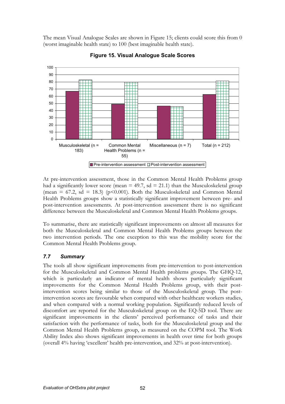The mean Visual Analogue Scales are shown in Figure 15; clients could score this from 0 (worst imaginable health state) to 100 (best imaginable health state).



Figure 15. Visual Analogue Scale Scores

At pre-intervention assessment, those in the Common Mental Health Problems group had a significantly lower score (mean  $= 49.7$ , sd  $= 21.1$ ) than the Musculoskeletal group (mean = 67.2, sd = 18.3) ( $p$ <0.001). Both the Musculoskeletal and Common Mental Health Problems groups show a statistically significant improvement between pre- and post-intervention assessments. At post-intervention assessment there is no significant difference between the Musculoskeletal and Common Mental Health Problems groups.

To summarise, there are statistically significant improvements on almost all measures for both the Musculoskeletal and Common Mental Health Problems groups between the two intervention periods. The one exception to this was the mobility score for the Common Mental Health Problems group.

# 7.7 Summary

The tools all show significant improvements from pre-intervention to post-intervention for the Musculoskeletal and Common Mental Health problems groups. The GHQ-12, which is particularly an indicator of mental health shows particularly significant improvements for the Common Mental Health Problems group, with their postintervention scores being similar to those of the Musculoskeletal group. The postintervention scores are favourable when compared with other healthcare workers studies, and when compared with a normal working population. Significantly reduced levels of discomfort are reported for the Musculoskeletal group on the EQ-5D tool. There are significant improvements in the clients' perceived performance of tasks and their satisfaction with the performance of tasks, both for the Musculoskeletal group and the Common Mental Health Problems group, as measured on the COPM tool. The Work Ability Index also shows significant improvements in health over time for both groups (overall 4% having 'excellent' health pre-intervention, and 32% at post-intervention).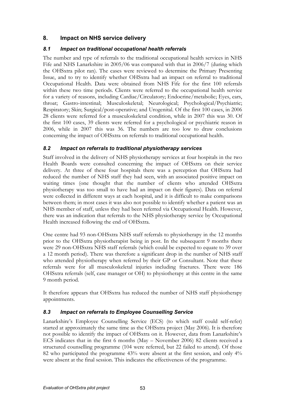# 8. Impact on NHS service delivery

### 8.1 Impact on traditional occupational health referrals

The number and type of referrals to the traditional occupational health services in NHS Fife and NHS Lanarkshire in 2005/06 was compared with that in 2006/7 (during which the OHSxtra pilot ran). The cases were reviewed to determine the Primary Presenting Issue, and to try to identify whether OHSxtra had an impact on referral to traditional Occupational Health. Data were obtained from NHS Fife for the first 100 referrals within these two time periods. Clients were referred to the occupational health service for a variety of reasons, including Cardiac/Circulatory; Endocrine/metabolic; Eyes, ears, throat; Gastro-intestinal; Musculoskeletal; Neurological; Psychological/Psychiatric; Respiratory; Skin; Surgical/post-operative; and Urogenital. Of the first 100 cases, in 2006 28 clients were referred for a musculoskeletal condition, while in 2007 this was 30. Of the first 100 cases, 39 clients were referred for a psychological or psychiatric reason in 2006, while in 2007 this was 36. The numbers are too low to draw conclusions concerning the impact of OHSxtra on referrals to traditional occupational health.

### 8.2 Impact on referrals to traditional physiotherapy services

Staff involved in the delivery of NHS physiotherapy services at four hospitals in the two Health Boards were consulted concerning the impact of OHSxtra on their service delivery. At three of these four hospitals there was a perception that OHSxtra had reduced the number of NHS staff they had seen, with an associated positive impact on waiting times (one thought that the number of clients who attended OHSxtra physiotherapy was too small to have had an impact on their figures). Data on referral were collected in different ways at each hospital, and it is difficult to make comparisons between them; in most cases it was also not possible to identify whether a patient was an NHS member of staff, unless they had been referred via Occupational Health. However, there was an indication that referrals to the NHS physiotherapy service by Occupational Health increased following the end of OHSxtra.

One centre had 93 non-OHSxtra NHS staff referrals to physiotherapy in the 12 months prior to the OHSxtra physiotherapist being in post. In the subsequent 9 months there were 29 non-OHSxtra NHS staff referrals (which could be expected to equate to 39 over a 12 month period). There was therefore a significant drop in the number of NHS staff who attended physiotherapy when referred by their GP or Consultant. Note that these referrals were for all musculoskeletal injuries including fractures. There were 186 OHSxtra referrals (self, case manager or OH) to physiotherapy at this centre in the same 9 month period.

It therefore appears that OHSxtra has reduced the number of NHS staff physiotherapy appointments.

#### 8.3 Impact on referrals to Employee Counselling Service

Lanarkshire's Employee Counselling Service (ECS) (to which staff could self-refer) started at approximately the same time as the OHSxtra project (May 2006). It is therefore not possible to identify the impact of OHSxtra on it. However, data from Lanarkshire's ECS indicates that in the first 6 months (May – November 2006) 82 clients received a structured counselling programme (104 were referred, but 22 failed to attend). Of those 82 who participated the programme 43% were absent at the first session, and only 4% were absent at the final session. This indicates the effectiveness of the programme.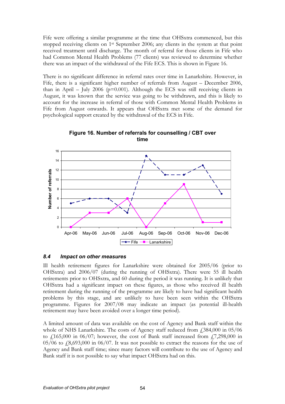Fife were offering a similar programme at the time that OHSxtra commenced, but this stopped receiving clients on 1st September 2006; any clients in the system at that point received treatment until discharge. The month of referral for those clients in Fife who had Common Mental Health Problems (77 clients) was reviewed to determine whether there was an impact of the withdrawal of the Fife ECS. This is shown in Figure 16.

There is no significant difference in referral rates over time in Lanarkshire. However, in Fife, there is a significant higher number of referrals from August – December 2006, than in April – July 2006 ( $p=0.001$ ). Although the ECS was still receiving clients in August, it was known that the service was going to be withdrawn, and this is likely to account for the increase in referral of those with Common Mental Health Problems in Fife from August onwards. It appears that OHSxtra met some of the demand for psychological support created by the withdrawal of the ECS in Fife.



Figure 16. Number of referrals for counselling / CBT over time

#### 8.4 Impact on other measures

Ill health retirement figures for Lanarkshire were obtained for 2005/06 (prior to OHSxtra) and 2006/07 (during the running of OHSxtra). There were 55 ill health retirements prior to OHSxtra, and 60 during the period it was running. It is unlikely that OHSxtra had a significant impact on these figures, as those who received ill health retirement during the running of the programme are likely to have had significant health problems by this stage, and are unlikely to have been seen within the OHSxtra programme. Figures for 2007/08 may indicate an impact (as potential ill-health retirement may have been avoided over a longer time period).

A limited amount of data was available on the cost of Agency and Bank staff within the whole of NHS Lanarkshire. The costs of Agency staff reduced from  $\text{\emph{f}}384,000$  in  $05/06$ to  $\frac{1}{165,000}$  in 06/07; however, the cost of Bank staff increased from  $\frac{17,298,000}{10}$  in  $05/06$  to  $\sqrt{6}8,693,000$  in 06/07. It was not possible to extract the reasons for the use of Agency and Bank staff time; since many factors will contribute to the use of Agency and Bank staff it is not possible to say what impact OHSxtra had on this.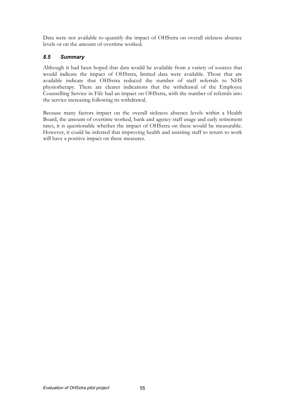Data were not available to quantify the impact of OHSxtra on overall sickness absence levels or on the amount of overtime worked.

#### 8.5 Summary

Although it had been hoped that data would be available from a variety of sources that would indicate the impact of OHSxtra, limited data were available. Those that are available indicate that OHSxtra reduced the number of staff referrals to NHS physiotherapy. There are clearer indications that the withdrawal of the Employee Counselling Service in Fife had an impact on OHSxtra, with the number of referrals into the service increasing following its withdrawal.

Because many factors impact on the overall sickness absence levels within a Health Board, the amount of overtime worked, bank and agency staff usage and early retirement rates, it is questionable whether the impact of OHSxtra on these would be measurable. However, it could be inferred that improving health and assisting staff to return to work will have a positive impact on these measures.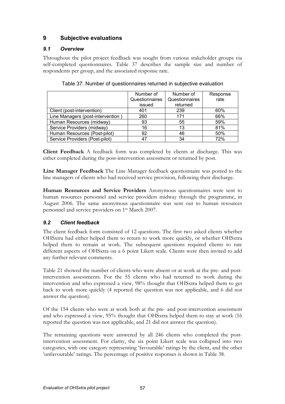# 9 Subjective evaluations

## 9.1 Overview

Throughout the pilot project feedback was sought from various stakeholder groups via self-completed questionnaires. Table 37 describes the sample size and number of respondents per group, and the associated response rate.

|                                   | Number of      | Number of      | Response |
|-----------------------------------|----------------|----------------|----------|
|                                   | Questionnaires | Questionnaires | rate     |
|                                   | issued         | returned       |          |
| Client (post-intervention)        | 401            | 239            | 60%      |
| Line Managers (post-intervention) | 260            | 171            | 66%      |
| Human Resources (midway)          | 93             | 55             | 59%      |
| Service Providers (midway)        | 16             | 13             | 81%      |
| Human Resources (Post-pilot)      | 92             | 46             | 50%      |
| Service Providers (Post-pilot)    | 47             | 34             | 72%      |

Table 37. Number of questionnaires returned in subjective evaluation

Client Feedback A feedback form was completed by clients at discharge. This was either completed during the post-intervention assessment or returned by post.

Line Manager Feedback The Line Manager feedback questionnaire was posted to the line managers of clients who had received service provision, following their discharge.

Human Resources and Service Providers Anonymous questionnaires were sent to human resources personnel and service providers midway through the programme, in August 2006. The same anonymous questionnaire was sent out to human resources personnel and service providers on 1st March 2007.

# 9.2 Client feedback

The client feedback form consisted of 12 questions. The first two asked clients whether OHSxtra had either helped them to return to work more quickly, or whether OHSxtra helped them to remain at work. The subsequent questions required clients to rate different aspects of OHSxtra on a 6 point Likert scale. Clients were then invited to add any further relevant comments.

Table 21 showed the number of clients who were absent or at work at the pre- and postintervention assessments. For the 55 clients who had returned to work during the intervention and who expressed a view, 98% thought that OHSxtra helped them to get back to work more quickly (4 reported the question was not applicable, and 6 did not answer the question).

Of the 154 clients who were at work both at the pre- and post-intervention assessment and who expressed a view, 95% thought that OHSxtra helped them to stay at work (16 reported the question was not applicable, and 21 did not answer the question).

The remaining questions were answered by all 246 clients who completed the postintervention assessment. For clarity, the six point Likert scale was collapsed into two categories, with one category representing 'favourable' ratings by the client, and the other 'unfavourable' ratings. The percentage of positive responses is shown in Table 38.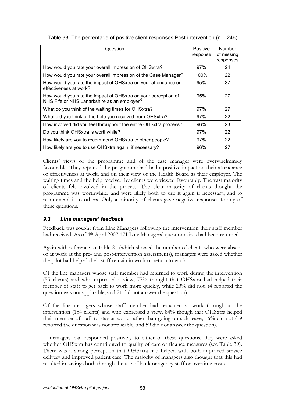| Question                                                                                                      | Positive<br>response | Number<br>of missing<br>responses |
|---------------------------------------------------------------------------------------------------------------|----------------------|-----------------------------------|
| How would you rate your overall impression of OHSxtra?                                                        | 97%                  | 24                                |
| How would you rate your overall impression of the Case Manager?                                               | 100%                 | 22                                |
| How would you rate the impact of OHSxtra on your attendance or<br>effectiveness at work?                      | 95%                  | 37                                |
| How would you rate the impact of OHSxtra on your perception of<br>NHS Fife or NHS Lanarkshire as an employer? | 95%                  | 27                                |
| What do you think of the waiting times for OHSxtra?                                                           | 97%                  | 27                                |
| What did you think of the help you received from OHSxtra?                                                     | 97%                  | 22                                |
| How involved did you feel throughout the entire OHSxtra process?                                              | 96%                  | 23                                |
| Do you think OHSxtra is worthwhile?                                                                           | 97%                  | 22                                |
| How likely are you to recommend OHSxtra to other people?                                                      | 97%                  | 22                                |
| How likely are you to use OHSxtra again, if necessary?                                                        | 96%                  | 27                                |

|  |  | Table 38. The percentage of positive client responses Post-intervention ( $n = 246$ ) |  |
|--|--|---------------------------------------------------------------------------------------|--|
|  |  |                                                                                       |  |

Clients' views of the programme and of the case manager were overwhelmingly favourable. They reported the programme had had a positive impact on their attendance or effectiveness at work, and on their view of the Health Board as their employer. The waiting times and the help received by clients were viewed favourably. The vast majority of clients felt involved in the process. The clear majority of clients thought the programme was worthwhile, and were likely both to use it again if necessary, and to recommend it to others. Only a minority of clients gave negative responses to any of these questions.

## 9.3 Line managers' feedback

Feedback was sought from Line Managers following the intervention their staff member had received. As of 4<sup>th</sup> April 2007 171 Line Managers' questionnaires had been returned.

Again with reference to Table 21 (which showed the number of clients who were absent or at work at the pre- and post-intervention assessments), managers were asked whether the pilot had helped their staff remain in work or return to work.

Of the line managers whose staff member had returned to work during the intervention (55 clients) and who expressed a view, 77% thought that OHSxtra had helped their member of staff to get back to work more quickly, while 23% did not. (4 reported the question was not applicable, and 21 did not answer the question).

Of the line managers whose staff member had remained at work throughout the intervention (154 clients) and who expressed a view, 84% though that OHSxtra helped their member of staff to stay at work, rather than going on sick leave; 16% did not (19 reported the question was not applicable, and 59 did not answer the question).

If managers had responded positively to either of these questions, they were asked whether OHSxtra has contributed to quality of care or finance measures (see Table 39). There was a strong perception that OHSxtra had helped with both improved service delivery and improved patient care. The majority of managers also thought that this had resulted in savings both through the use of bank or agency staff or overtime costs.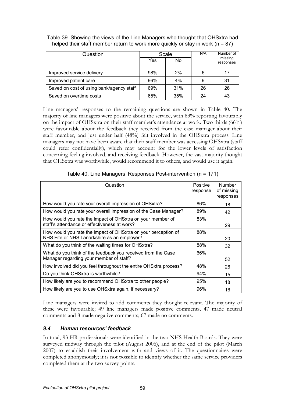| Question                                 | Scale |                | N/A | Number of            |
|------------------------------------------|-------|----------------|-----|----------------------|
|                                          | Yes   | N <sub>0</sub> |     | missing<br>responses |
| Improved service delivery                | 98%   | 2%             | 6   | 17                   |
| Improved patient care                    | 96%   | 4%             | 9   | 31                   |
| Saved on cost of using bank/agency staff | 69%   | 31%            | 26  | 26                   |
| Saved on overtime costs                  | 65%   | 35%            | 24  | 43                   |

Table 39. Showing the views of the Line Managers who thought that OHSxtra had helped their staff member return to work more quickly or stay in work ( $n = 87$ )

Line managers' responses to the remaining questions are shown in Table 40. The majority of line managers were positive about the service, with 83% reporting favourably on the impact of OHSxtra on their staff member's attendance at work. Two thirds (66%) were favourable about the feedback they received from the case manager about their staff member, and just under half (48%) felt involved in the OHSxtra process. Line managers may not have been aware that their staff member was accessing OHSxtra (staff could refer confidentially), which may account for the lower levels of satisfaction concerning feeling involved, and receiving feedback. However, the vast majority thought that OHSxtra was worthwhile, would recommend it to others, and would use it again.

| Question                                                                                                      | Positive<br>response | Number<br>of missing<br>responses |
|---------------------------------------------------------------------------------------------------------------|----------------------|-----------------------------------|
| How would you rate your overall impression of OHSxtra?                                                        | 86%                  | 18                                |
| How would you rate your overall impression of the Case Manager?                                               | 89%                  | 42                                |
| How would you rate the impact of OHSxtra on your member of<br>staff's attendance or effectiveness at work?    | 83%                  | 29                                |
| How would you rate the impact of OHSxtra on your perception of<br>NHS Fife or NHS Lanarkshire as an employer? | 88%                  | 20                                |
| What do you think of the waiting times for OHSxtra?                                                           | 88%                  | 32                                |
| What do you think of the feedback you received from the Case<br>Manager regarding your member of staff?       | 66%                  | 52                                |
| How involved did you feel throughout the entire OHSxtra process?                                              | 48%                  | 26                                |
| Do you think OHSxtra is worthwhile?                                                                           | 94%                  | 15                                |
| How likely are you to recommend OHSxtra to other people?                                                      | 95%                  | 18                                |
| How likely are you to use OHSxtra again, if necessary?                                                        | 96%                  | 16                                |

Table 40. Line Managers' Responses Post-intervention (n = 171)

Line managers were invited to add comments they thought relevant. The majority of these were favourable; 49 line managers made positive comments, 47 made neutral comments and 8 made negative comments; 67 made no comments.

# 9.4 Human resources' feedback

In total, 93 HR professionals were identified in the two NHS Health Boards. They were surveyed midway through the pilot (August 2006), and at the end of the pilot (March 2007) to establish their involvement with and views of it. The questionnaires were completed anonymously; it is not possible to identify whether the same service providers completed them at the two survey points.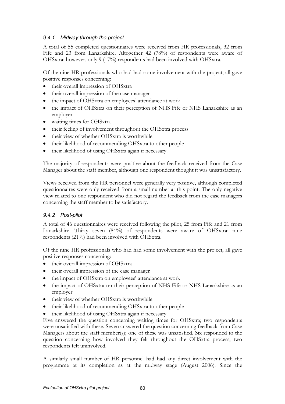### 9.4.1 Midway through the project

A total of 55 completed questionnaires were received from HR professionals, 32 from Fife and 23 from Lanarkshire. Altogether 42 (78%) of respondents were aware of OHSxtra; however, only 9 (17%) respondents had been involved with OHSxtra.

Of the nine HR professionals who had had some involvement with the project, all gave positive responses concerning:

- their overall impression of OHSxtra
- their overall impression of the case manager
- the impact of OHSxtra on employees' attendance at work
- the impact of OHSxtra on their perception of NHS Fife or NHS Lanarkshire as an employer
- waiting times for OHSxtra
- their feeling of involvement throughout the OHSxtra process
- their view of whether OHSxtra is worthwhile
- their likelihood of recommending OHSxtra to other people
- their likelihood of using OHSxtra again if necessary.

The majority of respondents were positive about the feedback received from the Case Manager about the staff member, although one respondent thought it was unsatisfactory.

Views received from the HR personnel were generally very positive, although completed questionnaires were only received from a small number at this point. The only negative view related to one respondent who did not regard the feedback from the case managers concerning the staff member to be satisfactory.

#### 9.4.2 Post-pilot

A total of 46 questionnaires were received following the pilot, 25 from Fife and 21 from Lanarkshire. Thirty seven (84%) of respondents were aware of OHSxtra; nine respondents (21%) had been involved with OHSxtra.

Of the nine HR professionals who had had some involvement with the project, all gave positive responses concerning:

- their overall impression of OHSxtra
- their overall impression of the case manager
- the impact of OHSxtra on employees' attendance at work
- the impact of OHSxtra on their perception of NHS Fife or NHS Lanarkshire as an employer
- their view of whether OHSxtra is worthwhile
- their likelihood of recommending OHSxtra to other people
- their likelihood of using OHSxtra again if necessary.

Five answered the question concerning waiting times for OHSxtra; two respondents were unsatisfied with these. Seven answered the question concerning feedback from Case Managers about the staff member(s); one of these was unsatisfied. Six responded to the question concerning how involved they felt throughout the OHSxtra process; two respondents felt uninvolved.

A similarly small number of HR personnel had had any direct involvement with the programme at its completion as at the midway stage (August 2006). Since the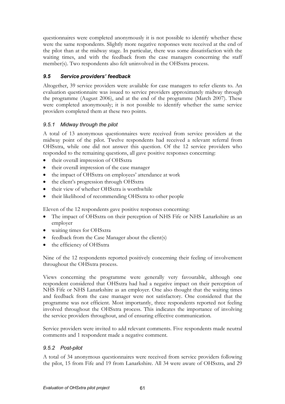questionnaires were completed anonymously it is not possible to identify whether these were the same respondents. Slightly more negative responses were received at the end of the pilot than at the midway stage. In particular, there was some dissatisfaction with the waiting times, and with the feedback from the case managers concerning the staff member(s). Two respondents also felt uninvolved in the OHSxtra process.

# 9.5 Service providers' feedback

Altogether, 39 service providers were available for case managers to refer clients to. An evaluation questionnaire was issued to service providers approximately midway through the programme (August 2006), and at the end of the programme (March 2007). These were completed anonymously; it is not possible to identify whether the same service providers completed them at these two points.

# 9.5.1 Midway through the pilot

A total of 13 anonymous questionnaires were received from service providers at the midway point of the pilot. Twelve respondents had received a relevant referral from OHSxtra, while one did not answer this question. Of the 12 service providers who responded to the remaining questions, all gave positive responses concerning:

- their overall impression of OHSxtra
- their overall impression of the case manager
- the impact of OHSxtra on employees' attendance at work
- the client's progression through OHSxtra
- their view of whether OHSxtra is worthwhile
- their likelihood of recommending OHSxtra to other people

Eleven of the 12 respondents gave positive responses concerning:

- The impact of OHSxtra on their perception of NHS Fife or NHS Lanarkshire as an employer
- waiting times for OHSxtra
- feedback from the Case Manager about the client(s)
- the efficiency of OHSxtra

Nine of the 12 respondents reported positively concerning their feeling of involvement throughout the OHSxtra process.

Views concerning the programme were generally very favourable, although one respondent considered that OHSxtra had had a negative impact on their perception of NHS Fife or NHS Lanarkshire as an employer. One also thought that the waiting times and feedback from the case manager were not satisfactory. One considered that the programme was not efficient. Most importantly, three respondents reported not feeling involved throughout the OHSxtra process. This indicates the importance of involving the service providers throughout, and of ensuring effective communication.

Service providers were invited to add relevant comments. Five respondents made neutral comments and 1 respondent made a negative comment.

# 9.5.2 Post-pilot

A total of 34 anonymous questionnaires were received from service providers following the pilot, 15 from Fife and 19 from Lanarkshire. All 34 were aware of OHSxtra, and 29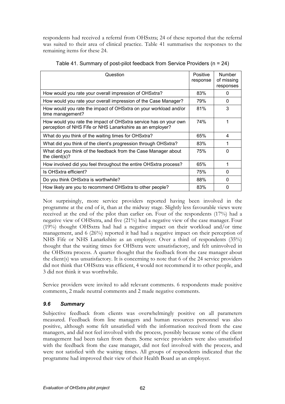respondents had received a referral from OHSxtra; 24 of these reported that the referral was suited to their area of clinical practice. Table 41 summarises the responses to the remaining items for these 24.

| Question                                                                                                                      | Positive<br>response | Number<br>of missing<br>responses |
|-------------------------------------------------------------------------------------------------------------------------------|----------------------|-----------------------------------|
| How would you rate your overall impression of OHSxtra?                                                                        | 83%                  | 0                                 |
| How would you rate your overall impression of the Case Manager?                                                               | 79%                  | 0                                 |
| How would you rate the impact of OHSxtra on your workload and/or<br>time management?                                          | 81%                  | 3                                 |
| How would you rate the impact of OHSxtra service has on your own<br>perception of NHS Fife or NHS Lanarkshire as an employer? | 74%                  | 1                                 |
| What do you think of the waiting times for OHSxtra?                                                                           | 65%                  | 4                                 |
| What did you think of the client's progression through OHSxtra?                                                               | 83%                  |                                   |
| What did you think of the feedback from the Case Manager about<br>the client( $s$ )?                                          | 75%                  | $\Omega$                          |
| How involved did you feel throughout the entire OHSxtra process?                                                              | 65%                  | 1                                 |
| Is OHSxtra efficient?                                                                                                         | 75%                  | $\Omega$                          |
| Do you think OHSxtra is worthwhile?                                                                                           | 88%                  | 0                                 |
| How likely are you to recommend OHSxtra to other people?                                                                      | 83%                  | $\Omega$                          |

Not surprisingly, more service providers reported having been involved in the programme at the end of it, than at the midway stage. Slightly less favourable views were received at the end of the pilot than earlier on. Four of the respondents (17%) had a negative view of OHSxtra, and five (21%) had a negative view of the case manager. Four (19%) thought OHSxtra had had a negative impact on their workload and/or time management, and 6 (26%) reported it had had a negative impact on their perception of NHS Fife or NHS Lanarkshire as an employer. Over a third of respondents (35%) thought that the waiting times for OHSxtra were unsatisfactory, and felt uninvolved in the OHSxtra process. A quarter thought that the feedback from the case manager about the client(s) was unsatisfactory. It is concerning to note that 6 of the 24 service providers did not think that OHSxtra was efficient, 4 would not recommend it to other people, and 3 did not think it was worthwhile.

Service providers were invited to add relevant comments. 6 respondents made positive comments, 2 made neutral comments and 2 made negative comments.

## 9.6 Summary

Subjective feedback from clients was overwhelmingly positive on all parameters measured. Feedback from line managers and human resources personnel was also positive, although some felt unsatisfied with the information received from the case managers, and did not feel involved with the process, possibly because some of the client management had been taken from them. Some service providers were also unsatisfied with the feedback from the case manager, did not feel involved with the process, and were not satisfied with the waiting times. All groups of respondents indicated that the programme had improved their view of their Health Board as an employer.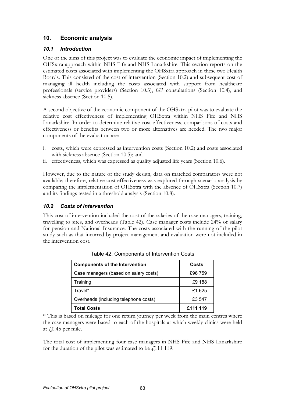# 10. Economic analysis

# 10.1 Introduction

One of the aims of this project was to evaluate the economic impact of implementing the OHSxtra approach within NHS Fife and NHS Lanarkshire. This section reports on the estimated costs associated with implementing the OHSxtra approach in these two Health Boards. This consisted of the cost of intervention (Section 10.2) and subsequent cost of managing ill health including the costs associated with support from healthcare professionals (service providers) (Section 10.3), GP consultations (Section 10.4), and sickness absence (Section 10.5).

A second objective of the economic component of the OHSxtra pilot was to evaluate the relative cost effectiveness of implementing OHSxtra within NHS Fife and NHS Lanarkshire. In order to determine relative cost effectiveness, comparisons of costs and effectiveness or benefits between two or more alternatives are needed. The two major components of the evaluation are:

- i. costs, which were expressed as intervention costs (Section 10.2) and costs associated with sickness absence (Section 10.5); and
- ii. effectiveness, which was expressed as quality adjusted life years (Section 10.6).

However, due to the nature of the study design, data on matched comparators were not available; therefore, relative cost effectiveness was explored through scenario analysis by comparing the implementation of OHSxtra with the absence of OHSxtra (Section 10.7) and its findings tested in a threshold analysis (Section 10.8).

# 10.2 Costs of intervention

This cost of intervention included the cost of the salaries of the case managers, training, travelling to sites, and overheads (Table 42). Case manager costs include 24% of salary for pension and National Insurance. The costs associated with the running of the pilot study such as that incurred by project management and evaluation were not included in the intervention cost.

| <b>Components of the Intervention</b> | Costs    |
|---------------------------------------|----------|
| Case managers (based on salary costs) | £96 759  |
| Training                              | £9 188   |
| Travel*                               | £1 625   |
| Overheads (including telephone costs) | £3 547   |
| <b>Total Costs</b>                    | £111 119 |

|  |  | Table 42. Components of Intervention Costs |  |
|--|--|--------------------------------------------|--|
|--|--|--------------------------------------------|--|

\* This is based on mileage for one return journey per week from the main centres where the case managers were based to each of the hospitals at which weekly clinics were held at  $\sqrt{0.45}$  per mile.

The total cost of implementing four case managers in NHS Fife and NHS Lanarkshire for the duration of the pilot was estimated to be  $\ell$ 111 119.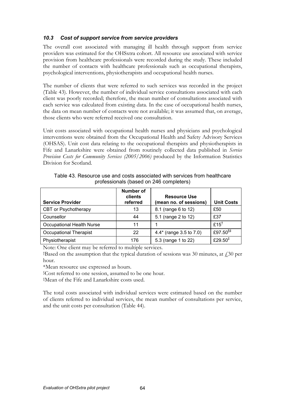### 10.3 Cost of support service from service providers

The overall cost associated with managing ill health through support from service providers was estimated for the OHSxtra cohort. All resource use associated with service provision from healthcare professionals were recorded during the study. These included the number of contacts with healthcare professionals such as occupational therapists, psychological interventions, physiotherapists and occupational health nurses.

The number of clients that were referred to such services was recorded in the project (Table 43). However, the number of individual service consultations associated with each client was poorly recorded; therefore, the mean number of consultations associated with each service was calculated from existing data. In the case of occupational health nurses, the data on mean number of contacts were not available; it was assumed that, on average, those clients who were referred received one consultation.

Unit costs associated with occupational health nurses and physicians and psychological interventions were obtained from the Occupational Health and Safety Advisory Services (OHSAS). Unit cost data relating to the occupational therapists and physiotherapists in Fife and Lanarkshire were obtained from routinely collected data published in Service Provision Costs for Community Services (2005/2006) produced by the Information Statistics Division for Scotland.

| <b>Service Provider</b>          | <b>Number of</b><br>clients<br>referred | <b>Resource Use</b><br>(mean no. of sessions) | <b>Unit Costs</b>                |
|----------------------------------|-----------------------------------------|-----------------------------------------------|----------------------------------|
| CBT or Psychotherapy             | 13                                      | 8.1 (range 6 to 12)                           | £50                              |
| Counsellor                       | 44                                      | 5.1 (range 2 to 12)                           | £37                              |
| <b>Occupational Health Nurse</b> | 11                                      |                                               | £15 <sup>†</sup>                 |
| <b>Occupational Therapist</b>    | 22                                      | 4.4* (range 3.5 to 7.0)                       | £97.50 $$^{\$}$                  |
| Physiotherapist                  | 176                                     | 5.3 (range 1 to 22)                           | £29.50 <sup><math>‡</math></sup> |

Table 43. Resource use and costs associated with services from healthcare professionals (based on 246 completers)

Note: One client may be referred to multiple services.

<sup>†</sup>Based on the assumption that the typical duration of sessions was 30 minutes, at  $\angle$  30 per hour.

\*Mean resource use expressed as hours.

§Cost referred to one session, assumed to be one hour.

‡Mean of the Fife and Lanarkshire costs used.

The total costs associated with individual services were estimated based on the number of clients referred to individual services, the mean number of consultations per service, and the unit costs per consultation (Table 44).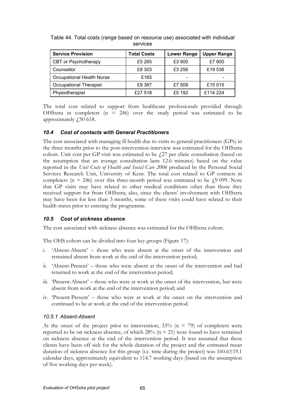| <b>Service Provision</b>      | <b>Total Costs</b> | <b>Lower Range</b> | <b>Upper Range</b> |
|-------------------------------|--------------------|--------------------|--------------------|
| CBT or Psychotherapy          | £5 265             | £3 900             | £7 800             |
| Counsellor                    | £8 303             | £3 256             | £19 536            |
| Occupational Health Nurse     | £165               |                    |                    |
| <b>Occupational Therapist</b> | £9 367             | £7 508             | £15 015            |
| Physiotherapist               | £27 518            | £5 192             | £114 224           |

Table 44. Total costs (range based on resource use) associated with individual services

The total cost related to support from healthcare professionals provided through OHSxtra in completers  $(n = 246)$  over the study period was estimated to be approximately  $\emph{f}$  50 618.

#### 10.4 Cost of contacts with General Practitioners

The cost associated with managing ill health due to visits to general practitioners (GPs) in the three months prior to the post-intervention interview was estimated for the OHSxtra cohort. Unit cost per GP visit was estimated to be  $f<sub>1</sub>27$  per clinic consultation (based on the assumption that an average consultation lasts 12.6 minutes) based on the value reported in the Unit Costs of Health and Social Care 2006 produced by the Personal Social Services Research Unit, University of Kent. The total cost related to GP contacts in completers ( $n = 246$ ) over this three-month period was estimated to be  $\neq 9099$ . Note that GP visits may have related to other medical conditions other than those they received support for from OHSxtra; also, since the clients' involvement with OHSxtra may have been for less than 3 months, some of these visits could have related to their health status prior to entering the programme.

#### 10.5 Cost of sickness absence

The cost associated with sickness absence was estimated for the OHSxtra cohort.

The OHS cohort can be divided into four key groups (Figure 17):

- i. 'Absent-Absent' those who were absent at the onset of the intervention and remained absent from work at the end of the intervention period;
- ii. 'Absent-Present' those who were absent at the onset of the intervention and had returned to work at the end of the intervention period;
- iii. 'Present-Absent' those who were at work at the onset of the intervention, but were absent from work at the end of the intervention period; and
- iv. 'Present-Present' those who were at work at the onset on the intervention and continued to be at work at the end of the intervention period.

#### 10.5.1 Absent-Absent

At the onset of the project prior to intervention,  $33\%$  (n = 79) of completers were reported to be on sickness absence, of which  $28\%$  (n = 21) were found to have remained on sickness absence at the end of the intervention period. It was assumed that these clients have been off sick for the whole duration of the project and the estimated mean duration of sickness absence for this group (i.e. time during the project) was 160.6±19.1 calendar days, approximately equivalent to 114.7 working days (based on the assumption of five working days per week).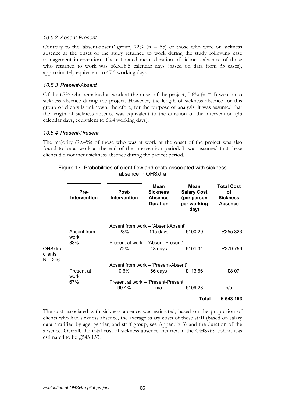#### 10.5.2 Absent-Present

Contrary to the 'absent-absent' group,  $72\%$  (n = 55) of those who were on sickness absence at the onset of the study returned to work during the study following case management intervention. The estimated mean duration of sickness absence of those who returned to work was 66.5±8.5 calendar days (based on data from 35 cases), approximately equivalent to 47.5 working days.

### 10.5.3 Present-Absent

Of the 67% who remained at work at the onset of the project,  $0.6\%$  (n = 1) went onto sickness absence during the project. However, the length of sickness absence for this group of clients is unknown, therefore, for the purpose of analysis, it was assumed that the length of sickness absence was equivalent to the duration of the intervention (93 calendar days, equivalent to 66.4 working days).

### 10.5.4 Present-Present

The majority (99.4%) of those who was at work at the onset of the project was also found to be at work at the end of the intervention period. It was assumed that these clients did not incur sickness absence during the project period.

Figure 17. Probabilities of client flow and costs associated with sickness absence in OHSxtra

|                | Pre-<br><b>Intervention</b> | Post-<br><b>Intervention</b>        | Mean<br><b>Sickness</b><br><b>Absence</b><br><b>Duration</b> | Mean<br><b>Salary Cost</b><br>(per person<br>per working<br>day) | <b>Total Cost</b><br>οf<br><b>Sickness</b><br><b>Absence</b> |
|----------------|-----------------------------|-------------------------------------|--------------------------------------------------------------|------------------------------------------------------------------|--------------------------------------------------------------|
|                |                             | Absent from work - 'Absent-Absent'  |                                                              |                                                                  |                                                              |
|                | Absent from                 | 28%                                 | 115 days                                                     | £100.29                                                          | £255 323                                                     |
|                | work                        |                                     |                                                              |                                                                  |                                                              |
|                | 33%                         | Present at work – 'Absent-Present'  |                                                              |                                                                  |                                                              |
| <b>OHSxtra</b> |                             | 72%                                 | 48 days                                                      | £101.34                                                          | £279759                                                      |
| clients        |                             |                                     |                                                              |                                                                  |                                                              |
| $N = 246$      |                             |                                     |                                                              |                                                                  |                                                              |
|                |                             | Absent from work - 'Present-Absent' |                                                              |                                                                  |                                                              |
|                | Present at                  | $0.6\%$                             | 66 days                                                      | £113.66                                                          | £8 071                                                       |
|                | work                        |                                     |                                                              |                                                                  |                                                              |
|                | 67%                         | Present at work - 'Present-Present' |                                                              |                                                                  |                                                              |
|                |                             | 99.4%                               | n/a                                                          | £109.23                                                          | n/a                                                          |
|                |                             |                                     |                                                              | Total                                                            | £ 543 153                                                    |

The cost associated with sickness absence was estimated, based on the proportion of clients who had sickness absence, the average salary costs of these staff (based on salary data stratified by age, gender, and staff group, see Appendix 3) and the duration of the absence. Overall, the total cost of sickness absence incurred in the OHSxtra cohort was estimated to be  $\sqrt{543}$  153.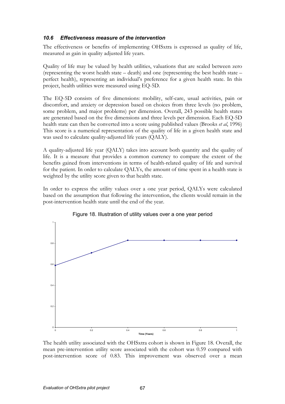### 10.6 Effectiveness measure of the intervention

The effectiveness or benefits of implementing OHSxtra is expressed as quality of life, measured as gain in quality adjusted life years.

Quality of life may be valued by health utilities, valuations that are scaled between zero (representing the worst health state – death) and one (representing the best health state – perfect health), representing an individual's preference for a given health state. In this project, health utilities were measured using EQ-5D.

The EQ-5D consists of five dimensions: mobility, self-care, usual activities, pain or discomfort, and anxiety or depression based on choices from three levels (no problem, some problem, and major problems) per dimension. Overall, 243 possible health states are generated based on the five dimensions and three levels per dimension. Each EQ-5D health state can then be converted into a score using published values (Brooks et al, 1996) This score is a numerical representation of the quality of life in a given health state and was used to calculate quality-adjusted life years (QALY).

A quality-adjusted life year (QALY) takes into account both quantity and the quality of life. It is a measure that provides a common currency to compare the extent of the benefits gained from interventions in terms of health-related quality of life and survival for the patient. In order to calculate QALYs, the amount of time spent in a health state is weighted by the utility score given to that health state.

In order to express the utility values over a one year period, QALYs were calculated based on the assumption that following the intervention, the clients would remain in the post-intervention health state until the end of the year.



#### Figure 18. Illustration of utility values over a one year period

The health utility associated with the OHSxtra cohort is shown in Figure 18. Overall, the mean pre-intervention utility score associated with the cohort was 0.59 compared with post-intervention score of 0.83. This improvement was observed over a mean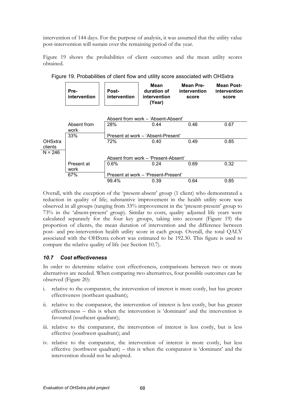intervention of 144 days. For the purpose of analysis, it was assumed that the utility value post-intervention will sustain over the remaining period of the year.

Figure 19 shows the probabilities of client outcomes and the mean utility scores obtained.

|                           | Pre-<br>intervention | <b>Post-</b><br>intervention | Mean<br>duration of<br>intervention<br>(Year) | Mean Pre-<br>intervention<br>score | Mean Post-<br>intervention<br>score |
|---------------------------|----------------------|------------------------------|-----------------------------------------------|------------------------------------|-------------------------------------|
|                           |                      |                              | Absent from work – 'Absent-Absent'            |                                    |                                     |
|                           | Absent from<br>work  | 28%                          | 0.44                                          | 0.46                               | 0.67                                |
|                           | 33%                  |                              | Present at work – 'Absent-Present'            |                                    |                                     |
| <b>OHSxtra</b><br>clients |                      | 72%                          | 0.40                                          | 0.49                               | 0.85                                |
| $N = 246$                 |                      |                              |                                               |                                    |                                     |
|                           |                      |                              | Absent from work - 'Present-Absent'           |                                    |                                     |
|                           | Present at<br>work   | $0.6\%$                      | 0.24                                          | 0.69                               | 0.32                                |
|                           | 67%                  |                              | Present at work - 'Present-Present'           |                                    |                                     |
|                           |                      | 99.4%                        | 0.39                                          | 0.64                               | 0.85                                |

Figure 19. Probabilities of client flow and utility score associated with OHSxtra

Overall, with the exception of the 'present-absent' group (1 client) who demonstrated a reduction in quality of life; substantive improvement in the health utility score was observed in all groups (ranging from 33% improvement in the 'present-present' group to 73% in the 'absent-present' group). Similar to costs, quality adjusted life years were calculated separately for the four key groups, taking into account (Figure 19) the proportion of clients, the mean duration of intervention and the difference between post- and pre-intervention health utility score in each group. Overall, the total QALY associated with the OHSxtra cohort was estimated to be 192.30. This figure is used to compare the relative quality of life (see Section 10.7).

#### 10.7 Cost effectiveness

In order to determine relative cost effectiveness, comparisons between two or more alternatives are needed. When comparing two alternatives, four possible outcomes can be observed (Figure 20):

- i. relative to the comparator, the intervention of interest is more costly, but has greater effectiveness (northeast quadrant);
- ii. relative to the comparator, the intervention of interest is less costly, but has greater effectiveness – this is when the intervention is 'dominant' and the intervention is favoured (southeast quadrant);
- iii. relative to the comparator, the intervention of interest is less costly, but is less effective (southwest quadrant); and
- iv. relative to the comparator, the intervention of interest is more costly, but less effective (northwest quadrant) – this is when the comparator is 'dominant' and the intervention should not be adopted.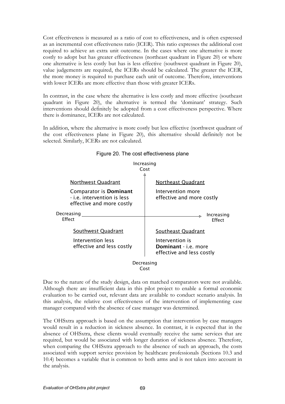Cost effectiveness is measured as a ratio of cost to effectiveness, and is often expressed as an incremental cost effectiveness ratio (ICER). This ratio expresses the additional cost required to achieve an extra unit outcome. In the cases where one alternative is more costly to adopt but has greater effectiveness (northeast quadrant in Figure 20) or where one alternative is less costly but has is less effective (southwest quadrant in Figure 20), value judgements are required, the ICERs should be calculated. The greater the ICER, the more money is required to purchase each unit of outcome. Therefore, interventions with lower ICERs are more effective than those with greater ICERs.

In contrast, in the case where the alternative is less costly and more effective (southeast quadrant in Figure 20), the alternative is termed the 'dominant' strategy. Such interventions should definitely be adopted from a cost effectiveness perspective. Where there is dominance, ICERs are not calculated.

In addition, where the alternative is more costly but less effective (northwest quadrant of the cost effectiveness plane in Figure 20), this alternative should definitely not be selected. Similarly, ICERs are not calculated.



Figure 20. The cost effectiveness plane

Cost

Due to the nature of the study design, data on matched comparators were not available. Although there are insufficient data in this pilot project to enable a formal economic evaluation to be carried out, relevant data are available to conduct scenario analysis. In this analysis, the relative cost effectiveness of the intervention of implementing case manager compared with the absence of case manager was determined.

The OHSxtra approach is based on the assumption that intervention by case managers would result in a reduction in sickness absence. In contrast, it is expected that in the absence of OHSxtra, these clients would eventually receive the same services that are required, but would be associated with longer duration of sickness absence. Therefore, when comparing the OHSxtra approach to the absence of such an approach, the costs associated with support service provision by healthcare professionals (Sections 10.3 and 10.4) becomes a variable that is common to both arms and is not taken into account in the analysis.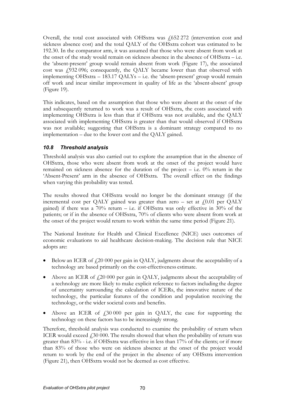Overall, the total cost associated with OHSxtra was  $\frac{1}{652}$  272 (intervention cost and sickness absence cost) and the total QALY of the OHSxtra cohort was estimated to be 192.30. In the comparator arm, it was assumed that those who were absent from work at the onset of the study would remain on sickness absence in the absence of OHSxtra – i.e. the 'absent-present' group would remain absent from work (Figure 17), the associated cost was £932 096; consequently, the QALY became lower than that observed with implementing OHSxtra – 183.17 QALYs – i.e. the 'absent-present' group would remain off work and incur similar improvement in quality of life as the 'absent-absent' group (Figure 19).

This indicates, based on the assumption that those who were absent at the onset of the and subsequently returned to work was a result of OHSxtra, the costs associated with implementing OHSxtra is less than that if OHSxtra was not available, and the QALY associated with implementing OHSxtra is greater than that would observed if OHSxtra was not available; suggesting that OHSxtra is a dominant strategy compared to no implementation – due to the lower cost and the QALY gained.

## 10.8 Threshold analysis

Threshold analysis was also carried out to explore the assumption that in the absence of OHSxtra, those who were absent from work at the onset of the project would have remained on sickness absence for the duration of the project  $-$  i.e.  $0\%$  return in the 'Absent-Present' arm in the absence of OHSxtra. The overall effect on the findings when varying this probability was tested.

The results showed that OHSxtra would no longer be the dominant strategy (if the incremental cost per QALY gained was greater than zero – set at  $f(0.01$  per QALY gained) if there was a  $70\%$  return – i.e. if OHSxtra was only effective in  $30\%$  of the patients; or if in the absence of OHSxtra, 70% of clients who were absent from work at the onset of the project would return to work within the same time period (Figure 21).

The National Institute for Health and Clinical Excellence (NICE) uses outcomes of economic evaluations to aid healthcare decision-making. The decision rule that NICE adopts are:

- Below an ICER of  $f(20000)$  per gain in QALY, judgments about the acceptability of a technology are based primarily on the cost-effectiveness estimate.
- Above an ICER of  $f(20000)$  per gain in QALY, judgments about the acceptability of a technology are more likely to make explicit reference to factors including the degree of uncertainty surrounding the calculation of ICERs, the innovative nature of the technology, the particular features of the condition and population receiving the technology, or the wider societal costs and benefits.
- Above an ICER of  $f = 30000$  per gain in QALY, the case for supporting the technology on these factors hasto be increasingly strong.

Therefore, threshold analysis was conducted to examine the probability of return when ICER would exceed  $f$ , 30 000. The results showed that when the probability of return was greater than 83% - i.e. if OHSxtra was effective in less than 17% of the clients; or if more than 83% of those who were on sickness absence at the onset of the project would return to work by the end of the project in the absence of any OHSxtra intervention (Figure 21), then OHSxtra would not be deemed as cost effective.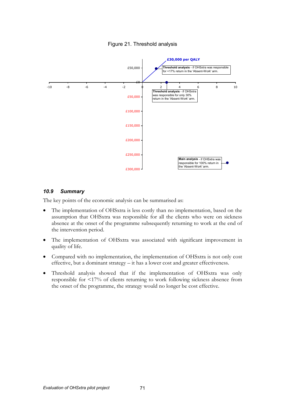

### Figure 21. Threshold analysis

## 10.9 Summary

The key points of the economic analysis can be summarised as:

- The implementation of OHSxtra is less costly than no implementation, based on the assumption that OHSxtra was responsible for all the clients who were on sickness absence at the onset of the programme subsequently returning to work at the end of the intervention period.
- The implementation of OHSxtra was associated with significant improvement in quality of life.
- Compared with no implementation, the implementation of OHSxtra is not only cost effective, but a dominant strategy – it has a lower cost and greater effectiveness.
- Threshold analysis showed that if the implementation of OHSxtra was only responsible for <17% of clients returning to work following sickness absence from the onset of the programme, the strategy would no longer be cost effective.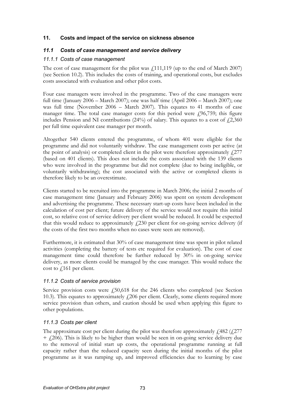### 11. Costs and impact of the service on sickness absence

### 11.1 Costs of case management and service delivery

#### 11.1.1 Costs of case management

The cost of case management for the pilot was  $\frac{1}{111,119}$  (up to the end of March 2007) (see Section 10.2). This includes the costs of training, and operational costs, but excludes costs associated with evaluation and other pilot costs.

Four case managers were involved in the programme. Two of the case managers were full time (January 2006 – March 2007); one was half time (April 2006 – March 2007); one was full time (November 2006 – March 2007). This equates to 41 months of case manager time. The total case manager costs for this period were  $\ell$ 96,759; this figure includes Pension and NI contributions  $(24%)$  of salary. This equates to a cost of  $\ddot{\ell}2,360$ per full time equivalent case manager per month.

Altogether 540 clients entered the programme, of whom 401 were eligible for the programme and did not voluntarily withdraw. The case management costs per active (at the point of analysis) or completed client in the pilot were therefore approximately  $f_{\text{c}}$  (277) (based on 401 clients). This does not include the costs associated with the 139 clients who were involved in the programme but did not complete (due to being ineligible, or voluntarily withdrawing); the cost associated with the active or completed clients is therefore likely to be an overestimate.

Clients started to be recruited into the programme in March 2006; the initial 2 months of case management time (January and February 2006) was spent on system development and advertising the programme. These necessary start-up costs have been included in the calculation of cost per client; future delivery of the service would not require this initial cost, so relative cost of service delivery per client would be reduced. It could be expected that this would reduce to approximately  $f(230)$  per client for on-going service delivery (if the costs of the first two months when no cases were seen are removed).

Furthermore, it is estimated that 30% of case management time was spent in pilot related activities (completing the battery of tests etc required for evaluation). The cost of case management time could therefore be further reduced by 30% in on-going service delivery, as more clients could be managed by the case manager. This would reduce the cost to  $\sqrt{161}$  per client.

#### 11.1.2 Costs of service provision

Service provision costs were  $f_1$ 50,618 for the 246 clients who completed (see Section 10.3). This equates to approximately  $\ell$  206 per client. Clearly, some clients required more service provision than others, and caution should be used when applying this figure to other populations.

## 11.1.3 Costs per client

The approximate cost per client during the pilot was therefore approximately  $\frac{1}{482}$  ( $\frac{1}{277}$ )  $+$   $\{206\}$ . This is likely to be higher than would be seen in on-going service delivery due to the removal of initial start up costs, the operational programme running at full capacity rather than the reduced capacity seen during the initial months of the pilot programme as it was ramping up, and improved efficiencies due to learning by case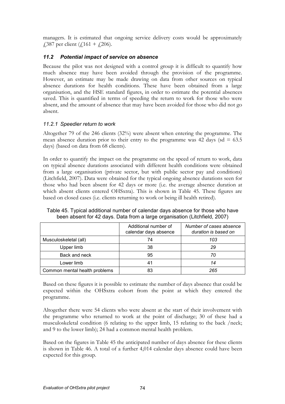managers. It is estimated that ongoing service delivery costs would be approximately £387 per client (£161 + £206).

### 11.2 Potential impact of service on absence

Because the pilot was not designed with a control group it is difficult to quantify how much absence may have been avoided through the provision of the programme. However, an estimate may be made drawing on data from other sources on typical absence durations for health conditions. These have been obtained from a large organisation, and the HSE standard figures, in order to estimate the potential absences saved. This is quantified in terms of speeding the return to work for those who were absent, and the amount of absence that may have been avoided for those who did not go absent.

### 11.2.1 Speedier return to work

Altogether 79 of the 246 clients (32%) were absent when entering the programme. The mean absence duration prior to their entry to the programme was  $42$  days (sd = 63.5) days) (based on data from 68 clients).

In order to quantify the impact on the programme on the speed of return to work, data on typical absence durations associated with different health conditions were obtained from a large organisation (private sector, but with public sector pay and conditions) (Litchfield, 2007). Data were obtained for the typical ongoing absence durations seen for those who had been absent for 42 days or more (i.e. the average absence duration at which absent clients entered OHSxtra). This is shown in Table 45. These figures are based on closed cases (i.e. clients returning to work or being ill health retired).

|                               | Additional number of<br>calendar days absence | Number of cases absence<br>duration is based on |
|-------------------------------|-----------------------------------------------|-------------------------------------------------|
| Musculoskeletal (all)         | 74                                            | 103                                             |
| Upper limb                    | 38                                            | 29                                              |
| Back and neck                 | 95                                            | 70                                              |
| Lower limb                    | 41                                            | 14                                              |
| Common mental health problems | 83                                            | 265                                             |

Table 45. Typical additional number of calendar days absence for those who have been absent for 42 days. Data from a large organisation (Litchfield, 2007)

Based on these figures it is possible to estimate the number of days absence that could be expected within the OHSxtra cohort from the point at which they entered the programme.

Altogether there were 54 clients who were absent at the start of their involvement with the programme who returned to work at the point of discharge; 30 of these had a musculoskeletal condition (6 relating to the upper limb, 15 relating to the back /neck; and 9 to the lower limb); 24 had a common mental health problem.

Based on the figures in Table 45 the anticipated number of days absence for these clients is shown in Table 46. A total of a further 4,014 calendar days absence could have been expected for this group.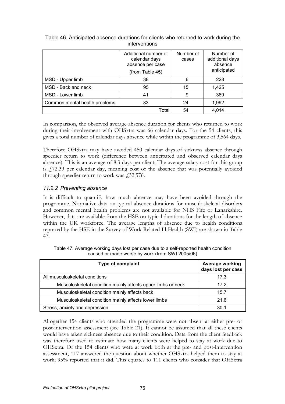|                               | Additional number of<br>calendar days<br>absence per case<br>(from Table 45) | Number of<br>cases | Number of<br>additional days<br>absence<br>anticipated |
|-------------------------------|------------------------------------------------------------------------------|--------------------|--------------------------------------------------------|
| MSD - Upper limb              | 38                                                                           | 6                  | 228                                                    |
| MSD - Back and neck           | 95                                                                           | 15                 | 1,425                                                  |
| MSD - Lower limb              | 41                                                                           | 9                  | 369                                                    |
| Common mental health problems | 83                                                                           | 24                 | 1,992                                                  |
|                               | Total                                                                        | 54                 | 4,014                                                  |

#### Table 46. Anticipated absence durations for clients who returned to work during the interventions

In comparison, the observed average absence duration for clients who returned to work during their involvement with OHSxtra was 66 calendar days. For the 54 clients, this gives a total number of calendar days absence while within the programme of 3,564 days.

Therefore OHSxtra may have avoided 450 calendar days of sickness absence through speedier return to work (difference between anticipated and observed calendar days absence). This is an average of 8.3 days per client. The average salary cost for this group is £72.39 per calendar day, meaning cost of the absence that was potentially avoided through speedier return to work was  $\text{\emph{f}}32,576$ .

# 11.2.2 Preventing absence

It is difficult to quantify how much absence may have been avoided through the programme. Normative data on typical absence durations for musculoskeletal disorders and common mental health problems are not available for NHS Fife or Lanarkshire. However, data are available from the HSE on typical durations for the length of absence within the UK workforce. The average lengths of absence due to health conditions reported by the HSE in the Survey of Work-Related Ill-Health (SWI) are shown in Table 47.

| <b>Type of complaint</b>                                     | Average working<br>days lost per case |
|--------------------------------------------------------------|---------------------------------------|
| All musculoskeletal conditions                               | 17.3                                  |
| Musculoskeletal condition mainly affects upper limbs or neck | 17.2                                  |
| Musculoskeletal condition mainly affects back                | 15.7                                  |
| Musculoskeletal condition mainly affects lower limbs         | 21.6                                  |
| Stress, anxiety and depression                               | 30.1                                  |

Table 47. Average working days lost per case due to a self-reported health condition caused or made worse by work (from SWI 2005/06)

Altogether 154 clients who attended the programme were not absent at either pre- or post-intervention assessment (see Table 21). It cannot be assumed that all these clients would have taken sickness absence due to their condition. Data from the client feedback was therefore used to estimate how many clients were helped to stay at work due to OHSxtra. Of the 154 clients who were at work both at the pre- and post-intervention assessment, 117 answered the question about whether OHSxtra helped them to stay at work; 95% reported that it did. This equates to 111 clients who consider that OHSxtra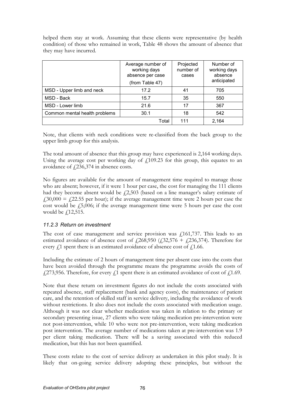helped them stay at work. Assuming that these clients were representative (by health condition) of those who remained in work, Table 48 shows the amount of absence that they may have incurred.

|                               | Average number of<br>working days<br>absence per case<br>(from Table 47) | Projected<br>number of<br>cases | Number of<br>working days<br>absence<br>anticipated |
|-------------------------------|--------------------------------------------------------------------------|---------------------------------|-----------------------------------------------------|
| MSD - Upper limb and neck     | 17.2                                                                     | 41                              | 705                                                 |
| MSD - Back                    | 15.7                                                                     | 35                              | 550                                                 |
| MSD - Lower limb              | 21.6                                                                     | 17                              | 367                                                 |
| Common mental health problems | 30.1                                                                     | 18                              | 542                                                 |
|                               | Total                                                                    | 111                             | 2.164                                               |

Note, that clients with neck conditions were re-classified from the back group to the upper limb group for this analysis.

The total amount of absence that this group may have experienced is 2,164 working days. Using the average cost per working day of  $f<sub>109.23</sub>$  for this group, this equates to an avoidance of  $\sqrt{236,374}$  in absence costs.

No figures are available for the amount of management time required to manage those who are absent; however, if it were 1 hour per case, the cost for managing the 111 clients had they become absent would be  $\ell$ 2,503 (based on a line manager's salary estimate of  $f30,000 = f22.55$  per hour); if the average management time were 2 hours per case the cost would be  $f_15,006$ ; if the average management time were 5 hours per case the cost would be  $f$ 12,515.

#### 11.2.3 Return on investment

The cost of case management and service provision was  $\ell$ 161,737. This leads to an estimated avoidance of absence cost of  $\frac{1268}{950}$  ( $\frac{132}{576}$  +  $\frac{1236}{374}$ ). Therefore for every  $f<sub>1</sub>$  spent there is an estimated avoidance of absence cost of  $f<sub>1</sub>1.66$ .

Including the estimate of 2 hours of management time per absent case into the costs that have been avoided through the programme means the programme avoids the costs of  $\frac{1273,956}{273,956}$ . Therefore, for every  $\frac{1}{2}$  spent there is an estimated avoidance of cost of  $\frac{12.69}{273}$ .

Note that these return on investment figures do not include the costs associated with repeated absence, staff replacement (bank and agency costs), the maintenance of patient care, and the retention of skilled staff in service delivery, including the avoidance of work without restrictions. It also does not include the costs associated with medication usage. Although it was not clear whether medication was taken in relation to the primary or secondary presenting issue, 27 clients who were taking medication pre-intervention were not post-intervention, while 10 who were not pre-intervention, were taking medication post intervention. The average number of medications taken at pre-intervention was 1.9 per client taking medication. There will be a saving associated with this reduced medication, but this has not been quantified.

These costs relate to the cost of service delivery as undertaken in this pilot study. It is likely that on-going service delivery adopting these principles, but without the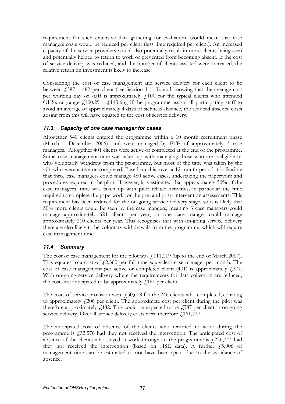requirement for such extensive data gathering for evaluation, would mean that case managers costs would be reduced per client (less time required per client). An increased capacity of the service providers would also potentially result in more clients being seen and potentially helped to return to work or prevented from becoming absent. If the cost of service delivery was reduced, and the number of clients assisted were increased, the relative return on investment is likely to increase.

Considering the cost of case management and service delivery for each client to be between  $\ddot{1}387 - 482$  per client (see Section 11.1.3), and knowing that the average cost per working day of staff is approximately  $f<sub>i</sub>100$  for the typical clients who attended OHSxtra (range  $\ell$ 100.29 –  $\ell$ 113.66), if the programme assists all participating staff to avoid an average of approximately 4 days of sickness absence, the reduced absence costs arising from this will have equated to the cost of service delivery.

## 11.3 Capacity of one case manager for cases

Altogether 540 clients entered the programme within a 10 month recruitment phase (March – December 2006), and were managed by FTE of approximately 3 case managers. Altogether 401 clients were active or completed at the end of the programme. Some case management time was taken up with managing those who are ineligible or who voluntarily withdrew from the programme, but most of the time was taken by the 401 who were active or completed. Based on this, over a 12 month period it is feasible that three case managers could manage 480 active cases, undertaking the paperwork and procedures required in the pilot. However, it is estimated that approximately 30% of the case managers' time was taken up with pilot related activities, in particular the time required to complete the paperwork for the pre- and post- intervention assessments. This requirement has been reduced for the on-going service delivery stage, so it is likely that 30% more clients could be seen by the case mangers, meaning 3 case managers could manage approximately 624 clients per year, or one case manger could manage approximately 210 clients per year. This recognises that with on-going service delivery there are also likely to be voluntary withdrawals from the programme, which will require case management time.

# 11.4 Summary

The cost of case management for the pilot was  $\frac{1}{111,119}$  (up to the end of March 2007). This equates to a cost of  $\ell$ 2,360 per full time equivalent case manager per month. The cost of case management per active or completed client  $(401)$  is approximately  $\sqrt{277}$ . With on-going service delivery where the requirements for data collection are reduced, the costs are anticipated to be approximately  $f(161)$  per client.

The costs of service provision were  $f_{15}$ ,618 for the 246 clients who completed, equating to approximately  $f(206)$  per client. The approximate cost per client during the pilot was therefore approximately  $\ell$ 482. This could be expected to be  $\ell$ 387 per client in on-going service delivery. Overall service delivery costs were therefore  $\frac{161,737}{2}$ .

The anticipated cost of absence of the clients who returned to work during the programme is £32,576 had they not received the intervention. The anticipated cost of absence of the clients who stayed at work throughout the programme is  $\ell$ , 236, 374 had they not received the intervention (based on HSE data). A further  $f$ 5,006 of management time can be estimated to not have been spent due to the avoidance of absence.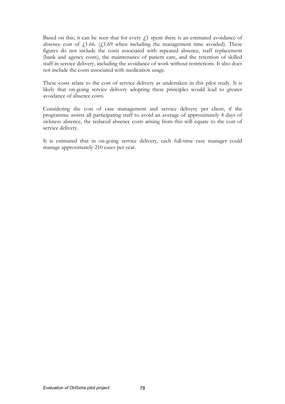Based on this, it can be seen that for every  $f<sub>i</sub>$  spent there is an estimated avoidance of absence cost of  $f_1$ 1.66. ( $f_1$ 1.69 when including the management time avoided). These figures do not include the costs associated with repeated absence, staff replacement (bank and agency costs), the maintenance of patient care, and the retention of skilled staff in service delivery, including the avoidance of work without restrictions. It also does not include the costs associated with medication usage.

These costs relate to the cost of service delivery as undertaken in this pilot study. It is likely that on-going service delivery adopting these principles would lead to greater avoidance of absence costs.

Considering the cost of case management and service delivery per client, if the programme assists all participating staff to avoid an average of approximately 4 days of sickness absence, the reduced absence costs arising from this will equate to the cost of service delivery.

It is estimated that in on-going service delivery, each full-time case manager could manage approximately 210 cases per year.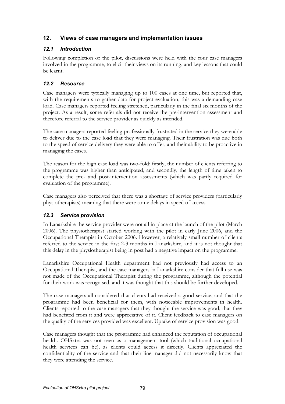# 12. Views of case managers and implementation issues

# 12.1 Introduction

Following completion of the pilot, discussions were held with the four case managers involved in the programme, to elicit their views on its running, and key lessons that could be learnt.

# 12.2 Resource

Case managers were typically managing up to 100 cases at one time, but reported that, with the requirements to gather data for project evaluation, this was a demanding case load. Case managers reported feeling stretched, particularly in the final six months of the project. As a result, some referrals did not receive the pre-intervention assessment and therefore referral to the service provider as quickly as intended.

The case managers reported feeling professionally frustrated in the service they were able to deliver due to the case load that they were managing. Their frustration was due both to the speed of service delivery they were able to offer, and their ability to be proactive in managing the cases.

The reason for the high case load was two-fold; firstly, the number of clients referring to the programme was higher than anticipated, and secondly, the length of time taken to complete the pre- and post-intervention assessments (which was partly required for evaluation of the programme).

Case managers also perceived that there was a shortage of service providers (particularly physiotherapists) meaning that there were some delays in speed of access.

## 12.3 Service provision

In Lanarkshire the service provider were not all in place at the launch of the pilot (March 2006). The physiotherapist started working with the pilot in early June 2006, and the Occupational Therapist in October 2006. However, a relatively small number of clients referred to the service in the first 2-3 months in Lanarkshire, and it is not thought that this delay in the physiotherapist being in post had a negative impact on the programme.

Lanarkshire Occupational Health department had not previously had access to an Occupational Therapist, and the case managers in Lanarkshire consider that full use was not made of the Occupational Therapist during the programme, although the potential for their work was recognised, and it was thought that this should be further developed.

The case managers all considered that clients had received a good service, and that the programme had been beneficial for them, with noticeable improvements in health. Clients reported to the case managers that they thought the service was good, that they had benefited from it and were appreciative of it. Client feedback to case managers on the quality of the services provided was excellent. Uptake of service provision was good.

Case managers thought that the programme had enhanced the reputation of occupational health. OHSxtra was not seen as a management tool (which traditional occupational health services can be), as clients could access it directly. Clients appreciated the confidentiality of the service and that their line manager did not necessarily know that they were attending the service.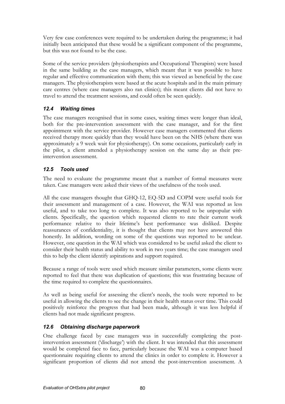Very few case conferences were required to be undertaken during the programme; it had initially been anticipated that these would be a significant component of the programme, but this was not found to be the case.

Some of the service providers (physiotherapists and Occupational Therapists) were based in the same building as the case managers, which meant that it was possible to have regular and effective communication with them; this was viewed as beneficial by the case managers. The physiotherapists were based at the acute hospitals and in the main primary care centres (where case managers also ran clinics); this meant clients did not have to travel to attend the treatment sessions, and could often be seen quickly.

# 12.4 Waiting times

The case managers recognised that in some cases, waiting times were longer than ideal, both for the pre-intervention assessment with the case manager, and for the first appointment with the service provider. However case managers commented that clients received therapy more quickly than they would have been on the NHS (where there was approximately a 9 week wait for physiotherapy). On some occasions, particularly early in the pilot, a client attended a physiotherapy session on the same day as their preintervention assessment.

# 12.5 Tools used

The need to evaluate the programme meant that a number of formal measures were taken. Case managers were asked their views of the usefulness of the tools used.

All the case managers thought that GHQ-12, EQ-5D and COPM were useful tools for their assessment and management of a case. However, the WAI was reported as less useful, and to take too long to complete. It was also reported to be unpopular with clients. Specifically, the question which requested clients to rate their current work performance relative to their lifetime's best performance was disliked. Despite reassurances of confidentiality, it is thought that clients may not have answered this honestly. In addition, wording on some of the questions was reported to be unclear. However, one question in the WAI which was considered to be useful asked the client to consider their health status and ability to work in two years time; the case managers used this to help the client identify aspirations and support required.

Because a range of tools were used which measure similar parameters, some clients were reported to feel that there was duplication of questions; this was frustrating because of the time required to complete the questionnaires.

As well as being useful for assessing the client's needs, the tools were reported to be useful in allowing the clients to see the change in their health status over time. This could positively reinforce the progress that had been made, although it was less helpful if clients had not made significant progress.

# 12.6 Obtaining discharge paperwork

One challenge faced by case managers was in successfully completing the postintervention assessment ('discharge') with the client. It was intended that this assessment would be completed face to face, particularly because the WAI was a computer based questionnaire requiring clients to attend the clinics in order to complete it. However a significant proportion of clients did not attend the post-intervention assessment. A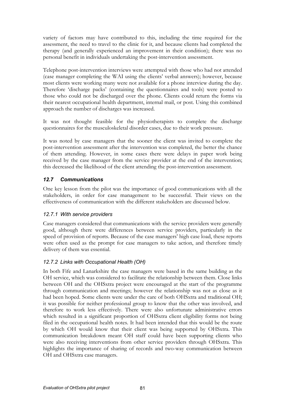variety of factors may have contributed to this, including the time required for the assessment, the need to travel to the clinic for it, and because clients had completed the therapy (and generally experienced an improvement in their condition); there was no personal benefit in individuals undertaking the post-intervention assessment.

Telephone post-intervention interviews were attempted with those who had not attended (case manager completing the WAI using the clients' verbal answers); however, because most clients were working many were not available for a phone interview during the day. Therefore 'discharge packs' (containing the questionnaires and tools) were posted to those who could not be discharged over the phone. Clients could return the forms via their nearest occupational health department, internal mail, or post. Using this combined approach the number of discharges was increased.

It was not thought feasible for the physiotherapists to complete the discharge questionnaires for the musculoskeletal disorder cases, due to their work pressure.

It was noted by case managers that the sooner the client was invited to complete the post-intervention assessment after the intervention was completed, the better the chance of them attending. However, in some cases there were delays in paper work being received by the case manager from the service provider at the end of the intervention; this decreased the likelihood of the client attending the post-intervention assessment.

# 12.7 Communications

One key lesson from the pilot was the importance of good communications with all the stakeholders, in order for case management to be successful. Their views on the effectiveness of communication with the different stakeholders are discussed below.

## 12.7.1 With service providers

Case managers considered that communications with the service providers were generally good, although there were differences between service providers, particularly in the speed of provision of reports. Because of the case managers' high case load, these reports were often used as the prompt for case managers to take action, and therefore timely delivery of them was essential.

## 12.7.2 Links with Occupational Health (OH)

In both Fife and Lanarkshire the case managers were based in the same building as the OH service, which was considered to facilitate the relationship between them. Close links between OH and the OHSxtra project were encouraged at the start of the programme through communication and meetings; however the relationship was not as close as it had been hoped. Some clients were under the care of both OHSxtra and traditional OH; it was possible for neither professional group to know that the other was involved, and therefore to work less effectively. There were also unfortunate administrative errors which resulted in a significant proportion of OHSxtra client eligibility forms not being filed in the occupational health notes. It had been intended that this would be the route by which OH would know that their client was being supported by OHSxtra. This communication breakdown meant OH staff could have been supporting clients who were also receiving interventions from other service providers through OHSxtra. This highlights the importance of sharing of records and two-way communication between OH and OHSxtra case managers.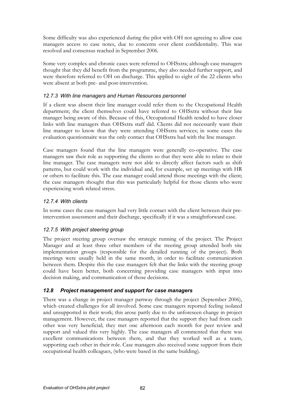Some difficulty was also experienced during the pilot with OH not agreeing to allow case managers access to case notes, due to concerns over client confidentiality. This was resolved and consensus reached in September 2006.

Some very complex and chronic cases were referred to OHSxtra; although case managers thought that they did benefit from the programme, they also needed further support, and were therefore referred to OH on discharge. This applied to eight of the 22 clients who were absent at both pre- and post-intervention.

### 12.7.3 With line managers and Human Resources personnel

If a client was absent their line manager could refer them to the Occupational Health department; the client themselves could have referred to OHSxtra without their line manager being aware of this. Because of this, Occupational Health tended to have closer links with line managers than OHSxtra staff did. Clients did not necessarily want their line manager to know that they were attending OHSxtra services; in some cases the evaluation questionnaire was the only contact that OHSxtra had with the line manager.

Case managers found that the line managers were generally co-operative. The case managers saw their role as supporting the clients so that they were able to relate to their line manager. The case managers were not able to directly affect factors such as shift patterns, but could work with the individual and, for example, set up meetings with HR or others to facilitate this. The case manager could attend those meetings with the client; the case managers thought that this was particularly helpful for those clients who were experiencing work related stress.

## 12.7.4 With clients

In some cases the case managers had very little contact with the client between their preintervention assessment and their discharge, specifically if it was a straightforward case.

## 12.7.5 With project steering group

The project steering group oversaw the strategic running of the project. The Project Manager and at least three other members of the steering group attended both site implementation groups (responsible for the detailed running of the project). Both meetings were usually held in the same month, in order to facilitate communication between them. Despite this the case managers felt that the links with the steering group could have been better, both concerning providing case managers with input into decision making, and communication of those decisions.

## 12.8 Project management and support for case managers

There was a change in project manager partway through the project (September 2006), which created challenges for all involved. Some case managers reported feeling isolated and unsupported in their work; this arose partly due to the unforeseen change in project management. However, the case managers reported that the support they had from each other was very beneficial; they met one afternoon each month for peer review and support and valued this very highly. The case managers all commented that there was excellent communications between them, and that they worked well as a team, supporting each other in their role. Case managers also received some support from their occupational health colleagues, (who were based in the same building).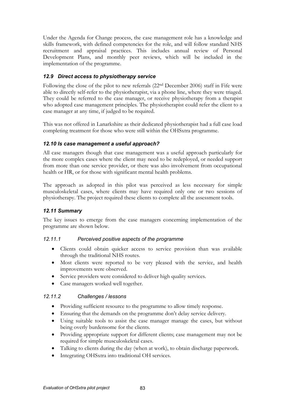Under the Agenda for Change process, the case management role has a knowledge and skills framework, with defined competencies for the role, and will follow standard NHS recruitment and appraisal practices. This includes annual review of Personal Development Plans, and monthly peer reviews, which will be included in the implementation of the programme.

## 12.9 Direct access to physiotherapy service

Following the close of the pilot to new referrals (22nd December 2006) staff in Fife were able to directly self-refer to the physiotherapist, via a phone line, where they were triaged. They could be referred to the case manager, or receive physiotherapy from a therapist who adopted case management principles. The physiotherapist could refer the client to a case manager at any time, if judged to be required.

This was not offered in Lanarkshire as their dedicated physiotherapist had a full case load completing treatment for those who were still within the OHSxtra programme.

### 12.10 Is case management a useful approach?

All case managers though that case management was a useful approach particularly for the more complex cases where the client may need to be redeployed, or needed support from more than one service provider, or there was also involvement from occupational health or HR, or for those with significant mental health problems.

The approach as adopted in this pilot was perceived as less necessary for simple musculoskeletal cases, where clients may have required only one or two sessions of physiotherapy. The project required these clients to complete all the assessment tools.

## 12.11 Summary

The key issues to emerge from the case managers concerning implementation of the programme are shown below.

#### 12.11.1 Perceived positive aspects of the programme

- Clients could obtain quicker access to service provision than was available through the traditional NHS routes.
- Most clients were reported to be very pleased with the service, and health improvements were observed.
- Service providers were considered to deliver high quality services.
- Case managers worked well together.

#### 12.11.2 Challenges / lessons

- Providing sufficient resource to the programme to allow timely response.
- Ensuring that the demands on the programme don't delay service delivery.
- Using suitable tools to assist the case manager manage the cases, but without being overly burdensome for the clients.
- Providing appropriate support for different clients; case management may not be required for simple musculoskeletal cases.
- Talking to clients during the day (when at work), to obtain discharge paperwork.
- Integrating OHSxtra into traditional OH services.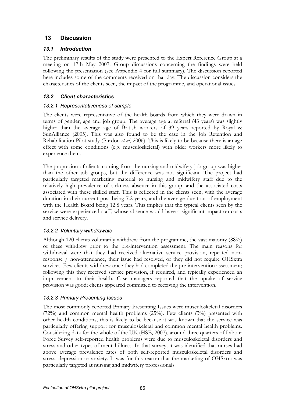# 13 Discussion

# 13.1 Introduction

The preliminary results of the study were presented to the Expert Reference Group at a meeting on 17th May 2007. Group discussions concerning the findings were held following the presentation (see Appendix 4 for full summary). The discussion reported here includes some of the comments received on that day. The discussion considers the characteristics of the clients seen, the impact of the programme, and operational issues.

# 13.2 Client characteristics

## 13.2.1 Representativeness of sample

The clients were representative of the health boards from which they were drawn in terms of gender, age and job group. The average age at referral (43 years) was slightly higher than the average age of British workers of 39 years reported by Royal & SunAlliance (2005). This was also found to be the case in the Job Retention and Rehabilitation Pilot study (Purdon *et al*, 2006). This is likely to be because there is an age effect with some conditions (e.g. musculoskeletal) with older workers more likely to experience them.

The proportion of clients coming from the nursing and midwifery job group was higher than the other job groups, but the difference was not significant. The project had particularly targeted marketing material to nursing and midwifery staff due to the relatively high prevalence of sickness absence in this group, and the associated costs associated with these skilled staff. This is reflected in the clients seen, with the average duration in their current post being 7.2 years, and the average duration of employment with the Health Board being 12.8 years. This implies that the typical clients seen by the service were experienced staff, whose absence would have a significant impact on costs and service delivery.

## 13.2.2 Voluntary withdrawals

Although 120 clients voluntarily withdrew from the programme, the vast majority (88%) of these withdrew prior to the pre-intervention assessment. The main reasons for withdrawal were that they had received alternative service provision, repeated nonresponse / non-attendance, their issue had resolved, or they did not require OHSxtra services. Few clients withdrew once they had completed the pre-intervention assessment; following this they received service provision, if required, and typically experienced an improvement to their health. Case managers reported that the uptake of service provision was good; clients appeared committed to receiving the intervention.

# 13.2.3 Primary Presenting Issues

The most commonly reported Primary Presenting Issues were musculoskeletal disorders (72%) and common mental health problems (25%). Few clients (3%) presented with other health conditions; this is likely to be because it was known that the service was particularly offering support for musculoskeletal and common mental health problems. Considering data for the whole of the UK (HSE, 2007), around three quarters of Labour Force Survey self-reported health problems were due to musculoskeletal disorders and stress and other types of mental illness. In that survey, it was identified that nurses had above average prevalence rates of both self-reported musculoskeletal disorders and stress, depression or anxiety. It was for this reason that the marketing of OHSxtra was particularly targeted at nursing and midwifery professionals.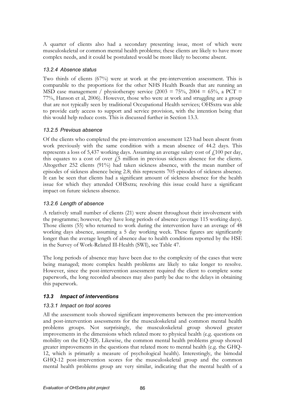A quarter of clients also had a secondary presenting issue, most of which were musculoskeletal or common mental health problems; these clients are likely to have more complex needs, and it could be postulated would be more likely to become absent.

### 13.2.4 Absence status

Two thirds of clients (67%) were at work at the pre-intervention assessment. This is comparable to the proportions for the other NHS Health Boards that are running an MSD case management / physiotherapy service (2003 = 75%, 2004 = 65%, a PCT = 77%, Hanson et al, 2006). However, those who were at work and struggling are a group that are not typically seen by traditional Occupational Health services; OHSxtra was able to provide early access to support and service provision, with the intention being that this would help reduce costs. This is discussed further in Section 13.3.

### 13.2.5 Previous absence

Of the clients who completed the pre-intervention assessment 123 had been absent from work previously with the same condition with a mean absence of 44.2 days. This represents a loss of 5,437 working days. Assuming an average salary cost of  $\ell$ 100 per day, this equates to a cost of over  $\ddot{f}$  million in previous sickness absence for the clients. Altogether 252 clients (91%) had taken sickness absence, with the mean number of episodes of sickness absence being 2.8; this represents 705 episodes of sickness absence. It can be seen that clients had a significant amount of sickness absence for the health issue for which they attended OHSxtra; resolving this issue could have a significant impact on future sickness absence.

## 13.2.6 Length of absence

A relatively small number of clients (21) were absent throughout their involvement with the programme; however, they have long periods of absence (average 115 working days). Those clients (55) who returned to work during the intervention have an average of 48 working days absence, assuming a 5 day working week. These figures are significantly longer than the average length of absence due to health conditions reported by the HSE in the Survey of Work-Related Ill-Health (SWI), see Table 47.

The long periods of absence may have been due to the complexity of the cases that were being managed; more complex health problems are likely to take longer to resolve. However, since the post-intervention assessment required the client to complete some paperwork, the long recorded absences may also partly be due to the delays in obtaining this paperwork.

## 13.3 Impact of interventions

#### 13.3.1 Impact on tool scores

All the assessment tools showed significant improvements between the pre-intervention and post-intervention assessments for the musculoskeletal and common mental health problems groups. Not surprisingly, the musculoskeletal group showed greater improvements in the dimensions which related more to physical health (e.g. questions on mobility on the EQ-5D). Likewise, the common mental health problems group showed greater improvements in the questions that related more to mental health (e.g. the GHQ-12, which is primarily a measure of psychological health). Interestingly, the bimodal GHQ-12 post-intervention scores for the musculoskeletal group and the common mental health problems group are very similar, indicating that the mental health of a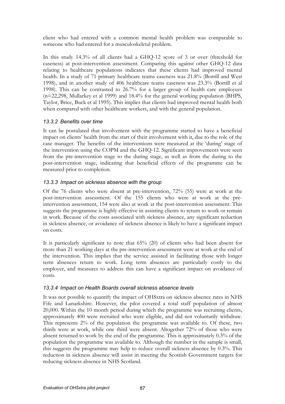client who had entered with a common mental health problem was comparable to someone who had entered for a musculoskeletal problem.

In this study 14.3% of all clients had a GHQ-12 score of 3 or over (threshold for caseness) at post-intervention assessment. Comparing this against other GHQ-12 data relating to healthcare populations indicates that these clients had improved mental health. In a study of 71 primary healthcare teams caseness was 21.8% (Borrill and West 1998), and in another study of 406 healthcare teams caseness was 23.3% (Borrill et al 1998). This can be contrasted to 26.7% for a larger group of health care employees (n=22,298, Mullarkey et al 1999) and 18.4% for the general working population (BHPS, Taylor, Brice, Buck et al 1995). This implies that clients had improved mental health both when compared with other healthcare workers, and with the general population.

### 13.3.2 Benefits over time

It can be postulated that involvement with the programme started to have a beneficial impact on clients' health from the start of their involvement with it, due to the role of the case manager. The benefits of the interventions were measured at the 'during' stage of the intervention using the COPM and the GHQ-12. Significant improvements were seen from the pre-intervention stage to the during stage, as well as from the during to the post-intervention stage, indicating that beneficial effects of the programme can be measured prior to completion.

## 13.3.3 Impact on sickness absence with the group

Of the 76 clients who were absent at pre-intervention, 72% (55) were at work at the post-intervention assessment. Of the 155 clients who were at work at the preintervention assessment, 154 were also at work at the post-intervention assessment. This suggests the programme is highly effective in assisting clients to return to work or remain in work. Because of the costs associated with sickness absence, any significant reduction in sickness absence, or avoidance of sickness absence is likely to have a significant impact on costs.

It is particularly significant to note that 65% (20) of clients who had been absent for more than 21 working days at the pre-intervention assessment were at work at the end of the intervention. This implies that the service assisted in facilitating those with longer term absences return to work. Long term absences are particularly costly to the employer, and measures to address this can have a significant impact on avoidance of costs.

#### 13.3.4 Impact on Health Boards overall sickness absence levels

It was not possible to quantify the impact of OHSxtra on sickness absence rates in NHS Fife and Lanarkshire. However, the pilot covered a total staff population of almost 20,000. Within the 10 month period during which the programme was recruiting clients, approximately 400 were recruited who were eligible, and did not voluntarily withdraw. This represents 2% of the population the programme was available to. Of these, two thirds were at work, while one third were absent. Altogether 72% of those who were absent returned to work by the end of the programme. This is approximately 0.3% of the population the programme was available to. Although the number in the sample is small, this suggests the programme may help to reduce overall sickness absence by 0.3%. This reduction in sickness absence will assist in meeting the Scottish Government targets for reducing sickness absence in NHS Scotland.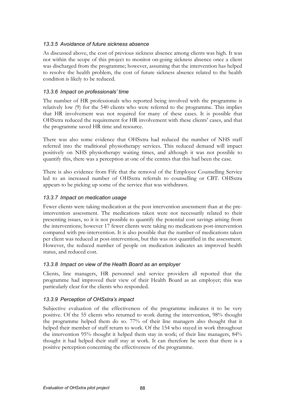### 13.3.5 Avoidance of future sickness absence

As discussed above, the cost of previous sickness absence among clients was high. It was not within the scope of this project to monitor on-going sickness absence once a client was discharged from the programme; however, assuming that the intervention has helped to resolve the health problem, the cost of future sickness absence related to the health condition is likely to be reduced.

### 13.3.6 Impact on professionals' time

The number of HR professionals who reported being involved with the programme is relatively low (9) for the 540 clients who were referred to the programme. This implies that HR involvement was not required for many of these cases. It is possible that OHSxtra reduced the requirement for HR involvement with these clients' cases, and that the programme saved HR time and resource.

There was also some evidence that OHSxtra had reduced the number of NHS staff referred into the traditional physiotherapy services. This reduced demand will impact positively on NHS physiotherapy waiting times, and although it was not possible to quantify this, there was a perception at one of the centres that this had been the case.

There is also evidence from Fife that the removal of the Employee Counselling Service led to an increased number of OHSxtra referrals to counselling or CBT. OHSxtra appears to be picking up some of the service that was withdrawn.

### 13.3.7 Impact on medication usage

Fewer clients were taking medication at the post intervention assessment than at the preintervention assessment. The medications taken were not necessarily related to their presenting issues, so it is not possible to quantify the potential cost savings arising from the interventions; however 17 fewer clients were taking no medications post-intervention compared with pre-intervention. It is also possible that the number of medications taken per client was reduced at post-intervention, but this was not quantified in the assessment. However, the reduced number of people on medication indicates an improved health status, and reduced cost.

#### 13.3.8 Impact on view of the Health Board as an employer

Clients, line managers, HR personnel and service providers all reported that the programme had improved their view of their Health Board as an employer; this was particularly clear for the clients who responded.

## 13.3.9 Perception of OHSxtra's impact

Subjective evaluation of the effectiveness of the programme indicates it to be very positive. Of the 55 clients who returned to work during the intervention, 98% thought the programme helped them do so. 77% of their line managers also thought that it helped their member of staff return to work. Of the 154 who stayed in work throughout the intervention 95% thought it helped them stay in work; of their line managers, 84% thought it had helped their staff stay at work. It can therefore be seen that there is a positive perception concerning the effectiveness of the programme.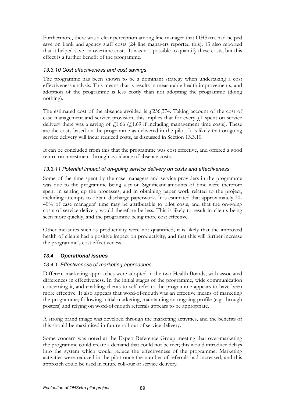Furthermore, there was a clear perception among line manager that OHSxtra had helped save on bank and agency staff costs (24 line managers reported this); 13 also reported that it helped save on overtime costs. It was not possible to quantify these costs, but this effect is a further benefit of the programme.

#### 13.3.10 Cost effectiveness and cost savings

The programme has been shown to be a dominant strategy when undertaking a cost effectiveness analysis. This means that is results in measurable health improvements, and adoption of the programme is less costly than not adopting the programme (doing nothing).

The estimated cost of the absence avoided is  $\frac{1}{236,374}$ . Taking account of the cost of case management and service provision, this implies that for every  $f<sub>1</sub>$  spent on service delivery there was a saving of  $f(1.66)$  ( $f(1.69)$  if including management time costs). These are the costs based on the programme as delivered in the pilot. It is likely that on-going service delivery will incur reduced costs, as discussed in Section 13.3.10.

It can be concluded from this that the programme was cost effective, and offered a good return on investment through avoidance of absence costs.

## 13.3.11 Potential impact of on-going service delivery on costs and effectiveness

Some of the time spent by the case managers and service providers in the programme was due to the programme being a pilot. Significant amounts of time were therefore spent in setting up the processes, and in obtaining paper work related to the project, including attempts to obtain discharge paperwork. It is estimated that approximately 30- 40% of case managers' time may be attributable to pilot costs, and that the on-going costs of service delivery would therefore be less. This is likely to result in clients being seen more quickly, and the programme being more cost effective.

Other measures such as productivity were not quantified; it is likely that the improved health of clients had a positive impact on productivity, and that this will further increase the programme's cost effectiveness.

## 13.4 Operational issues

## 13.4.1 Effectiveness of marketing approaches

Different marketing approaches were adopted in the two Health Boards, with associated differences in effectiveness. In the initial stages of the programme, wide communication concerning it, and enabling clients to self refer to the programme appears to have been more effective. It also appears that word-of-mouth was an effective means of marketing the programme; following initial marketing, maintaining an ongoing profile (e.g. through posters) and relying on word-of-mouth referrals appears to be appropriate.

A strong brand image was develoed through the marketing activities, and the benefits of this should be maximised in future roll-out of service delivery.

Some concern was noted at the Expert Reference Group meeting that over-marketing the programme could create a demand that could not be met; this would introduce delays into the system which would reduce the effectiveness of the programme. Marketing activities were reduced in the pilot once the number of referrals had increased, and this approach could be used in future roll-our of service delivery.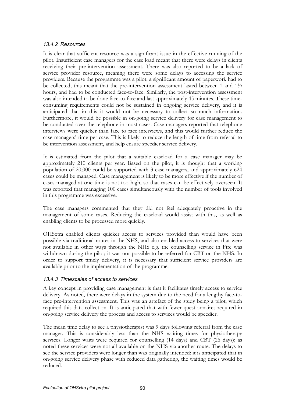#### 13.4.2 Resources

It is clear that sufficient resource was a significant issue in the effective running of the pilot. Insufficient case managers for the case load meant that there were delays in clients receiving their pre-intervention assessment. There was also reported to be a lack of service provider resource, meaning there were some delays to accessing the service providers. Because the programme was a pilot, a significant amount of paperwork had to be collected; this meant that the pre-intervention assessment lasted between 1 and  $1\frac{1}{2}$ hours, and had to be conducted face-to-face. Similarly, the post-intervention assessment was also intended to be done face-to-face and last approximately 45 minutes. These timeconsuming requirements could not be sustained in ongoing service delivery, and it is anticipated that in this it would not be necessary to collect so much information. Furthermore, it would be possible in on-going service delivery for case management to be conducted over the telephone in most cases. Case managers reported that telephone interviews were quicker than face to face interviews, and this would further reduce the case managers' time per case. This is likely to reduce the length of time from referral to be intervention assessment, and help ensure speedier service delivery.

It is estimated from the pilot that a suitable caseload for a case manager may be approximately 210 clients per year. Based on the pilot, it is thought that a working population of 20,000 could be supported with 3 case managers, and approximately 624 cases could be managed. Case management is likely to be more effective if the number of cases managed at one time is not too high, so that cases can be effectively overseen. It was reported that managing 100 cases simultaneously with the number of tools involved in this programme was excessive.

The case managers commented that they did not feel adequately proactive in the management of some cases. Reducing the caseload would assist with this, as well as enabling clients to be processed more quickly.

OHSxtra enabled clients quicker access to services provided than would have been possible via traditional routes in the NHS, and also enabled access to services that were not available in other ways through the NHS e.g. the counselling service in Fife was withdrawn during the pilot; it was not possible to be referred for CBT on the NHS. In order to support timely delivery, it is necessary that sufficient service providers are available prior to the implementation of the programme.

#### 13.4.3 Timescales of access to services

A key concept in providing case management is that it facilitates timely access to service delivery. As noted, there were delays in the system due to the need for a lengthy face-toface pre-intervention assessment. This was an artefact of the study being a pilot, which required this data collection. It is anticipated that with fewer questionnaires required in on-going service delivery the process and access to services would be speedier.

The mean time delay to see a physiotherapist was 9 days following referral from the case manager. This is considerably less than the NHS waiting times for physiotherapy services. Longer waits were required for counselling (14 days) and CBT (26 days); as noted these services were not all available on the NHS via another route. The delays to see the service providers were longer than was originally intended; it is anticipated that in on-going service delivery phase with reduced data gathering, the waiting times would be reduced.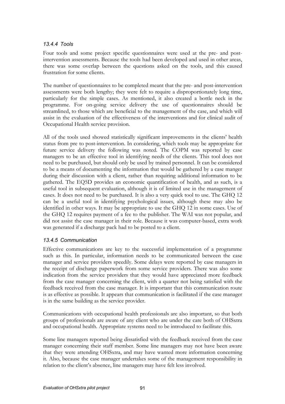### 13.4.4 Tools

Four tools and some project specific questionnaires were used at the pre- and postintervention assessments. Because the tools had been developed and used in other areas, there was some overlap between the questions asked on the tools, and this caused frustration for some clients.

The number of questionnaires to be completed meant that the pre- and post-intervention assessments were both lengthy; they were felt to require a disproportionately long time, particularly for the simple cases. As mentioned, it also created a bottle neck in the programme. For on-going service delivery the use of questionnaires should be streamlined, to those which are beneficial to the management of the case, and which will assist in the evaluation of the effectiveness of the interventions and for clinical audit of Occupational Health service provision.

All of the tools used showed statistically significant improvements in the clients' health status from pre to post-intervention. In considering, which tools may be appropriate for future service delivery the following was noted. The COPM was reported by case managers to be an effective tool in identifying needs of the clients. This tool does not need to be purchased, but should only be used by trained personnel. It can be considered to be a means of documenting the information that would be gathered by a case manger during their discussion with a client, rather than requiring additional information to be gathered. The EQ5D provides an economic quantification of health, and as such, is a useful tool in subsequent evaluation, although it is of limited use in the management of cases. It does not need to be purchased. It is also a very quick tool to use. The GHQ 12 can be a useful tool in identifying psychological issues, although these may also be identified in other ways. It may be appropriate to use the GHQ 12 in some cases. Use of the GHQ 12 requires payment of a fee to the publisher. The WAI was not popular, and did not assist the case manager in their role. Because it was computer-based, extra work was generated if a discharge pack had to be posted to a client.

## 13.4.5 Communication

Effective communications are key to the successful implementation of a programme such as this. In particular, information needs to be communicated between the case manager and service providers speedily. Some delays were reported by case managers in the receipt of discharge paperwork from some service providers. There was also some indication from the service providers that they would have appreciated more feedback from the case manager concerning the client, with a quarter not being satisfied with the feedback received from the case manager. It is important that this communication route is as effective as possible. It appears that communication is facilitated if the case manager is in the same building as the service provider.

Communications with occupational health professionals are also important, so that both groups of professionals are aware of any client who are under the care both of OHSxtra and occupational health. Appropriate systems need to be introduced to facilitate this.

Some line managers reported being dissatisfied with the feedback received from the case manager concerning their staff member. Some line managers may not have been aware that they were attending OHSxtra, and may have wanted more information concerning it. Also, because the case manager undertakes some of the management responsibility in relation to the client's absence, line managers may have felt less involved.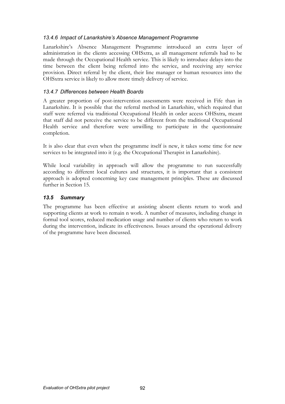### 13.4.6 Impact of Lanarkshire's Absence Management Programme

Lanarkshire's Absence Management Programme introduced an extra layer of administration in the clients accessing OHSxtra, as all management referrals had to be made through the Occupational Health service. This is likely to introduce delays into the time between the client being referred into the service, and receiving any service provision. Direct referral by the client, their line manager or human resources into the OHSxtra service is likely to allow more timely delivery of service.

### 13.4.7 Differences between Health Boards

A greater proportion of post-intervention assessments were received in Fife than in Lanarkshire. It is possible that the referral method in Lanarkshire, which required that staff were referred via traditional Occupational Health in order access OHSxtra, meant that staff did not perceive the service to be different from the traditional Occupational Health service and therefore were unwilling to participate in the questionnaire completion.

It is also clear that even when the programme itself is new, it takes some time for new services to be integrated into it (e.g. the Occupational Therapist in Lanarkshire).

While local variability in approach will allow the programme to run successfully according to different local cultures and structures, it is important that a consistent approach is adopted concerning key case management principles. These are discussed further in Section 15.

## 13.5 Summary

The programme has been effective at assisting absent clients return to work and supporting clients at work to remain n work. A number of measures, including change in formal tool scores, reduced medication usage and number of clients who return to work during the intervention, indicate its effectiveness. Issues around the operational delivery of the programme have been discussed.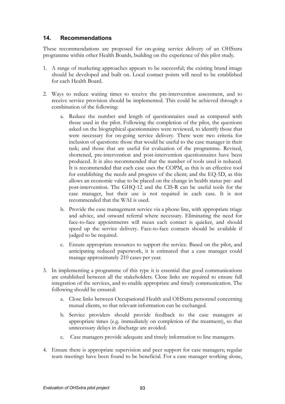# 14. Recommendations

These recommendations are proposed for on-going service delivery of an OHSxtra programme within other Health Boards, building on the experience of this pilot study.

- 1. A range of marketing approaches appears to be successful; the existing brand image should be developed and built on. Local contact points will need to be established for each Health Board.
- 2. Ways to reduce waiting times to receive the pre-intervention assessment, and to receive service provision should be implemented. This could be achieved through a combination of the following:
	- a. Reduce the number and length of questionnaires used as compared with those used in the pilot. Following the completion of the pilot, the questions asked on the biographical questionnaires were reviewed, to identify those that were necessary for on-going service delivery. There were two criteria for inclusion of questions: those that would be useful to the case manager in their task; and those that are useful for evaluation of the programme. Revised, shortened, pre-intervention and post-intervention questionnaires have been produced. It is also recommended that the number of tools used is reduced. It is recommended that each case uses the COPM, as this is an effective tool for establishing the needs and progress of the client; and the EQ-5D, as this allows an economic value to be placed on the change in health status pre- and post-intervention. The GHQ-12 and the CIS-R can be useful tools for the case manager, but their use is not required in each case. It is not recommended that the WAI is used.
	- b. Provide the case management service via a phone line, with appropriate triage and advice, and onward referral where necessary. Eliminating the need for face-to-face appointments will mean each contact is quicker, and should speed up the service delivery. Face-to-face contacts should be available if judged to be required.
	- c. Ensure appropriate resources to support the service. Based on the pilot, and anticipating reduced paperwork, it is estimated that a case manager could manage approximately 210 cases per year.
- 3. In implementing a programme of this type it is essential that good communications are established between all the stakeholders. Close links are required to ensure full integration of the services, and to enable appropriate and timely communication. The following should be ensured:
	- a. Close links between Occupational Health and OHSxtra personnel concerning mutual clients, so that relevant information can be exchanged.
	- b. Service providers should provide feedback to the case managers at appropriate times (e.g. immediately on completion of the treatment), so that unnecessary delays in discharge are avoided.
	- c. Case managers provide adequate and timely information to line managers.
- 4. Ensure there is appropriate supervision and peer support for case managers; regular team meetings have been found to be beneficial. For a case manager working alone,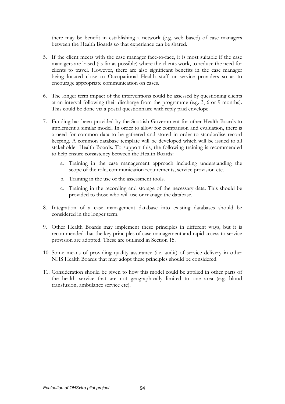there may be benefit in establishing a network (e.g. web based) of case managers between the Health Boards so that experience can be shared.

- 5. If the client meets with the case manager face-to-face, it is most suitable if the case managers are based (as far as possible) where the clients work, to reduce the need for clients to travel. However, there are also significant benefits in the case manager being located close to Occupational Health staff or service providers so as to encourage appropriate communication on cases.
- 6. The longer term impact of the interventions could be assessed by questioning clients at an interval following their discharge from the programme (e.g. 3, 6 or 9 months). This could be done via a postal questionnaire with reply paid envelope.
- 7. Funding has been provided by the Scottish Government for other Health Boards to implement a similar model. In order to allow for comparison and evaluation, there is a need for common data to be gathered and stored in order to standardise record keeping. A common database template will be developed which will be issued to all stakeholder Health Boards. To support this, the following training is recommended to help ensure consistency between the Health Boards:
	- a. Training in the case management approach including understanding the scope of the role, communication requirements, service provision etc.
	- b. Training in the use of the assessment tools.
	- c. Training in the recording and storage of the necessary data. This should be provided to those who will use or manage the database.
- 8. Integration of a case management database into existing databases should be considered in the longer term.
- 9. Other Health Boards may implement these principles in different ways, but it is recommended that the key principles of case management and rapid access to service provision are adopted. These are outlined in Section 15.
- 10. Some means of providing quality assurance (i.e. audit) of service delivery in other NHS Health Boards that may adopt these principles should be considered.
- 11. Consideration should be given to how this model could be applied in other parts of the health service that are not geographically limited to one area (e.g. blood transfusion, ambulance service etc).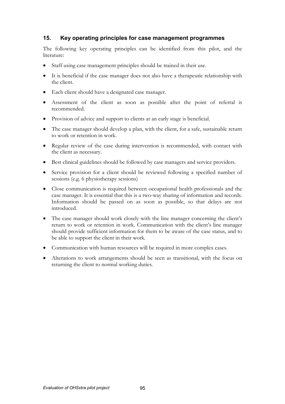# 15. Key operating principles for case management programmes

The following key operating principles can be identified from this pilot, and the literature:

- Staff using case management principles should be trained in their use.
- It is beneficial if the case manager does not also have a therapeutic relationship with the client.
- Each client should have a designated case manager.
- Assessment of the client as soon as possible after the point of referral is recommended.
- Provision of advice and support to clients at an early stage is beneficial.
- The case manager should develop a plan, with the client, for a safe, sustainable return to work or retention in work.
- Regular review of the case during intervention is recommended, with contact with the client as necessary.
- Best clinical guidelines should be followed by case managers and service providers.
- Service provision for a client should be reviewed following a specified number of sessions (e.g. 6 physiotherapy sessions)
- Close communication is required between occupational health professionals and the case manager. It is essential that this is a two-way sharing of information and records. Information should be passed on as soon as possible, so that delays are not introduced.
- The case manager should work closely with the line manager concerning the client's return to work or retention in work. Communication with the client's line manager should provide sufficient information for them to be aware of the case status, and to be able to support the client in their work.
- Communication with human resources will be required in more complex cases.
- Alterations to work arrangements should be seen as transitional, with the focus on returning the client to normal working duties.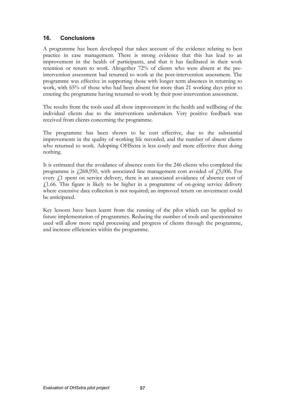# 16. Conclusions

A programme has been developed that takes account of the evidence relating to best practice in case management. There is strong evidence that this has lead to an improvement in the health of participants, and that it has facilitated in their work retention or return to work. Altogether 72% of clients who were absent at the preintervention assessment had returned to work at the post-intervention assessment. The programme was effective in supporting those with longer term absences in returning to work, with 65% of those who had been absent for more than 21 working days prior to entering the programme having returned to work by their post-intervention assessment.

The results from the tools used all show improvement in the health and wellbeing of the individual clients due to the interventions undertaken. Very positive feedback was received from clients concerning the programme.

The programme has been shown to be cost effective, due to the substantial improvements in the quality of working life recorded, and the number of absent clients who returned to work. Adopting OHSxtra is less costly and more effective than doing nothing.

It is estimated that the avoidance of absence costs for the 246 clients who completed the programme is  $\ell$ 268,950, with associated line management cost avoided of  $\ell$ 5,006. For every  $f<sub>1</sub>$  spent on service delivery, there is an associated avoidance of absence cost of  $f$ 1.66. This figure is likely to be higher in a programme of on-going service delivery where extensive data collection is not required; an improved return on investment could be anticipated.

Key lessons have been learnt from the running of the pilot which can be applied to future implementation of programmes. Reducing the number of tools and questionnaires used will allow more rapid processing and progress of clients through the programme, and increase efficiencies within the programme.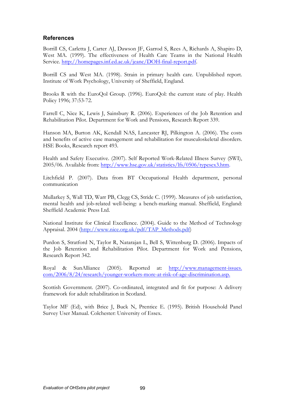## References

Borrill CS, Carletta J, Carter AJ, Dawson JF, Garrod S, Rees A, Richards A, Shapiro D, West MA. (1999). The effectiveness of Health Care Teams in the National Health Service. http://homepages.inf.ed.ac.uk/jeanc/DOH-final-report.pdf.

Borrill CS and West MA. (1998). Strain in primary health care. Unpublished report. Institute of Work Psychology, University of Sheffield, England.

Brooks R with the EuroQol Group. (1996). EuroQol: the current state of play. Health Policy 1996; 37:53-72.

Farrell C, Nice K, Lewis J, Sainsbury R. (2006). Experiences of the Job Retention and Rehabilitation Pilot. Department for Work and Pensions, Research Report 339.

Hanson MA, Burton AK, Kendall NAS, Lancaster RJ, Pilkington A. (2006). The costs and benefits of active case management and rehabilitation for musculoskeletal disorders. HSE Books, Research report 493.

Health and Safety Executive. (2007). Self Reported Work-Related Illness Survey (SWI), 2005/06. Available from: http://www.hse.gov.uk/statistics/lfs/0506/typesex3.htm.

Litchfield P. (2007). Data from BT Occupational Health department, personal communication

Mullarkey S, Wall TD, Warr PB, Clegg CS, Stride C. (1999). Measures of job satisfaction, mental health and job-related well-being: a bench-marking manual. Sheffield, England: Sheffield Academic Press Ltd.

National Institute for Clinical Excellence. (2004). Guide to the Method of Technology Appraisal. 2004 (http://www.nice.org.uk/pdf/TAP\_Methods.pdf)

Purdon S, Stratford N, Taylor R, Natarajan L, Bell S, Wittenburg D. (2006). Impacts of the Job Retention and Rehabilitation Pilot. Department for Work and Pensions, Research Report 342.

Royal & SunAlliance (2005). Reported at: http://www.management-issues. com/2006/8/24/research/younger-workers-more-at-risk-of-age-discrimination.asp.

Scottish Government. (2007). Co-ordinated, integrated and fit for purpose: A delivery framework for adult rehabilitation in Scotland.

Taylor MF (Ed), with Brice J, Buck N, Prentice E. (1995). British Household Panel Survey User Manual. Colchester: University of Essex.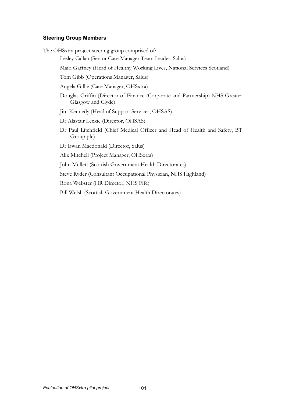#### Steering Group Members

The OHSxtra project steering group comprised of:

Lesley Callan (Senior Case Manager Team Leader, Salus)

Mairi Gaffney (Head of Healthy Working Lives, National Services Scotland)

Tom Gibb (Operations Manager, Salus)

Angela Gillie (Case Manager, OHSxtra)

- Douglas Griffin (Director of Finance (Corporate and Partnership) NHS Greater Glasgow and Clyde)
- Jim Kennedy (Head of Support Services, OHSAS)

Dr Alastair Leckie (Director, OHSAS)

Dr Paul Litchfield (Chief Medical Officer and Head of Health and Safety, BT Group plc)

Dr Ewan Macdonald (Director, Salus)

Alix Mitchell (Project Manager, OHSxtra)

John Mullett (Scottish Government Health Directorates)

Steve Ryder (Consultant Occupational Physician, NHS Highland)

Rona Webster (HR Director, NHS Fife)

Bill Welsh (Scottish Government Health Directorates)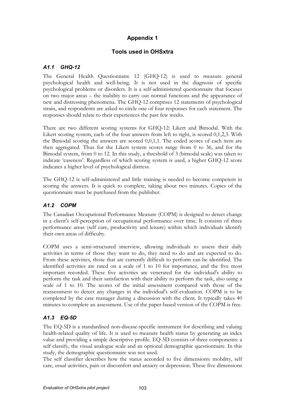## Tools used in OHSxtra

## A1.1 GHQ-12

The General Health Questionnaire 12 (GHQ-12) is used to measure general psychological health and well-being. It is not used in the diagnosis of specific psychological problems or disorders. It is a self-administered questionnaire that focuses on two major areas – the inability to carry out normal functions and the appearance of new and distressing phenomena. The GHQ-12 comprises 12 statements of psychological strain, and respondents are asked to circle one of four responses for each statement. The responses should relate to their experiences the past few weeks.

There are two different scoring systems for GHQ-12: Likert and Bimodal. With the Likert scoring system, each of the four answers from left to right, is scored 0,1,2,3. With the Bimodal scoring the answers are scored 0,0,1,1. The coded scores of each item are then aggregated. Thus for the Likert system scores range from 0 to 36, and for the Bimodal system, from 0 to 12. In this study, a threshold of 3 (bimodal scale) was taken to indicate 'caseness'. Regardless of which scoring system is used, a higher GHQ-12 score indicates a higher level of psychological distress.

The GHQ-12 is self-administered and little training is needed to become competent in scoring the answers. It is quick to complete, taking about two minutes. Copies of the questionnaire must be purchased from the publisher.

# A1.2 COPM

The Canadian Occupational Performance Measure (COPM) is designed to detect change in a client's self-perception of occupational performance over time. It consists of three performance areas (self care, productivity and leisure) within which individuals identify their own areas of difficulty.

COPM uses a semi-structured interview, allowing individuals to assess their daily activities in terms of those they want to do, they need to do and are expected to do. From these activities, those that are currently difficult to perform can be identified. The identified activities are rated on a scale of 1 to 10 for importance, and the five most important recorded. These five activities are venerated for the individual's ability to perform the task and their satisfaction with their ability to perform the task, also using a scale of 1 to 10. The scores of the initial assessment compared with those of the reassessment to detect any changes in the individual's self-evaluation. COPM is to be completed by the case manager during a discussion with the client. It typically takes 40 minutes to complete an assessment. Use of the paper-based version of the COPM is free.

## A1.3 EQ-5D

The EQ-5D is a standardised non-disease-specific instrument for describing and valuing health-related quality of life. It is used to measure health status by generating an index value and providing a simple descriptive profile. EQ-5D consists of three components: a self classify, the visual analogue scale and an optional demographic questionnaire. In this study, the demographic questionnaire was not used.

The self classifier describes how the status accorded to five dimensions: mobility, self care, usual activities, pain or discomfort and anxiety or depression. These five dimensions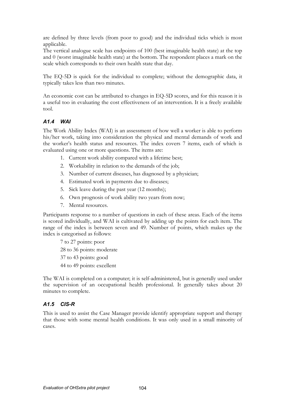are defined by three levels (from poor to good) and the individual ticks which is most applicable.

The vertical analogue scale has endpoints of 100 (best imaginable health state) at the top and 0 (worst imaginable health state) at the bottom. The respondent places a mark on the scale which corresponds to their own health state that day.

The EQ-5D is quick for the individual to complete; without the demographic data, it typically takes less than two minutes.

An economic cost can be attributed to changes in EQ-5D scores, and for this reason it is a useful too in evaluating the cost effectiveness of an intervention. It is a freely available tool.

#### A1.4 WAI

The Work Ability Index (WAI) is an assessment of how well a worker is able to perform his/her work, taking into consideration the physical and mental demands of work and the worker's health status and resources. The index covers 7 items, each of which is evaluated using one or more questions. The items are:

- 1. Current work ability compared with a lifetime best;
- 2. Workability in relation to the demands of the job;
- 3. Number of current diseases, has diagnosed by a physician;
- 4. Estimated work in payments due to diseases;
- 5. Sick leave during the past year (12 months);
- 6. Own prognosis of work ability two years from now;
- 7. Mental resources.

Participants response to a number of questions in each of these areas. Each of the items is scored individually, and WAI is cultivated by adding up the points for each item. The range of the index is between seven and 49. Number of points, which makes up the index is categorised as follows:

7 to 27 points: poor 28 to 36 points: moderate 37 to 43 points: good 44 to 49 points: excellent

The WAI is completed on a computer; it is self-administered, but is generally used under the supervision of an occupational health professional. It generally takes about 20 minutes to complete.

#### A1.5 CIS-R

This is used to assist the Case Manager provide identify appropriate support and therapy that those with some mental health conditions. It was only used in a small minority of cases.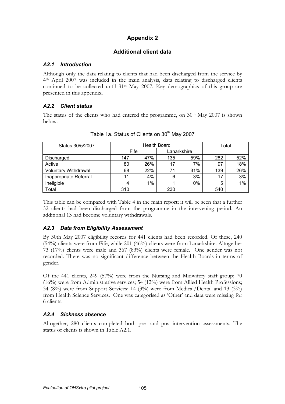## Additional client data

#### A2.1 Introduction

Although only the data relating to clients that had been discharged from the service by 4 th April 2007 was included in the main analysis, data relating to discharged clients continued to be collected until 31st May 2007. Key demographics of this group are presented in this appendix.

## A2.2 Client status

The status of the clients who had entered the programme, on 30<sup>th</sup> May 2007 is shown below.

| Status 30/5/2007            | <b>Health Board</b> |       |             | Total |     |     |
|-----------------------------|---------------------|-------|-------------|-------|-----|-----|
|                             | Fife                |       | Lanarkshire |       |     |     |
| Discharged                  | 147                 | 47%   | 135         | 59%   | 282 | 52% |
| Active                      | 80                  | 26%   | 17          | 7%    | 97  | 18% |
| <b>Voluntary Withdrawal</b> | 68                  | 22%   |             | 31%   | 139 | 26% |
| Inappropriate Referral      | 11                  | 4%    | 6           | 3%    | 17  | 3%  |
| Ineligible                  | 4                   | $1\%$ |             | 0%    | 5   | 1%  |
| Total                       | 310                 |       | 230         |       | 540 |     |

Table 1a. Status of Clients on 30<sup>th</sup> May 2007

This table can be compared with Table 4 in the main report; it will be seen that a further 32 clients had been discharged from the programme in the intervening period. An additional 13 had become voluntary withdrawals.

## A2.3 Data from Eligibility Assessment

By 30th May 2007 eligibility records for 441 clients had been recorded. Of these, 240 (54%) clients were from Fife, while 201 (46%) clients were from Lanarkshire. Altogether 73 (17%) clients were male and 367 (83%) clients were female. One gender was not recorded. There was no significant difference between the Health Boards in terms of gender.

Of the 441 clients, 249 (57%) were from the Nursing and Midwifery staff group; 70 (16%) were from Administrative services; 54 (12%) were from Allied Health Professions; 34 (8%) were from Support Services; 14 (3%) were from Medical/Dental and 13 (3%) from Health Science Services. One was categorised as 'Other' and data were missing for 6 clients.

## A2.4 Sickness absence

Altogether, 280 clients completed both pre- and post-intervention assessments. The status of clients is shown in Table A2.1.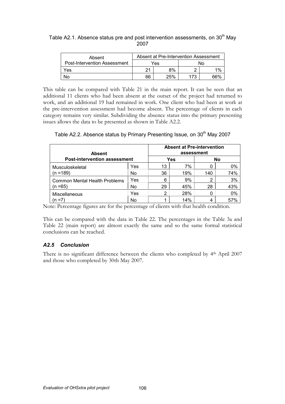Table A2.1. Absence status pre and post intervention assessments, on 30<sup>th</sup> May 2007

| Absent                              | Absent at Pre-Intervention Assessment |     |     |       |  |
|-------------------------------------|---------------------------------------|-----|-----|-------|--|
| <b>Post-Intervention Assessment</b> |                                       | Yes | N٥  |       |  |
| Yes                                 | າ1                                    | 8%  |     | $1\%$ |  |
| No                                  | 66                                    | 25% | 173 | ଗሪ የ  |  |

This table can be compared with Table 21 in the main report. It can be seen that an additional 11 clients who had been absent at the outset of the project had returned to work, and an additional 19 had remained in work. One client who had been at work at the pre-intervention assessment had become absent. The percentage of clients in each category remains very similar. Subdividing the absence status into the primary presenting issues allows the data to be presented as shown in Table A2.2.

Table A2.2. Absence status by Primary Presenting Issue, on 30<sup>th</sup> May 2007

| <b>Absent</b>                        |           | <b>Absent at Pre-intervention</b><br>assessment |     |     |     |
|--------------------------------------|-----------|-------------------------------------------------|-----|-----|-----|
| <b>Post-intervention assessment</b>  |           |                                                 | Yes |     | No  |
| Musculoskeletal                      | Yes       | 13                                              | 7%  |     | በ%  |
| $(n = 189)$                          | <b>No</b> | 36                                              | 19% | 140 | 74% |
| <b>Common Mental Health Problems</b> | Yes       |                                                 | 9%  |     | 3%  |
| (n =65)                              | No        | 29                                              | 45% | 28  | 43% |
| Miscellaneous<br>$=7$                | Yes       |                                                 | 28% |     | በ%  |
|                                      | Nc        |                                                 | 14% |     |     |

Note: Percentage figures are for the percentage of clients with that health condition.

This can be compared with the data in Table 22. The percentages in the Table 3a and Table 22 (main report) are almost exactly the same and so the same formal statistical conclusions can be reached.

## A2.5 Conclusion

There is no significant difference between the clients who completed by 4<sup>th</sup> April 2007 and those who completed by 30th May 2007.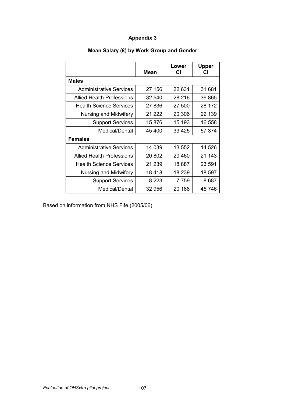|                                  | Mean    | Lower<br>СI | <b>Upper</b><br>СI |
|----------------------------------|---------|-------------|--------------------|
| <b>Males</b>                     |         |             |                    |
| <b>Administrative Services</b>   | 27 156  | 22 631      | 31 681             |
| Allied Health Professions        | 32 540  | 28 216      | 36 865             |
| <b>Health Science Services</b>   | 27 836  | 27 500      | 28 172             |
| Nursing and Midwifery            | 21 222  | 20 30 6     | 22 139             |
| <b>Support Services</b>          | 15 876  | 15 193      | 16 558             |
| Medical/Dental                   | 45 400  | 33 4 25     | 57 374             |
| <b>Females</b>                   |         |             |                    |
| <b>Administrative Services</b>   | 14 039  | 13 552      | 14 526             |
| <b>Allied Health Professions</b> | 20 802  | 20 460      | 21 143             |
| <b>Health Science Services</b>   | 21 239  | 18 887      | 23 591             |
| Nursing and Midwifery            | 18418   | 18 239      | 18 597             |
| <b>Support Services</b>          | 8 2 2 3 | 7759        | 8 687              |
| Medical/Dental                   | 32 956  | 20 166      | 45 746             |

# Mean Salary (£) by Work Group and Gender

Based on information from NHS Fife (2005/06)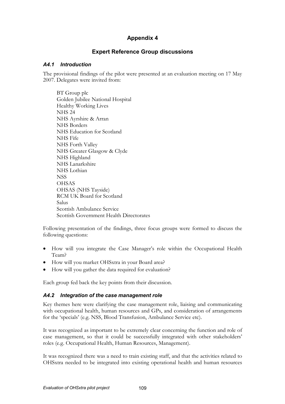## Expert Reference Group discussions

#### A4.1 Introduction

The provisional findings of the pilot were presented at an evaluation meeting on 17 May 2007. Delegates were invited from:

BT Group plc Golden Jubilee National Hospital Healthy Working Lives NHS 24 NHS Ayrshire & Arran NHS Borders NHS Education for Scotland NHS Fife NHS Forth Valley NHS Greater Glasgow & Clyde NHS Highland NHS Lanarkshire NHS Lothian **NSS OHSAS** OHSAS (NHS Tayside) RCM UK Board for Scotland Salus Scottish Ambulance Service Scottish Government Health Directorates

Following presentation of the findings, three focus groups were formed to discuss the following questions:

- How will you integrate the Case Manager's role within the Occupational Health Team?
- How will you market OHSxtra in your Board area?
- How will you gather the data required for evaluation?

Each group fed back the key points from their discussion.

#### A4.2 Integration of the case management role

Key themes here were clarifying the case management role, liaising and communicating with occupational health, human resources and GPs, and consideration of arrangements for the 'specials' (e.g. NSS, Blood Transfusion, Ambulance Service etc).

It was recognized as important to be extremely clear concerning the function and role of case management, so that it could be successfully integrated with other stakeholders' roles (e.g. Occupational Health, Human Resources, Management).

It was recognized there was a need to train existing staff, and that the activities related to OHSxtra needed to be integrated into existing operational health and human resources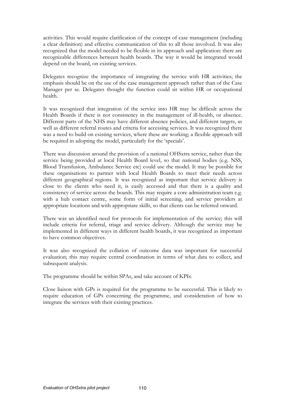activities. This would require clarification of the concept of case management (including a clear definition) and effective communication of this to all those involved. It was also recognized that the model needed to be flexible in its approach and application: there are recognizable differences between health boards. The way it would be integrated would depend on the board, on existing services.

Delegates recognize the importance of integrating the service with HR activities; the emphasis should be on the use of the case management approach rather than of the Case Manager per se. Delegates thought the function could sit within HR or occupational health.

It was recognized that integration of the service into HR may be difficult across the Health Boards if there is not consistency in the management of ill-health, or absence. Different parts of the NHS may have different absence policies, and different targets, as well as different referral routes and criteria for accessing services. It was recognized there was a need to build on existing services, where these are working; a flexible approach will be required in adopting the model, particularly for the 'specials'.

There was discussion around the provision of a national OHSxtra service, rather than the service being provided at local Health Board level, so that national bodies (e.g. NSS, Blood Transfusion, Ambulance Service etc) could use the model. It may be possible for these organisations to partner with local Health Boards to meet their needs across different geographical regions. It was recognized as important that service delivery is close to the clients who need it, is easily accessed and that there is a quality and consistency of service across the boards. This may require a core administration team e.g. with a hub contact centre, some form of initial screening, and service providers at appropriate locations and with appropriate skills, so that clients can be referred onward.

There was an identified need for protocols for implementation of the service; this will include criteria for referral, triage and service delivery. Although the service may be implemented in different ways in different health boards, it was recognized as important to have common objectives.

It was also recognized the collation of outcome data was important for successful evaluation; this may require central coordination in terms of what data to collect, and subsequent analysis.

The programme should be within SPAs, and take account of KPIs.

Close liaison with GPs is required for the programme to be successful. This is likely to require education of GPs concerning the programme, and consideration of how to integrate the services with their existing practices.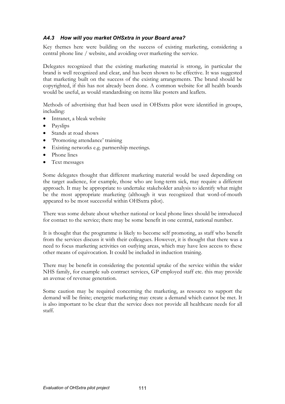## A4.3 How will you market OHSxtra in your Board area?

Key themes here were building on the success of existing marketing, considering a central phone line / website, and avoiding over marketing the service.

Delegates recognized that the existing marketing material is strong, in particular the brand is well recognized and clear, and has been shown to be effective. It was suggested that marketing built on the success of the existing arrangements. The brand should be copyrighted, if this has not already been done. A common website for all health boards would be useful, as would standardising on items like posters and leaflets.

Methods of advertising that had been used in OHSxtra pilot were identified in groups, including:

- Intranet, a bleak website
- Payslips
- Stands at road shows
- 'Promoting attendance' training
- Existing networks e.g. partnership meetings.
- Phone lines
- Text messages

Some delegates thought that different marketing material would be used depending on the target audience, for example, those who are long-term sick, may require a different approach. It may be appropriate to undertake stakeholder analysis to identify what might be the most appropriate marketing (although it was recognized that word-of-mouth appeared to be most successful within OHSxtra pilot).

There was some debate about whether national or local phone lines should be introduced for contact to the service; there may be some benefit in one central, national number.

It is thought that the programme is likely to become self promoting, as staff who benefit from the services discuss it with their colleagues. However, it is thought that there was a need to focus marketing activities on outlying areas, which may have less access to these other means of equivocation. It could be included in induction training.

There may be benefit in considering the potential uptake of the service within the wider NHS family, for example sub contract services, GP employed staff etc. this may provide an avenue of revenue generation.

Some caution may be required concerning the marketing, as resource to support the demand will be finite; energetic marketing may create a demand which cannot be met. It is also important to be clear that the service does not provide all healthcare needs for all staff.